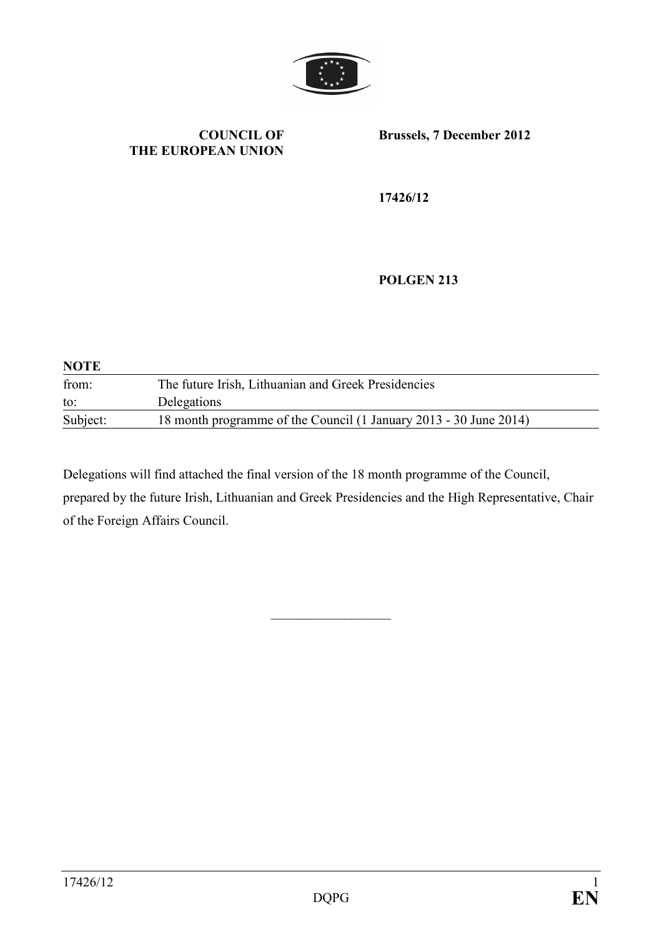

#### **COUNCIL OF THE EUROPEAN UNION**

**Brussels, 7 December 2012** 

**17426/12** 

**POLGEN 213** 

| <b>NOTE</b> |                                                                   |
|-------------|-------------------------------------------------------------------|
| from:       | The future Irish, Lithuanian and Greek Presidencies               |
| to:         | Delegations                                                       |
| Subject:    | 18 month programme of the Council (1 January 2013 - 30 June 2014) |

Delegations will find attached the final version of the 18 month programme of the Council, prepared by the future Irish, Lithuanian and Greek Presidencies and the High Representative, Chair of the Foreign Affairs Council.

 $\mathcal{L}$  , we have the set of the set of the set of the set of the set of the set of the set of the set of the set of the set of the set of the set of the set of the set of the set of the set of the set of the set of the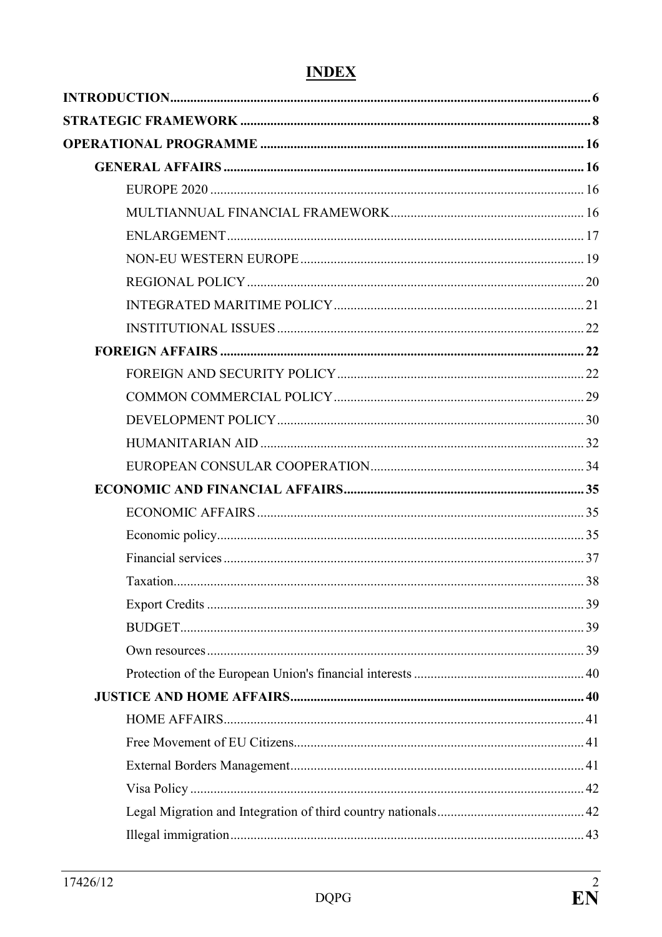# **INDEX**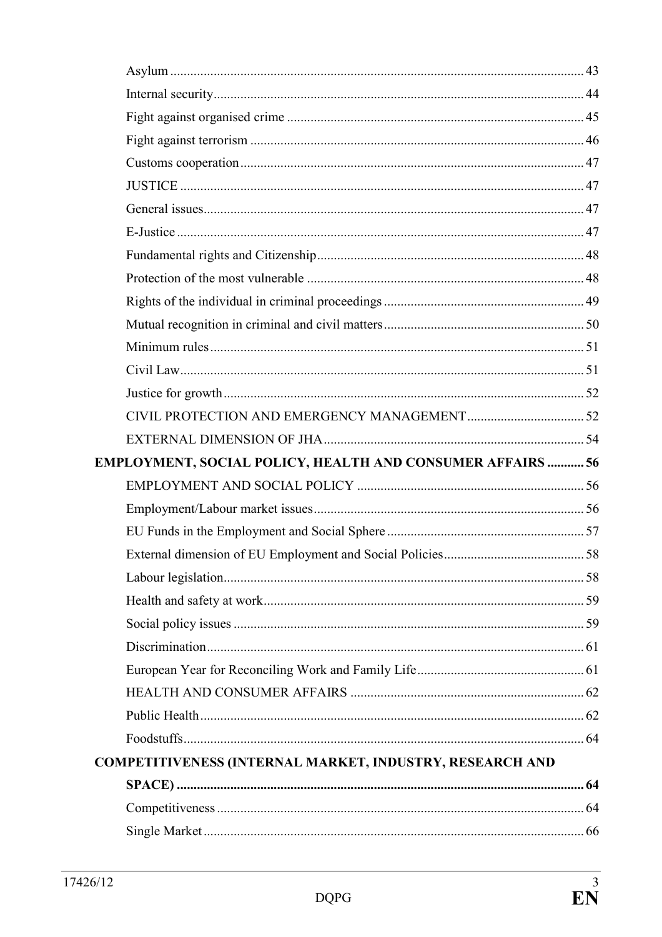| EMPLOYMENT, SOCIAL POLICY, HEALTH AND CONSUMER AFFAIRS  56 |  |
|------------------------------------------------------------|--|
|                                                            |  |
|                                                            |  |
|                                                            |  |
|                                                            |  |
|                                                            |  |
|                                                            |  |
|                                                            |  |
|                                                            |  |
|                                                            |  |
|                                                            |  |
|                                                            |  |
|                                                            |  |
| COMPETITIVENESS (INTERNAL MARKET, INDUSTRY, RESEARCH AND   |  |
|                                                            |  |
|                                                            |  |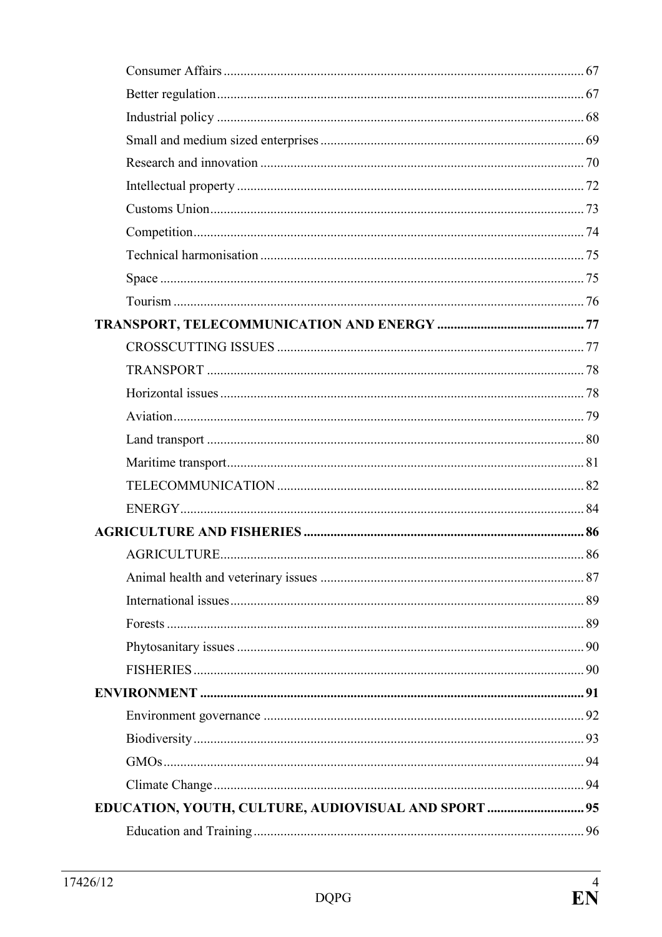| EDUCATION, YOUTH, CULTURE, AUDIOVISUAL AND SPORT  95 |  |
|------------------------------------------------------|--|
|                                                      |  |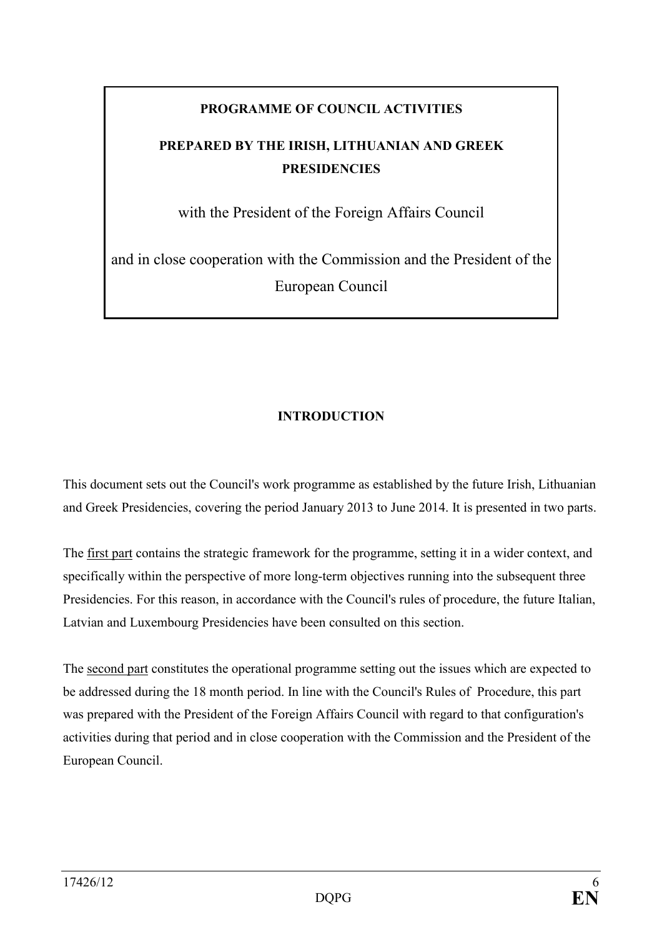## **PROGRAMME OF COUNCIL ACTIVITIES**

## <span id="page-5-0"></span>PREPARED BY THE IRISH, LITHUANIAN AND GREEK **PRESIDENCIES**

with the President of the Foreign Affairs Council

and in close cooperation with the Commission and the President of the European Council

## **INTRODUCTION**

This document sets out the Council's work programme as established by the future Irish, Lithuanian and Greek Presidencies, covering the period January 2013 to June 2014. It is presented in two parts.

The first part contains the strategic framework for the programme, setting it in a wider context, and specifically within the perspective of more long-term objectives running into the subsequent three Presidencies. For this reason, in accordance with the Council's rules of procedure, the future Italian, Latvian and Luxembourg Presidencies have been consulted on this section.

The second part constitutes the operational programme setting out the issues which are expected to be addressed during the 18 month period. In line with the Council's Rules of Procedure, this part was prepared with the President of the Foreign Affairs Council with regard to that configuration's activities during that period and in close cooperation with the Commission and the President of the European Council.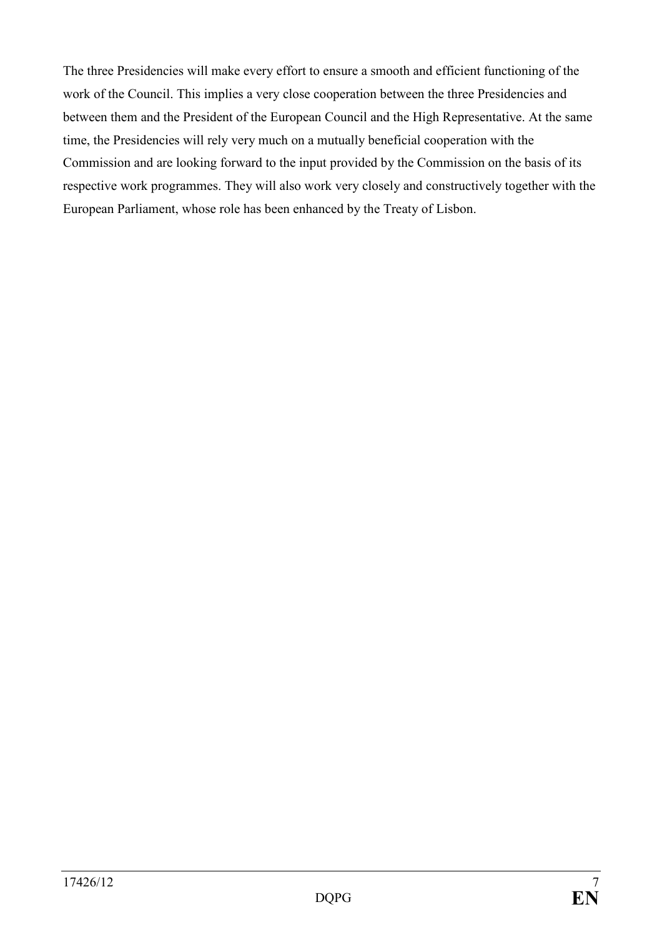The three Presidencies will make every effort to ensure a smooth and efficient functioning of the work of the Council. This implies a very close cooperation between the three Presidencies and between them and the President of the European Council and the High Representative. At the same time, the Presidencies will rely very much on a mutually beneficial cooperation with the Commission and are looking forward to the input provided by the Commission on the basis of its respective work programmes. They will also work very closely and constructively together with the European Parliament, whose role has been enhanced by the Treaty of Lisbon.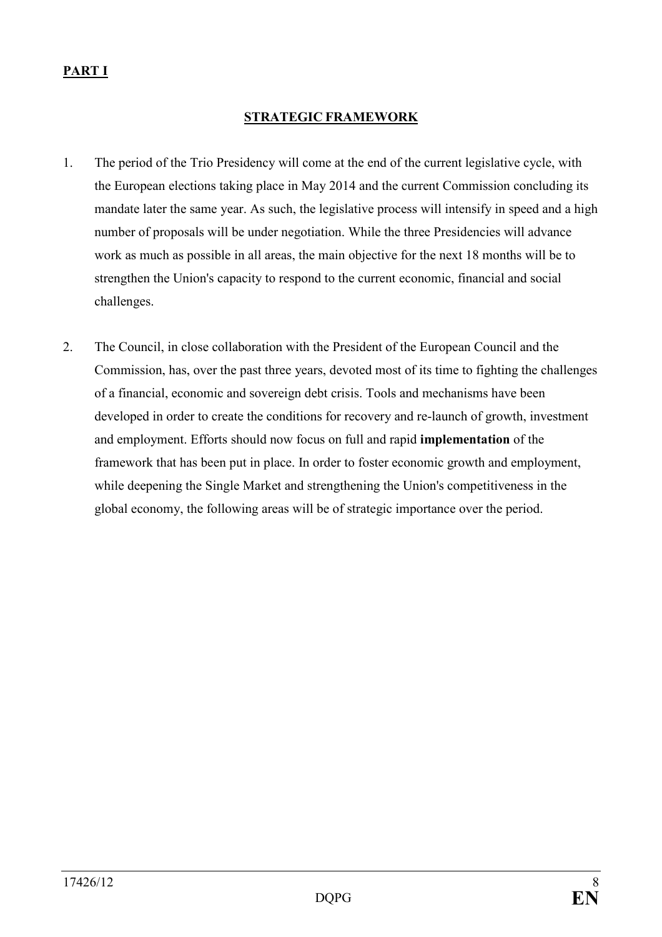## <span id="page-7-0"></span>**PART I**

#### **STRATEGIC FRAMEWORK**

- 1. The period of the Trio Presidency will come at the end of the current legislative cycle, with the European elections taking place in May 2014 and the current Commission concluding its mandate later the same year. As such, the legislative process will intensify in speed and a high number of proposals will be under negotiation. While the three Presidencies will advance work as much as possible in all areas, the main objective for the next 18 months will be to strengthen the Union's capacity to respond to the current economic, financial and social challenges.
- 2. The Council, in close collaboration with the President of the European Council and the Commission, has, over the past three years, devoted most of its time to fighting the challenges of a financial, economic and sovereign debt crisis. Tools and mechanisms have been developed in order to create the conditions for recovery and re-launch of growth, investment and employment. Efforts should now focus on full and rapid **implementation** of the framework that has been put in place. In order to foster economic growth and employment, while deepening the Single Market and strengthening the Union's competitiveness in the global economy, the following areas will be of strategic importance over the period.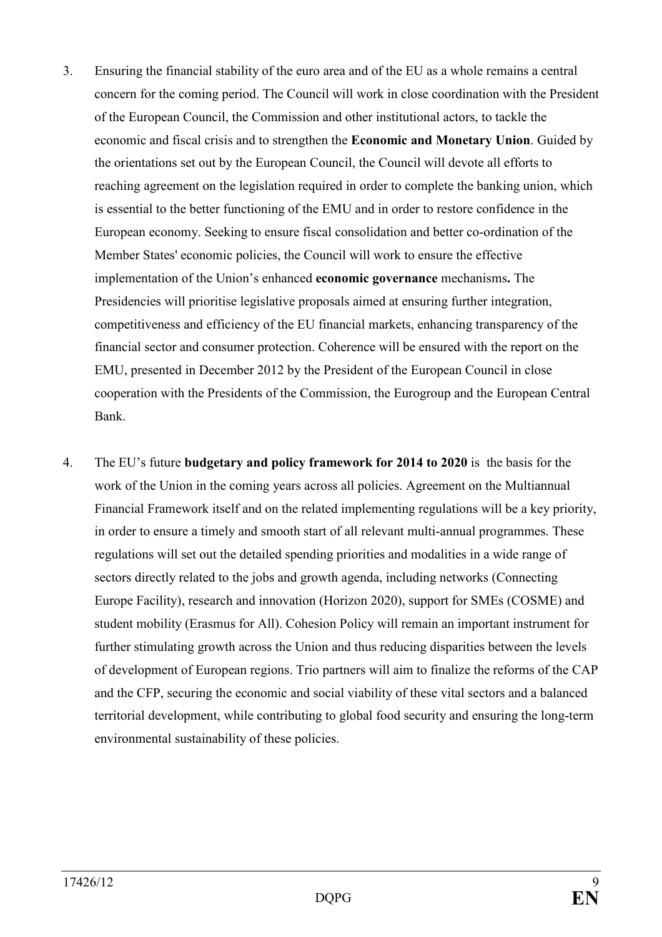- 3. Ensuring the financial stability of the euro area and of the EU as a whole remains a central concern for the coming period. The Council will work in close coordination with the President of the European Council, the Commission and other institutional actors, to tackle the economic and fiscal crisis and to strengthen the **Economic and Monetary Union**. Guided by the orientations set out by the European Council, the Council will devote all efforts to reaching agreement on the legislation required in order to complete the banking union, which is essential to the better functioning of the EMU and in order to restore confidence in the European economy. Seeking to ensure fiscal consolidation and better co-ordination of the Member States' economic policies, the Council will work to ensure the effective implementation of the Union's enhanced **economic governance** mechanisms**.** The Presidencies will prioritise legislative proposals aimed at ensuring further integration, competitiveness and efficiency of the EU financial markets, enhancing transparency of the financial sector and consumer protection. Coherence will be ensured with the report on the EMU, presented in December 2012 by the President of the European Council in close cooperation with the Presidents of the Commission, the Eurogroup and the European Central Bank.
- 4. The EU's future **budgetary and policy framework for 2014 to 2020** is the basis for the work of the Union in the coming years across all policies. Agreement on the Multiannual Financial Framework itself and on the related implementing regulations will be a key priority, in order to ensure a timely and smooth start of all relevant multi-annual programmes. These regulations will set out the detailed spending priorities and modalities in a wide range of sectors directly related to the jobs and growth agenda, including networks (Connecting Europe Facility), research and innovation (Horizon 2020), support for SMEs (COSME) and student mobility (Erasmus for All). Cohesion Policy will remain an important instrument for further stimulating growth across the Union and thus reducing disparities between the levels of development of European regions. Trio partners will aim to finalize the reforms of the CAP and the CFP, securing the economic and social viability of these vital sectors and a balanced territorial development, while contributing to global food security and ensuring the long-term environmental sustainability of these policies.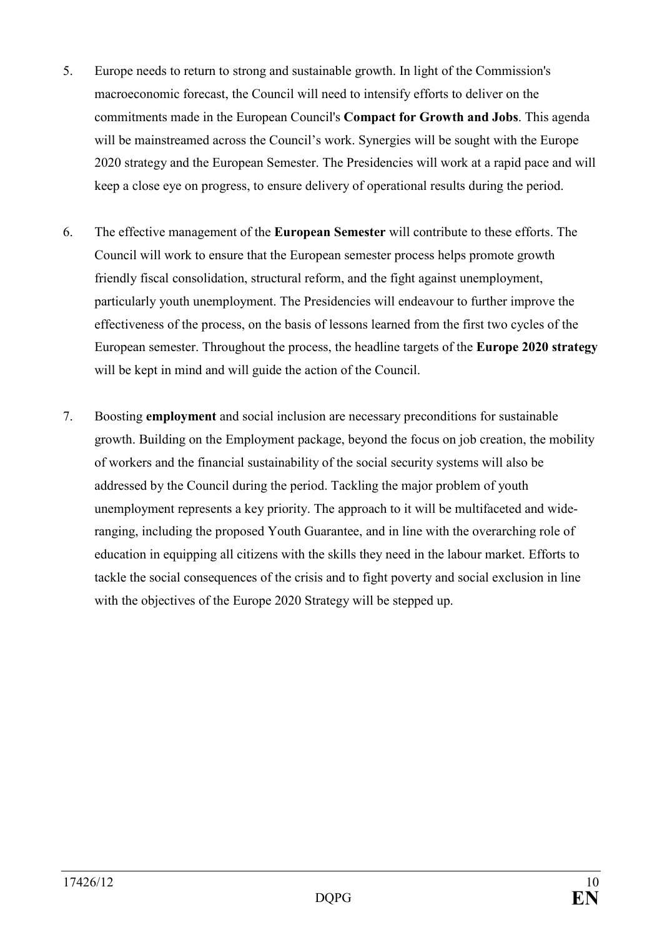- 5. Europe needs to return to strong and sustainable growth. In light of the Commission's macroeconomic forecast, the Council will need to intensify efforts to deliver on the commitments made in the European Council's **Compact for Growth and Jobs**. This agenda will be mainstreamed across the Council's work. Synergies will be sought with the Europe 2020 strategy and the European Semester. The Presidencies will work at a rapid pace and will keep a close eye on progress, to ensure delivery of operational results during the period.
- 6. The effective management of the **European Semester** will contribute to these efforts. The Council will work to ensure that the European semester process helps promote growth friendly fiscal consolidation, structural reform, and the fight against unemployment, particularly youth unemployment. The Presidencies will endeavour to further improve the effectiveness of the process, on the basis of lessons learned from the first two cycles of the European semester. Throughout the process, the headline targets of the **Europe 2020 strategy** will be kept in mind and will guide the action of the Council.
- 7. Boosting **employment** and social inclusion are necessary preconditions for sustainable growth. Building on the Employment package, beyond the focus on job creation, the mobility of workers and the financial sustainability of the social security systems will also be addressed by the Council during the period. Tackling the major problem of youth unemployment represents a key priority. The approach to it will be multifaceted and wideranging, including the proposed Youth Guarantee, and in line with the overarching role of education in equipping all citizens with the skills they need in the labour market. Efforts to tackle the social consequences of the crisis and to fight poverty and social exclusion in line with the objectives of the Europe 2020 Strategy will be stepped up.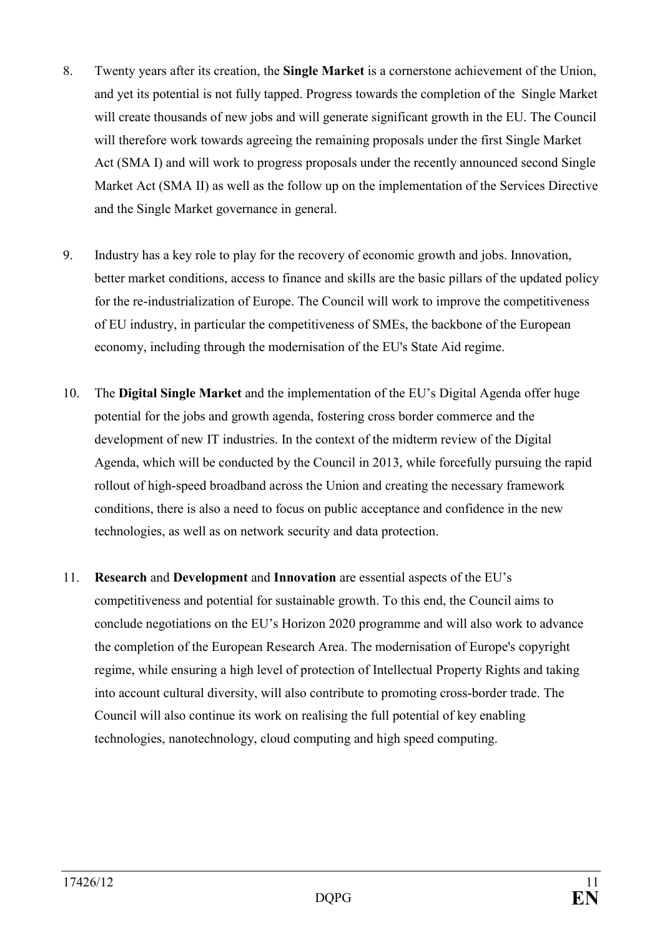- 8. Twenty years after its creation, the **Single Market** is a cornerstone achievement of the Union, and yet its potential is not fully tapped. Progress towards the completion of the Single Market will create thousands of new jobs and will generate significant growth in the EU. The Council will therefore work towards agreeing the remaining proposals under the first Single Market Act (SMA I) and will work to progress proposals under the recently announced second Single Market Act (SMA II) as well as the follow up on the implementation of the Services Directive and the Single Market governance in general.
- 9. Industry has a key role to play for the recovery of economic growth and jobs. Innovation, better market conditions, access to finance and skills are the basic pillars of the updated policy for the re-industrialization of Europe. The Council will work to improve the competitiveness of EU industry, in particular the competitiveness of SMEs, the backbone of the European economy, including through the modernisation of the EU's State Aid regime.
- 10. The **Digital Single Market** and the implementation of the EU's Digital Agenda offer huge potential for the jobs and growth agenda, fostering cross border commerce and the development of new IT industries. In the context of the midterm review of the Digital Agenda, which will be conducted by the Council in 2013, while forcefully pursuing the rapid rollout of high-speed broadband across the Union and creating the necessary framework conditions, there is also a need to focus on public acceptance and confidence in the new technologies, as well as on network security and data protection.
- 11. **Research** and **Development** and **Innovation** are essential aspects of the EU's competitiveness and potential for sustainable growth. To this end, the Council aims to conclude negotiations on the EU's Horizon 2020 programme and will also work to advance the completion of the European Research Area. The modernisation of Europe's copyright regime, while ensuring a high level of protection of Intellectual Property Rights and taking into account cultural diversity, will also contribute to promoting cross-border trade. The Council will also continue its work on realising the full potential of key enabling technologies, nanotechnology, cloud computing and high speed computing.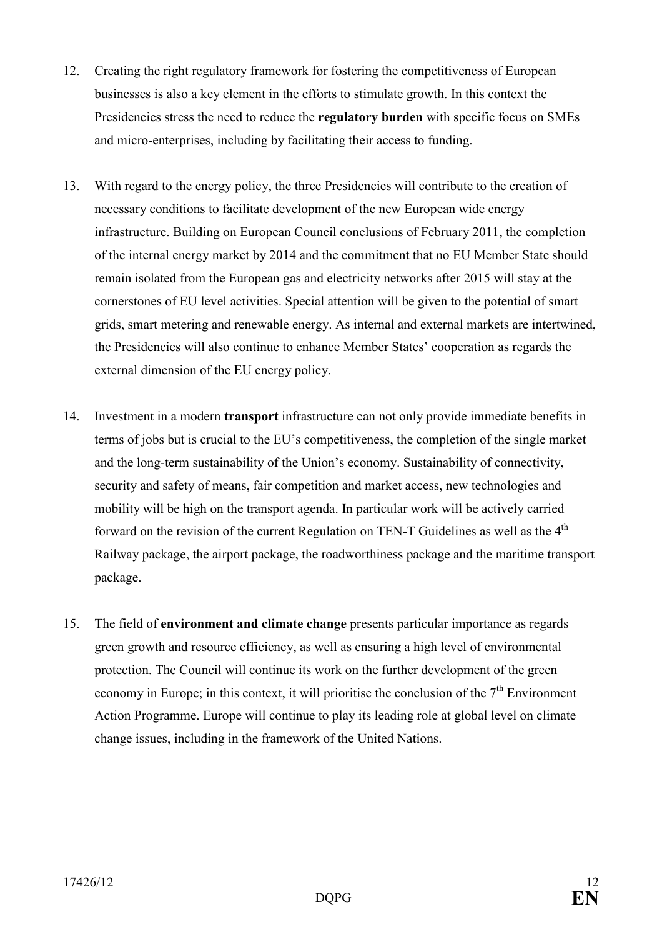- 12. Creating the right regulatory framework for fostering the competitiveness of European businesses is also a key element in the efforts to stimulate growth. In this context the Presidencies stress the need to reduce the **regulatory burden** with specific focus on SMEs and micro-enterprises, including by facilitating their access to funding.
- 13. With regard to the energy policy, the three Presidencies will contribute to the creation of necessary conditions to facilitate development of the new European wide energy infrastructure. Building on European Council conclusions of February 2011, the completion of the internal energy market by 2014 and the commitment that no EU Member State should remain isolated from the European gas and electricity networks after 2015 will stay at the cornerstones of EU level activities. Special attention will be given to the potential of smart grids, smart metering and renewable energy. As internal and external markets are intertwined, the Presidencies will also continue to enhance Member States' cooperation as regards the external dimension of the EU energy policy.
- 14. Investment in a modern **transport** infrastructure can not only provide immediate benefits in terms of jobs but is crucial to the EU's competitiveness, the completion of the single market and the long-term sustainability of the Union's economy. Sustainability of connectivity, security and safety of means, fair competition and market access, new technologies and mobility will be high on the transport agenda. In particular work will be actively carried forward on the revision of the current Regulation on TEN-T Guidelines as well as the  $4<sup>th</sup>$ Railway package, the airport package, the roadworthiness package and the maritime transport package.
- 15. The field of **environment and climate change** presents particular importance as regards green growth and resource efficiency, as well as ensuring a high level of environmental protection. The Council will continue its work on the further development of the green economy in Europe; in this context, it will prioritise the conclusion of the  $7<sup>th</sup>$  Environment Action Programme. Europe will continue to play its leading role at global level on climate change issues, including in the framework of the United Nations.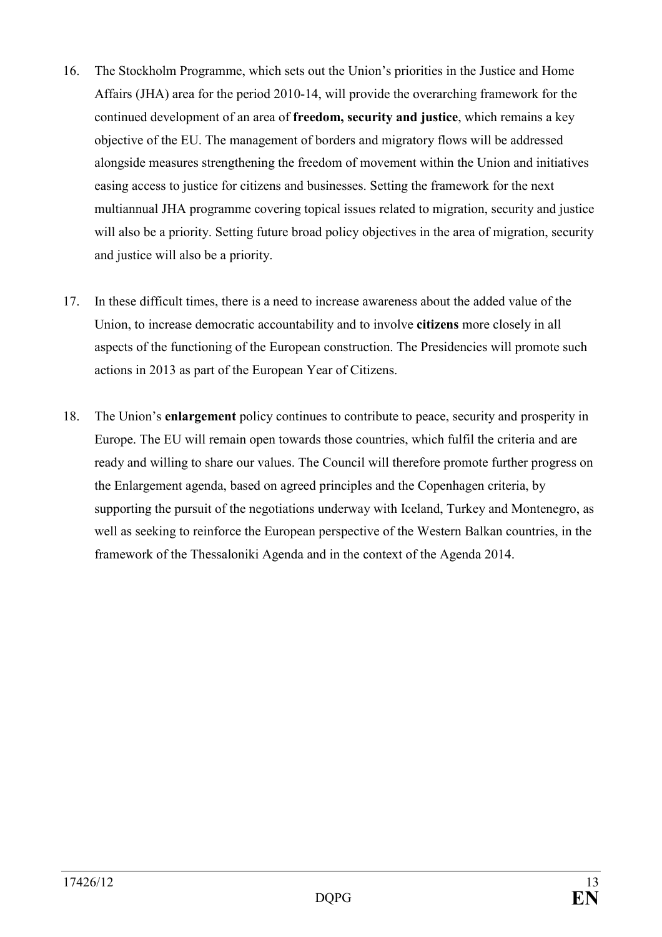- 16. The Stockholm Programme, which sets out the Union's priorities in the Justice and Home Affairs (JHA) area for the period 2010-14, will provide the overarching framework for the continued development of an area of **freedom, security and justice**, which remains a key objective of the EU. The management of borders and migratory flows will be addressed alongside measures strengthening the freedom of movement within the Union and initiatives easing access to justice for citizens and businesses. Setting the framework for the next multiannual JHA programme covering topical issues related to migration, security and justice will also be a priority. Setting future broad policy objectives in the area of migration, security and justice will also be a priority.
- 17. In these difficult times, there is a need to increase awareness about the added value of the Union, to increase democratic accountability and to involve **citizens** more closely in all aspects of the functioning of the European construction. The Presidencies will promote such actions in 2013 as part of the European Year of Citizens.
- 18. The Union's **enlargement** policy continues to contribute to peace, security and prosperity in Europe. The EU will remain open towards those countries, which fulfil the criteria and are ready and willing to share our values. The Council will therefore promote further progress on the Enlargement agenda, based on agreed principles and the Copenhagen criteria, by supporting the pursuit of the negotiations underway with Iceland, Turkey and Montenegro, as well as seeking to reinforce the European perspective of the Western Balkan countries, in the framework of the Thessaloniki Agenda and in the context of the Agenda 2014.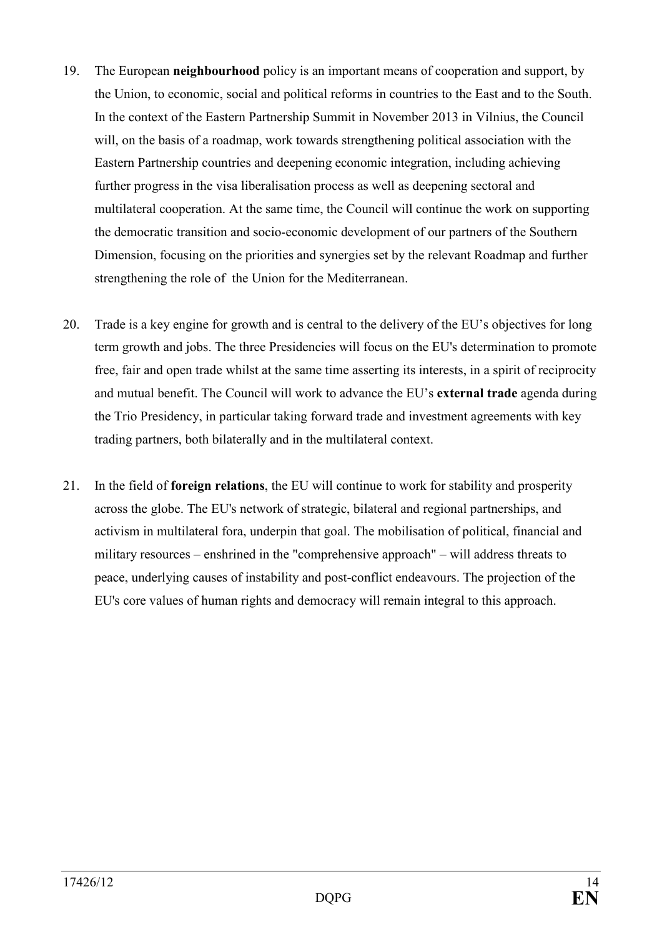- 19. The European **neighbourhood** policy is an important means of cooperation and support, by the Union, to economic, social and political reforms in countries to the East and to the South. In the context of the Eastern Partnership Summit in November 2013 in Vilnius, the Council will, on the basis of a roadmap, work towards strengthening political association with the Eastern Partnership countries and deepening economic integration, including achieving further progress in the visa liberalisation process as well as deepening sectoral and multilateral cooperation. At the same time, the Council will continue the work on supporting the democratic transition and socio-economic development of our partners of the Southern Dimension, focusing on the priorities and synergies set by the relevant Roadmap and further strengthening the role of the Union for the Mediterranean.
- 20. Trade is a key engine for growth and is central to the delivery of the EU's objectives for long term growth and jobs. The three Presidencies will focus on the EU's determination to promote free, fair and open trade whilst at the same time asserting its interests, in a spirit of reciprocity and mutual benefit. The Council will work to advance the EU's **external trade** agenda during the Trio Presidency, in particular taking forward trade and investment agreements with key trading partners, both bilaterally and in the multilateral context.
- 21. In the field of **foreign relations**, the EU will continue to work for stability and prosperity across the globe. The EU's network of strategic, bilateral and regional partnerships, and activism in multilateral fora, underpin that goal. The mobilisation of political, financial and military resources – enshrined in the "comprehensive approach" – will address threats to peace, underlying causes of instability and post-conflict endeavours. The projection of the EU's core values of human rights and democracy will remain integral to this approach.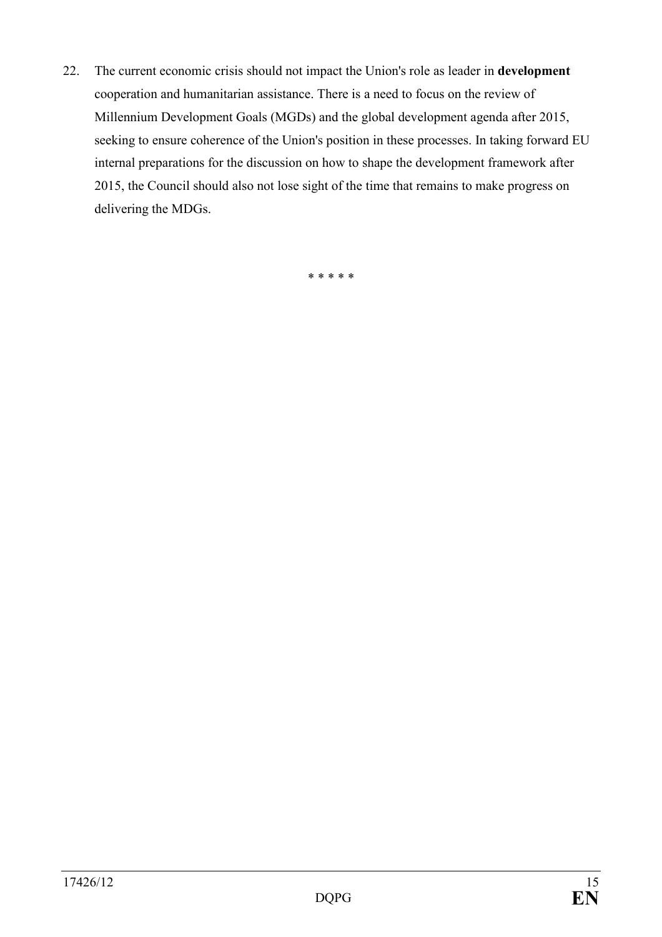22. The current economic crisis should not impact the Union's role as leader in **development** cooperation and humanitarian assistance. There is a need to focus on the review of Millennium Development Goals (MGDs) and the global development agenda after 2015, seeking to ensure coherence of the Union's position in these processes. In taking forward EU internal preparations for the discussion on how to shape the development framework after 2015, the Council should also not lose sight of the time that remains to make progress on delivering the MDGs.

\* \* \* \* \*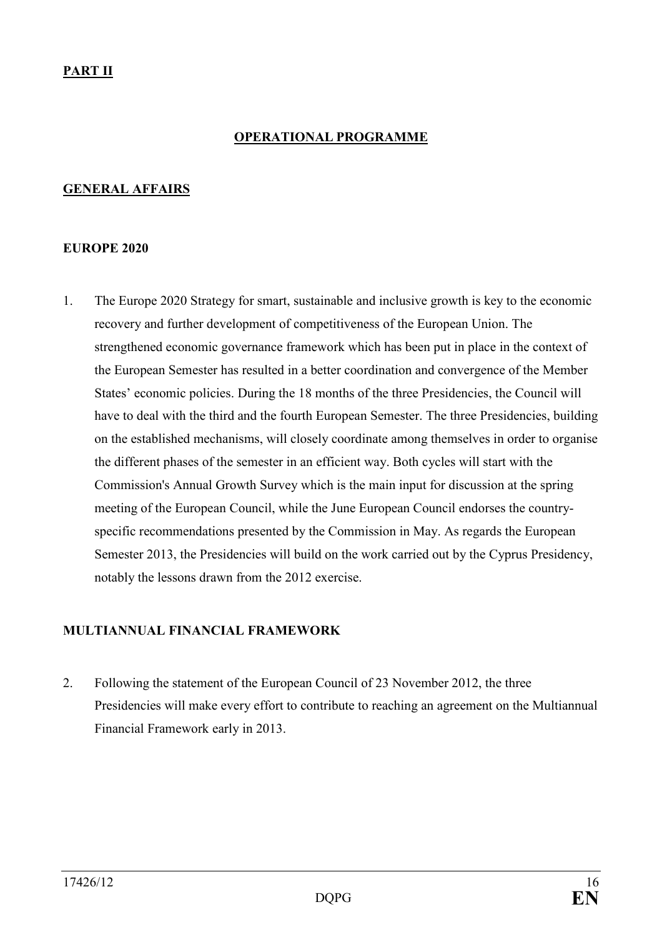### **OPERATIOAL PROGRAMME**

#### <span id="page-15-0"></span>**GENERAL AFFAIRS**

#### **EUROPE 2020**

1. The Europe 2020 Strategy for smart, sustainable and inclusive growth is key to the economic recovery and further development of competitiveness of the European Union. The strengthened economic governance framework which has been put in place in the context of the European Semester has resulted in a better coordination and convergence of the Member States' economic policies. During the 18 months of the three Presidencies, the Council will have to deal with the third and the fourth European Semester. The three Presidencies, building on the established mechanisms, will closely coordinate among themselves in order to organise the different phases of the semester in an efficient way. Both cycles will start with the Commission's Annual Growth Survey which is the main input for discussion at the spring meeting of the European Council, while the June European Council endorses the countryspecific recommendations presented by the Commission in May. As regards the European Semester 2013, the Presidencies will build on the work carried out by the Cyprus Presidency, notably the lessons drawn from the 2012 exercise.

#### **MULTIANNUAL FINANCIAL FRAMEWORK**

2. Following the statement of the European Council of 23 November 2012, the three Presidencies will make every effort to contribute to reaching an agreement on the Multiannual Financial Framework early in 2013.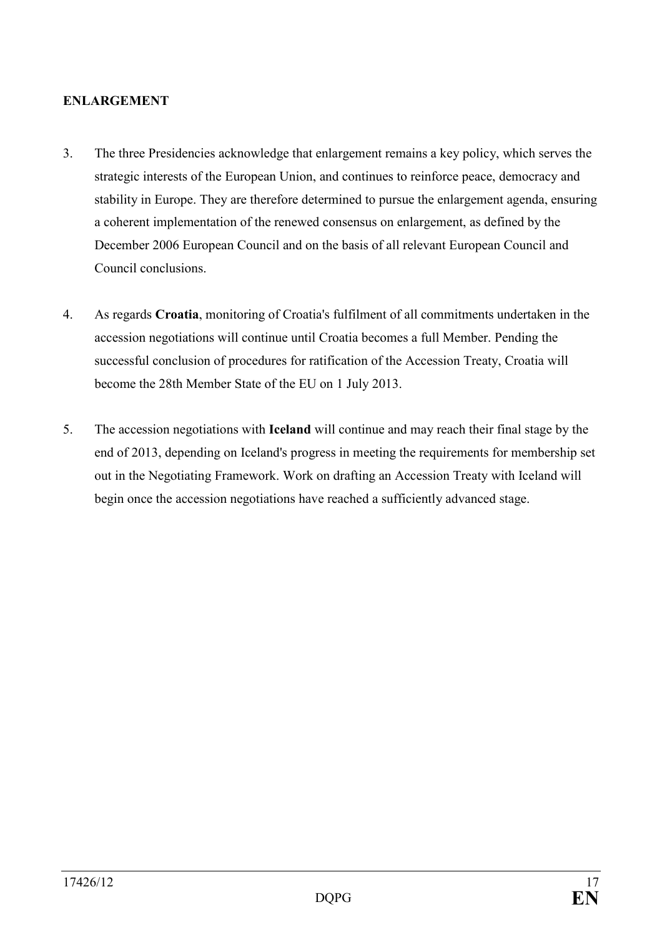#### <span id="page-16-0"></span>**ENLARGEMENT**

- 3. The three Presidencies acknowledge that enlargement remains a key policy, which serves the strategic interests of the European Union, and continues to reinforce peace, democracy and stability in Europe. They are therefore determined to pursue the enlargement agenda, ensuring a coherent implementation of the renewed consensus on enlargement, as defined by the December 2006 European Council and on the basis of all relevant European Council and Council conclusions.
- 4. As regards **Croatia**, monitoring of Croatia's fulfilment of all commitments undertaken in the accession negotiations will continue until Croatia becomes a full Member. Pending the successful conclusion of procedures for ratification of the Accession Treaty, Croatia will become the 28th Member State of the EU on 1 July 2013.
- 5. The accession negotiations with **Iceland** will continue and may reach their final stage by the end of 2013, depending on Iceland's progress in meeting the requirements for membership set out in the Negotiating Framework. Work on drafting an Accession Treaty with Iceland will begin once the accession negotiations have reached a sufficiently advanced stage.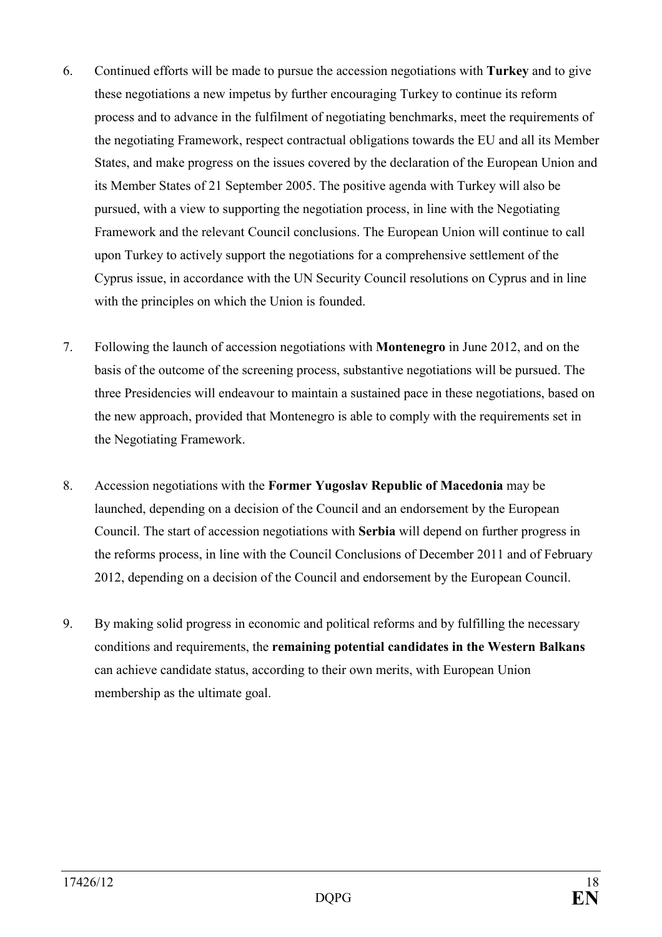- 6. Continued efforts will be made to pursue the accession negotiations with **Turkey** and to give these negotiations a new impetus by further encouraging Turkey to continue its reform process and to advance in the fulfilment of negotiating benchmarks, meet the requirements of the negotiating Framework, respect contractual obligations towards the EU and all its Member States, and make progress on the issues covered by the declaration of the European Union and its Member States of 21 September 2005. The positive agenda with Turkey will also be pursued, with a view to supporting the negotiation process, in line with the Negotiating Framework and the relevant Council conclusions. The European Union will continue to call upon Turkey to actively support the negotiations for a comprehensive settlement of the Cyprus issue, in accordance with the UN Security Council resolutions on Cyprus and in line with the principles on which the Union is founded.
- 7. Following the launch of accession negotiations with **Montenegro** in June 2012, and on the basis of the outcome of the screening process, substantive negotiations will be pursued. The three Presidencies will endeavour to maintain a sustained pace in these negotiations, based on the new approach, provided that Montenegro is able to comply with the requirements set in the Negotiating Framework.
- 8. Accession negotiations with the **Former Yugoslav Republic of Macedonia** may be launched, depending on a decision of the Council and an endorsement by the European Council. The start of accession negotiations with **Serbia** will depend on further progress in the reforms process, in line with the Council Conclusions of December 2011 and of February 2012, depending on a decision of the Council and endorsement by the European Council.
- 9. By making solid progress in economic and political reforms and by fulfilling the necessary conditions and requirements, the **remaining potential candidates in the Western Balkans** can achieve candidate status, according to their own merits, with European Union membership as the ultimate goal.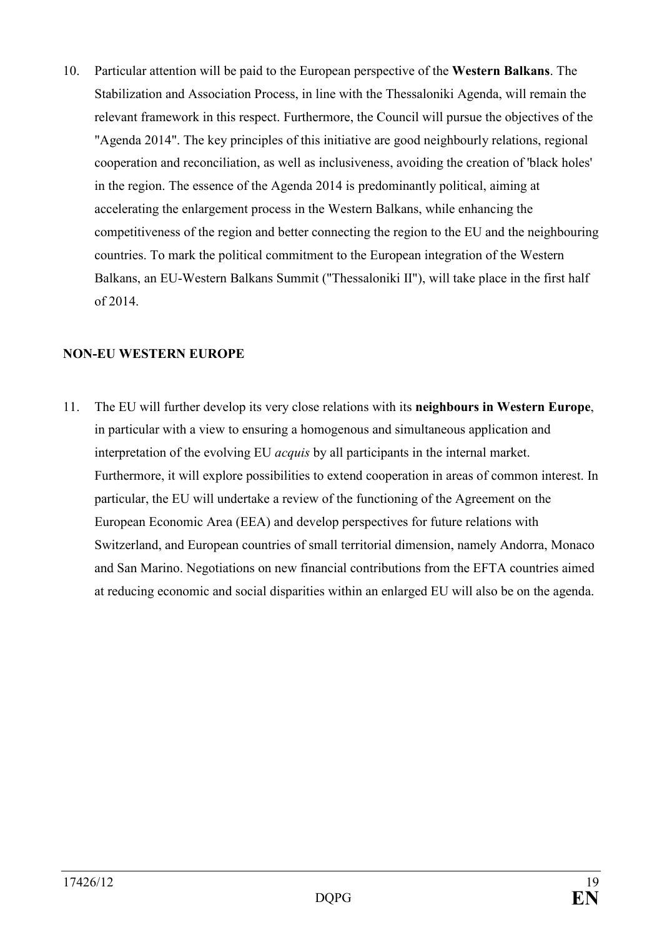<span id="page-18-0"></span>10. Particular attention will be paid to the European perspective of the **Western Balkans**. The Stabilization and Association Process, in line with the Thessaloniki Agenda, will remain the relevant framework in this respect. Furthermore, the Council will pursue the objectives of the "Agenda 2014". The key principles of this initiative are good neighbourly relations, regional cooperation and reconciliation, as well as inclusiveness, avoiding the creation of 'black holes' in the region. The essence of the Agenda 2014 is predominantly political, aiming at accelerating the enlargement process in the Western Balkans, while enhancing the competitiveness of the region and better connecting the region to the EU and the neighbouring countries. To mark the political commitment to the European integration of the Western Balkans, an EU-Western Balkans Summit ("Thessaloniki II"), will take place in the first half of 2014.

### **NON-EU WESTERN EUROPE**

11. The EU will further develop its very close relations with its **neighbours in Western Europe**, in particular with a view to ensuring a homogenous and simultaneous application and interpretation of the evolving EU *acquis* by all participants in the internal market. Furthermore, it will explore possibilities to extend cooperation in areas of common interest. In particular, the EU will undertake a review of the functioning of the Agreement on the European Economic Area (EEA) and develop perspectives for future relations with Switzerland, and European countries of small territorial dimension, namely Andorra, Monaco and San Marino. Negotiations on new financial contributions from the EFTA countries aimed at reducing economic and social disparities within an enlarged EU will also be on the agenda.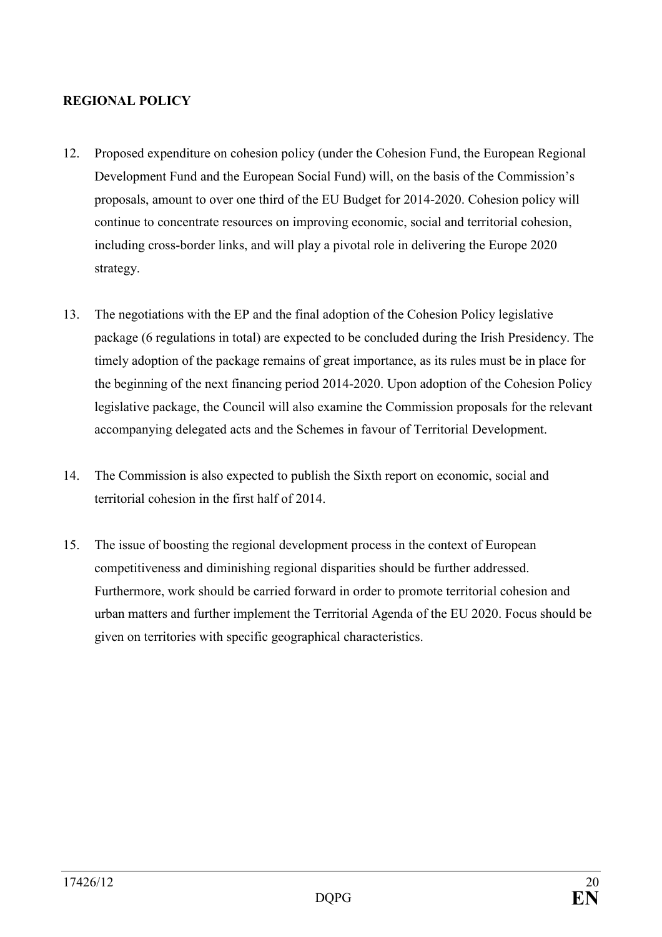#### <span id="page-19-0"></span>**REGIOAL POLICY**

- 12. Proposed expenditure on cohesion policy (under the Cohesion Fund, the European Regional Development Fund and the European Social Fund) will, on the basis of the Commission's proposals, amount to over one third of the EU Budget for 2014-2020. Cohesion policy will continue to concentrate resources on improving economic, social and territorial cohesion, including cross-border links, and will play a pivotal role in delivering the Europe 2020 strategy.
- 13. The negotiations with the EP and the final adoption of the Cohesion Policy legislative package (6 regulations in total) are expected to be concluded during the Irish Presidency. The timely adoption of the package remains of great importance, as its rules must be in place for the beginning of the next financing period 2014-2020. Upon adoption of the Cohesion Policy legislative package, the Council will also examine the Commission proposals for the relevant accompanying delegated acts and the Schemes in favour of Territorial Development.
- 14. The Commission is also expected to publish the Sixth report on economic, social and territorial cohesion in the first half of 2014.
- 15. The issue of boosting the regional development process in the context of European competitiveness and diminishing regional disparities should be further addressed. Furthermore, work should be carried forward in order to promote territorial cohesion and urban matters and further implement the Territorial Agenda of the EU 2020. Focus should be given on territories with specific geographical characteristics.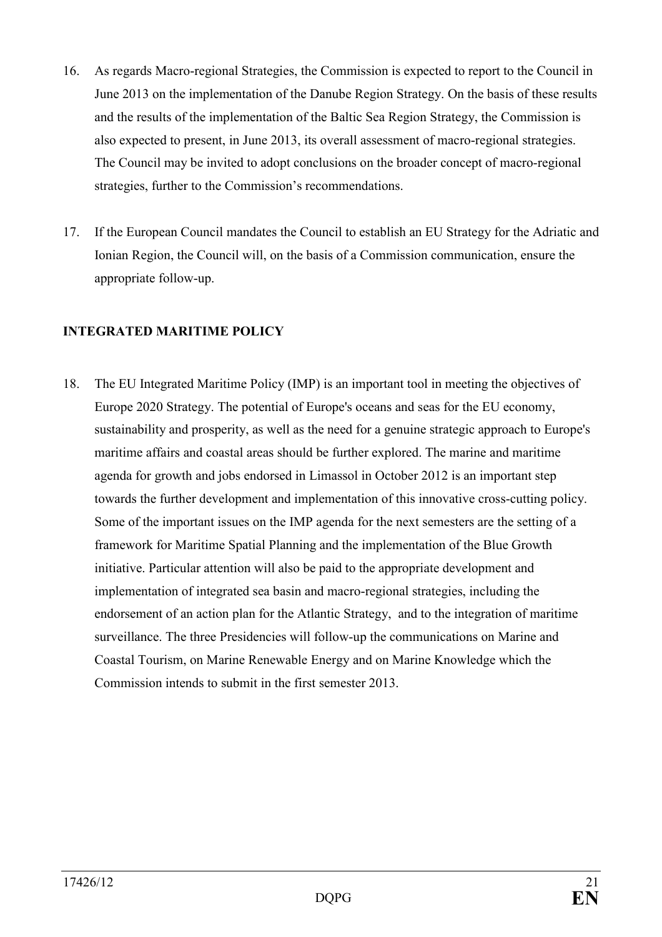- <span id="page-20-0"></span>16. As regards Macro-regional Strategies, the Commission is expected to report to the Council in June 2013 on the implementation of the Danube Region Strategy. On the basis of these results and the results of the implementation of the Baltic Sea Region Strategy, the Commission is also expected to present, in June 2013, its overall assessment of macro-regional strategies. The Council may be invited to adopt conclusions on the broader concept of macro-regional strategies, further to the Commission's recommendations.
- 17. If the European Council mandates the Council to establish an EU Strategy for the Adriatic and Ionian Region, the Council will, on the basis of a Commission communication, ensure the appropriate follow-up.

## **INTEGRATED MARITIME POLICY**

18. The EU Integrated Maritime Policy (IMP) is an important tool in meeting the objectives of Europe 2020 Strategy. The potential of Europe's oceans and seas for the EU economy, sustainability and prosperity, as well as the need for a genuine strategic approach to Europe's maritime affairs and coastal areas should be further explored. The marine and maritime agenda for growth and jobs endorsed in Limassol in October 2012 is an important step towards the further development and implementation of this innovative cross-cutting policy. Some of the important issues on the IMP agenda for the next semesters are the setting of a framework for Maritime Spatial Planning and the implementation of the Blue Growth initiative. Particular attention will also be paid to the appropriate development and implementation of integrated sea basin and macro-regional strategies, including the endorsement of an action plan for the Atlantic Strategy, and to the integration of maritime surveillance. The three Presidencies will follow-up the communications on Marine and Coastal Tourism, on Marine Renewable Energy and on Marine Knowledge which the Commission intends to submit in the first semester 2013.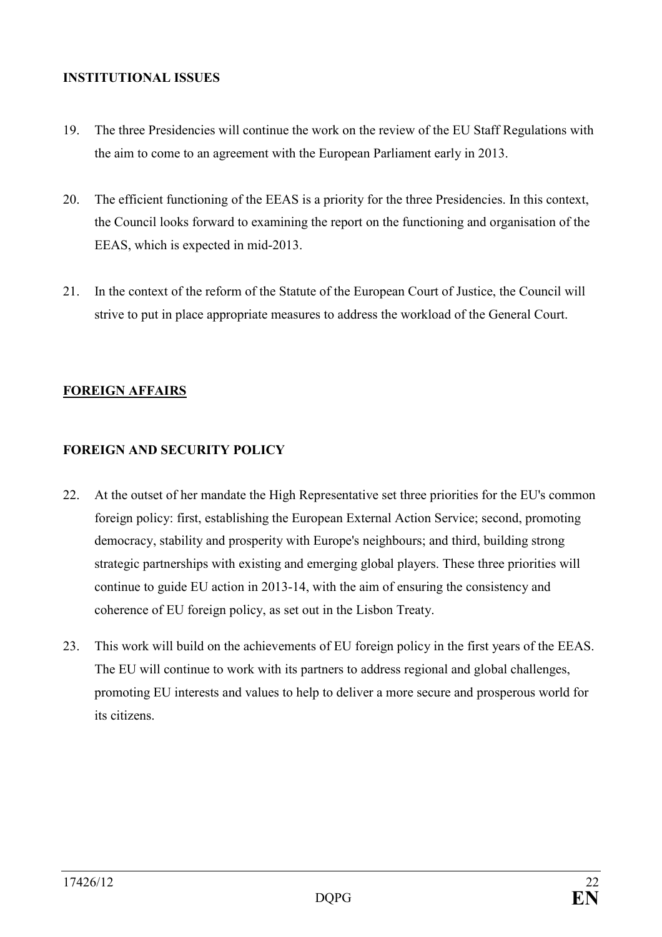#### <span id="page-21-0"></span>**ISTITUTIOAL ISSUES**

- 19. The three Presidencies will continue the work on the review of the EU Staff Regulations with the aim to come to an agreement with the European Parliament early in 2013.
- 20. The efficient functioning of the EEAS is a priority for the three Presidencies. In this context, the Council looks forward to examining the report on the functioning and organisation of the EEAS, which is expected in mid-2013.
- 21. In the context of the reform of the Statute of the European Court of Justice, the Council will strive to put in place appropriate measures to address the workload of the General Court.

## **FOREIGN AFFAIRS**

## **FOREIGN AND SECURITY POLICY**

- 22. At the outset of her mandate the High Representative set three priorities for the EU's common foreign policy: first, establishing the European External Action Service; second, promoting democracy, stability and prosperity with Europe's neighbours; and third, building strong strategic partnerships with existing and emerging global players. These three priorities will continue to guide EU action in 2013-14, with the aim of ensuring the consistency and coherence of EU foreign policy, as set out in the Lisbon Treaty.
- 23. This work will build on the achievements of EU foreign policy in the first years of the EEAS. The EU will continue to work with its partners to address regional and global challenges, promoting EU interests and values to help to deliver a more secure and prosperous world for its citizens.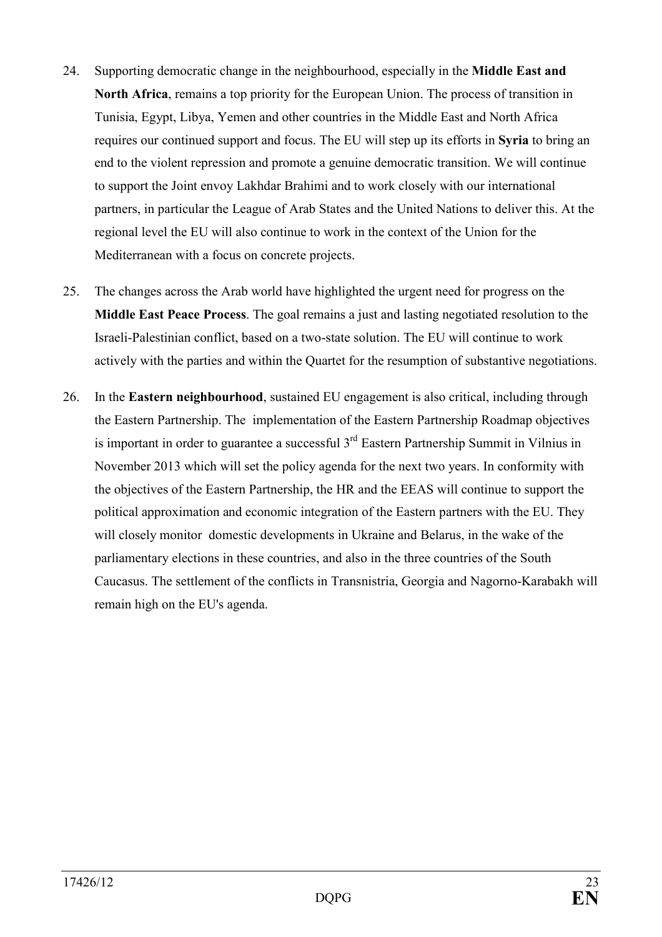- 24. Supporting democratic change in the neighbourhood, especially in the **Middle East and North Africa**, remains a top priority for the European Union. The process of transition in Tunisia, Egypt, Libya, Yemen and other countries in the Middle East and North Africa requires our continued support and focus. The EU will step up its efforts in **Syria** to bring an end to the violent repression and promote a genuine democratic transition. We will continue to support the Joint envoy Lakhdar Brahimi and to work closely with our international partners, in particular the League of Arab States and the United Nations to deliver this. At the regional level the EU will also continue to work in the context of the Union for the Mediterranean with a focus on concrete projects.
- 25. The changes across the Arab world have highlighted the urgent need for progress on the **Middle East Peace Process**. The goal remains a just and lasting negotiated resolution to the Israeli-Palestinian conflict, based on a two-state solution. The EU will continue to work actively with the parties and within the Quartet for the resumption of substantive negotiations.
- 26. In the **Eastern neighbourhood**, sustained EU engagement is also critical, including through the Eastern Partnership. The implementation of the Eastern Partnership Roadmap objectives is important in order to guarantee a successful  $3<sup>rd</sup>$  Eastern Partnership Summit in Vilnius in November 2013 which will set the policy agenda for the next two years. In conformity with the objectives of the Eastern Partnership, the HR and the EEAS will continue to support the political approximation and economic integration of the Eastern partners with the EU. They will closely monitor domestic developments in Ukraine and Belarus, in the wake of the parliamentary elections in these countries, and also in the three countries of the South Caucasus. The settlement of the conflicts in Transnistria, Georgia and Nagorno-Karabakh will remain high on the EU's agenda.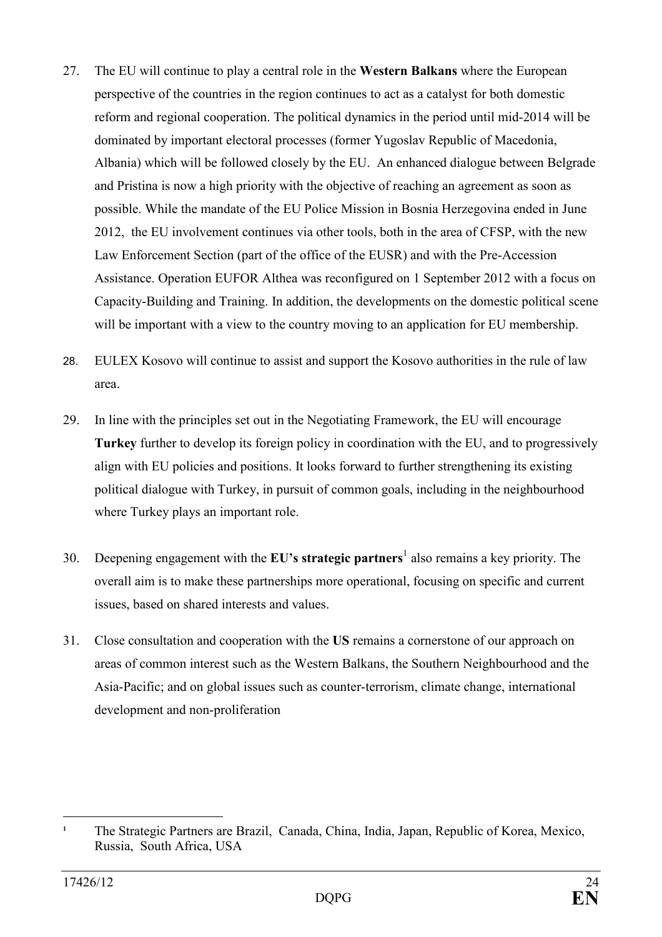- 27. The EU will continue to play a central role in the **Western Balkans** where the European perspective of the countries in the region continues to act as a catalyst for both domestic reform and regional cooperation. The political dynamics in the period until mid-2014 will be dominated by important electoral processes (former Yugoslav Republic of Macedonia, Albania) which will be followed closely by the EU. An enhanced dialogue between Belgrade and Pristina is now a high priority with the objective of reaching an agreement as soon as possible. While the mandate of the EU Police Mission in Bosnia Herzegovina ended in June 2012, the EU involvement continues via other tools, both in the area of CFSP, with the new Law Enforcement Section (part of the office of the EUSR) and with the Pre-Accession Assistance. Operation EUFOR Althea was reconfigured on 1 September 2012 with a focus on Capacity-Building and Training. In addition, the developments on the domestic political scene will be important with a view to the country moving to an application for EU membership.
- 28. EULEX Kosovo will continue to assist and support the Kosovo authorities in the rule of law area.
- 29. In line with the principles set out in the Negotiating Framework, the EU will encourage **Turkey** further to develop its foreign policy in coordination with the EU, and to progressively align with EU policies and positions. It looks forward to further strengthening its existing political dialogue with Turkey, in pursuit of common goals, including in the neighbourhood where Turkey plays an important role.
- 30. Deepening engagement with the **EU's strategic partners** also remains a key priority. The overall aim is to make these partnerships more operational, focusing on specific and current issues, based on shared interests and values.
- 31. Close consultation and cooperation with the **US** remains a cornerstone of our approach on areas of common interest such as the Western Balkans, the Southern Neighbourhood and the Asia-Pacific; and on global issues such as counter-terrorism, climate change, international development and non-proliferation

 $\overline{a}$ **1** The Strategic Partners are Brazil, Canada, China, India, Japan, Republic of Korea, Mexico, Russia, South Africa, USA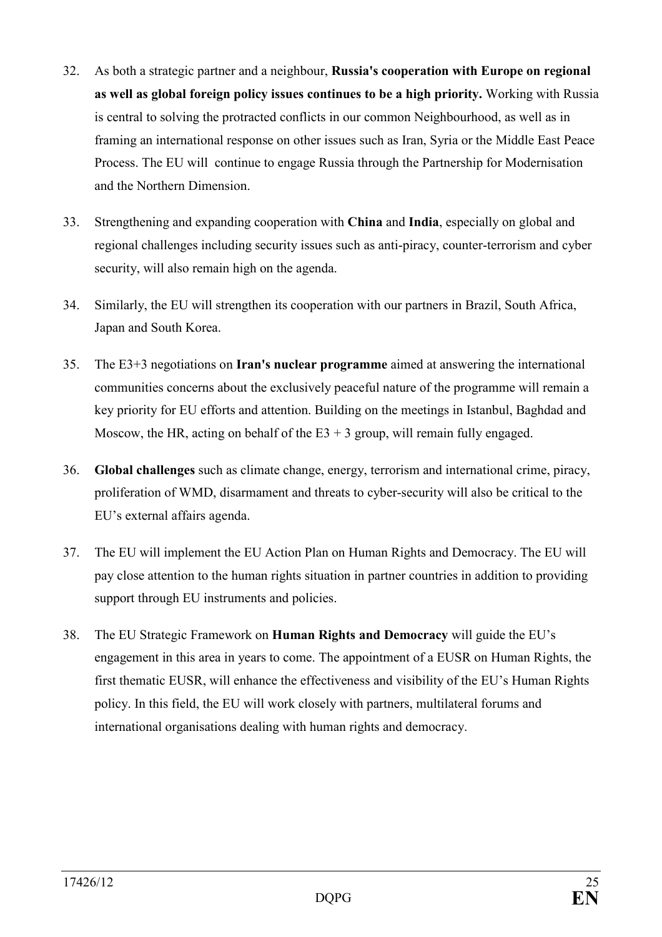- 32. As both a strategic partner and a neighbour, **Russia's cooperation with Europe on regional as well as global foreign policy issues continues to be a high priority.** Working with Russia is central to solving the protracted conflicts in our common Neighbourhood, as well as in framing an international response on other issues such as Iran, Syria or the Middle East Peace Process. The EU will continue to engage Russia through the Partnership for Modernisation and the Northern Dimension.
- 33. Strengthening and expanding cooperation with **China** and **India**, especially on global and regional challenges including security issues such as anti-piracy, counter-terrorism and cyber security, will also remain high on the agenda.
- 34. Similarly, the EU will strengthen its cooperation with our partners in Brazil, South Africa, Japan and South Korea.
- 35. The E3+3 negotiations on **Iran's nuclear programme** aimed at answering the international communities concerns about the exclusively peaceful nature of the programme will remain a key priority for EU efforts and attention. Building on the meetings in Istanbul, Baghdad and Moscow, the HR, acting on behalf of the  $E_3 + 3$  group, will remain fully engaged.
- 36. **Global challenges** such as climate change, energy, terrorism and international crime, piracy, proliferation of WMD, disarmament and threats to cyber-security will also be critical to the EU's external affairs agenda.
- 37. The EU will implement the EU Action Plan on Human Rights and Democracy. The EU will pay close attention to the human rights situation in partner countries in addition to providing support through EU instruments and policies.
- 38. The EU Strategic Framework on **Human Rights and Democracy** will guide the EU's engagement in this area in years to come. The appointment of a EUSR on Human Rights, the first thematic EUSR, will enhance the effectiveness and visibility of the EU's Human Rights policy. In this field, the EU will work closely with partners, multilateral forums and international organisations dealing with human rights and democracy.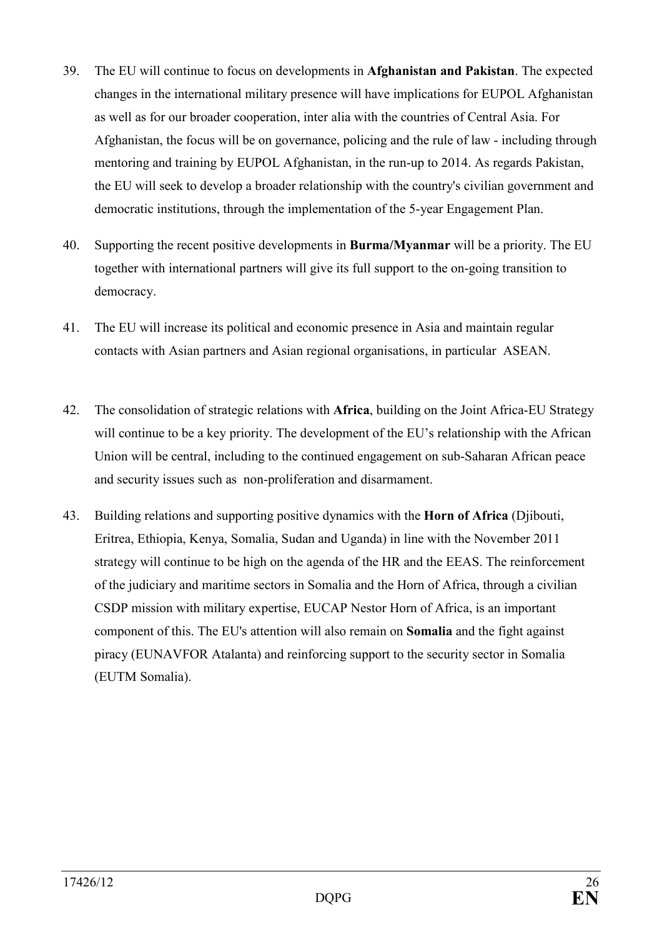- 39. The EU will continue to focus on developments in **Afghanistan and Pakistan**. The expected changes in the international military presence will have implications for EUPOL Afghanistan as well as for our broader cooperation, inter alia with the countries of Central Asia. For Afghanistan, the focus will be on governance, policing and the rule of law - including through mentoring and training by EUPOL Afghanistan, in the run-up to 2014. As regards Pakistan, the EU will seek to develop a broader relationship with the country's civilian government and democratic institutions, through the implementation of the 5-year Engagement Plan.
- 40. Supporting the recent positive developments in **Burma/Myanmar** will be a priority. The EU together with international partners will give its full support to the on-going transition to democracy.
- 41. The EU will increase its political and economic presence in Asia and maintain regular contacts with Asian partners and Asian regional organisations, in particular ASEAN.
- 42. The consolidation of strategic relations with **Africa**, building on the Joint Africa-EU Strategy will continue to be a key priority. The development of the EU's relationship with the African Union will be central, including to the continued engagement on sub-Saharan African peace and security issues such as non-proliferation and disarmament.
- 43. Building relations and supporting positive dynamics with the **Horn of Africa** (Djibouti, Eritrea, Ethiopia, Kenya, Somalia, Sudan and Uganda) in line with the November 2011 strategy will continue to be high on the agenda of the HR and the EEAS. The reinforcement of the judiciary and maritime sectors in Somalia and the Horn of Africa, through a civilian CSDP mission with military expertise, EUCAP Nestor Horn of Africa, is an important component of this. The EU's attention will also remain on **Somalia** and the fight against piracy (EUNAVFOR Atalanta) and reinforcing support to the security sector in Somalia (EUTM Somalia).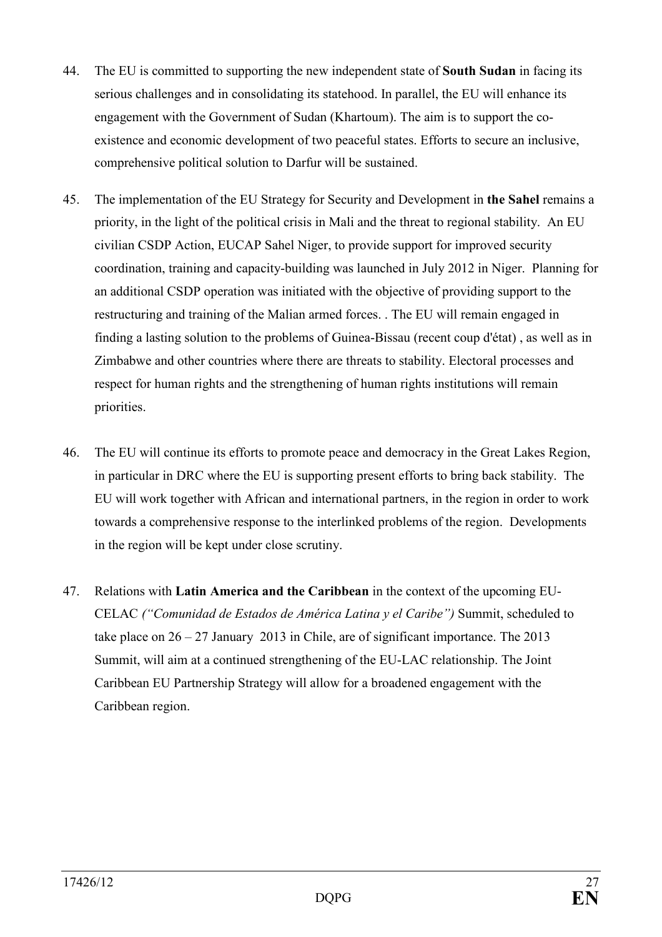- 44. The EU is committed to supporting the new independent state of **South Sudan** in facing its serious challenges and in consolidating its statehood. In parallel, the EU will enhance its engagement with the Government of Sudan (Khartoum). The aim is to support the coexistence and economic development of two peaceful states. Efforts to secure an inclusive, comprehensive political solution to Darfur will be sustained.
- 45. The implementation of the EU Strategy for Security and Development in **the Sahel** remains a priority, in the light of the political crisis in Mali and the threat to regional stability. An EU civilian CSDP Action, EUCAP Sahel Niger, to provide support for improved security coordination, training and capacity-building was launched in July 2012 in Niger. Planning for an additional CSDP operation was initiated with the objective of providing support to the restructuring and training of the Malian armed forces. . The EU will remain engaged in finding a lasting solution to the problems of Guinea-Bissau (recent coup d'état) , as well as in Zimbabwe and other countries where there are threats to stability. Electoral processes and respect for human rights and the strengthening of human rights institutions will remain priorities.
- 46. The EU will continue its efforts to promote peace and democracy in the Great Lakes Region, in particular in DRC where the EU is supporting present efforts to bring back stability. The EU will work together with African and international partners, in the region in order to work towards a comprehensive response to the interlinked problems of the region. Developments in the region will be kept under close scrutiny.
- 47. Relations with **Latin America and the Caribbean** in the context of the upcoming EU-CELAC *("Comunidad de Estados de América Latina y el Caribe")* Summit, scheduled to take place on  $26 - 27$  January 2013 in Chile, are of significant importance. The 2013 Summit, will aim at a continued strengthening of the EU-LAC relationship. The Joint Caribbean EU Partnership Strategy will allow for a broadened engagement with the Caribbean region.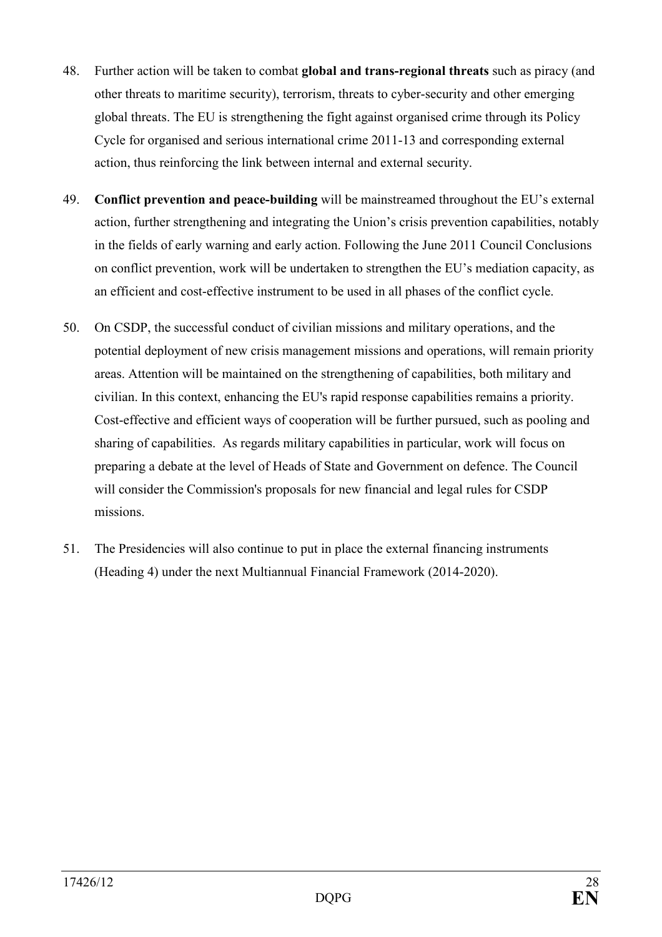- 48. Further action will be taken to combat **global and trans-regional threats** such as piracy (and other threats to maritime security), terrorism, threats to cyber-security and other emerging global threats. The EU is strengthening the fight against organised crime through its Policy Cycle for organised and serious international crime 2011-13 and corresponding external action, thus reinforcing the link between internal and external security.
- 49. **Conflict prevention and peace-building** will be mainstreamed throughout the EU's external action, further strengthening and integrating the Union's crisis prevention capabilities, notably in the fields of early warning and early action. Following the June 2011 Council Conclusions on conflict prevention, work will be undertaken to strengthen the EU's mediation capacity, as an efficient and cost-effective instrument to be used in all phases of the conflict cycle.
- 50. On CSDP, the successful conduct of civilian missions and military operations, and the potential deployment of new crisis management missions and operations, will remain priority areas. Attention will be maintained on the strengthening of capabilities, both military and civilian. In this context, enhancing the EU's rapid response capabilities remains a priority. Cost-effective and efficient ways of cooperation will be further pursued, such as pooling and sharing of capabilities. As regards military capabilities in particular, work will focus on preparing a debate at the level of Heads of State and Government on defence. The Council will consider the Commission's proposals for new financial and legal rules for CSDP missions.
- 51. The Presidencies will also continue to put in place the external financing instruments (Heading 4) under the next Multiannual Financial Framework (2014-2020).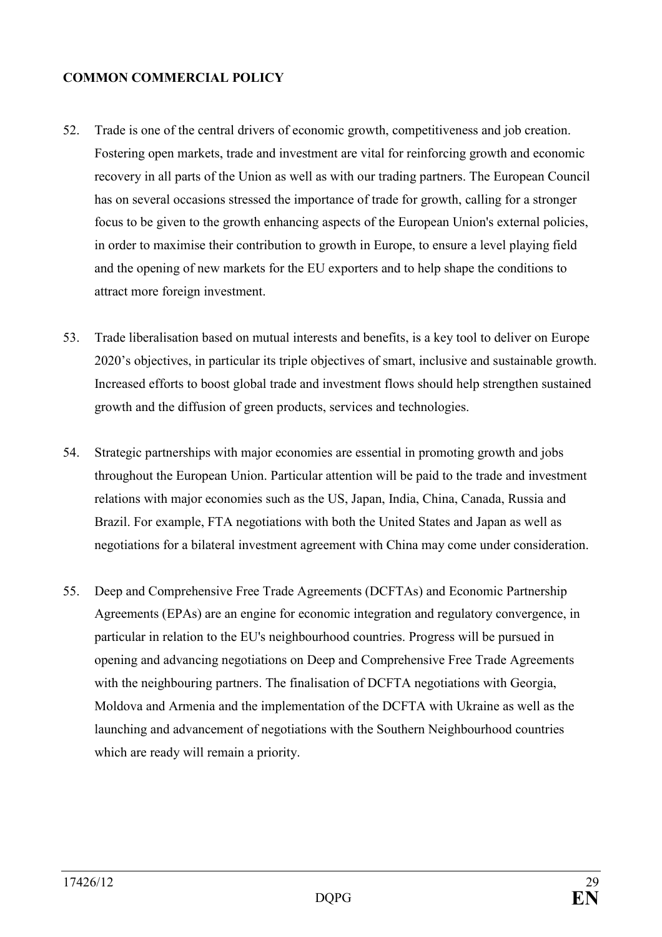### <span id="page-28-0"></span>**COMMON COMMERCIAL POLICY**

- 52. Trade is one of the central drivers of economic growth, competitiveness and job creation. Fostering open markets, trade and investment are vital for reinforcing growth and economic recovery in all parts of the Union as well as with our trading partners. The European Council has on several occasions stressed the importance of trade for growth, calling for a stronger focus to be given to the growth enhancing aspects of the European Union's external policies, in order to maximise their contribution to growth in Europe, to ensure a level playing field and the opening of new markets for the EU exporters and to help shape the conditions to attract more foreign investment.
- 53. Trade liberalisation based on mutual interests and benefits, is a key tool to deliver on Europe 2020's objectives, in particular its triple objectives of smart, inclusive and sustainable growth. Increased efforts to boost global trade and investment flows should help strengthen sustained growth and the diffusion of green products, services and technologies.
- 54. Strategic partnerships with major economies are essential in promoting growth and jobs throughout the European Union. Particular attention will be paid to the trade and investment relations with major economies such as the US, Japan, India, China, Canada, Russia and Brazil. For example, FTA negotiations with both the United States and Japan as well as negotiations for a bilateral investment agreement with China may come under consideration.
- 55. Deep and Comprehensive Free Trade Agreements (DCFTAs) and Economic Partnership Agreements (EPAs) are an engine for economic integration and regulatory convergence, in particular in relation to the EU's neighbourhood countries. Progress will be pursued in opening and advancing negotiations on Deep and Comprehensive Free Trade Agreements with the neighbouring partners. The finalisation of DCFTA negotiations with Georgia, Moldova and Armenia and the implementation of the DCFTA with Ukraine as well as the launching and advancement of negotiations with the Southern Neighbourhood countries which are ready will remain a priority.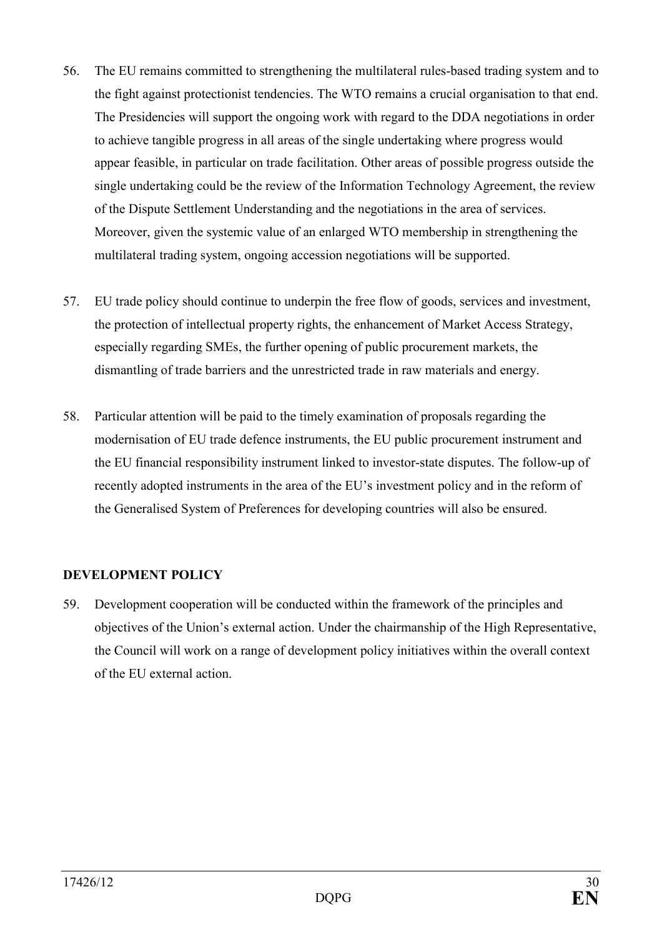- <span id="page-29-0"></span>56. The EU remains committed to strengthening the multilateral rules-based trading system and to the fight against protectionist tendencies. The WTO remains a crucial organisation to that end. The Presidencies will support the ongoing work with regard to the DDA negotiations in order to achieve tangible progress in all areas of the single undertaking where progress would appear feasible, in particular on trade facilitation. Other areas of possible progress outside the single undertaking could be the review of the Information Technology Agreement, the review of the Dispute Settlement Understanding and the negotiations in the area of services. Moreover, given the systemic value of an enlarged WTO membership in strengthening the multilateral trading system, ongoing accession negotiations will be supported.
- 57. EU trade policy should continue to underpin the free flow of goods, services and investment, the protection of intellectual property rights, the enhancement of Market Access Strategy, especially regarding SMEs, the further opening of public procurement markets, the dismantling of trade barriers and the unrestricted trade in raw materials and energy.
- 58. Particular attention will be paid to the timely examination of proposals regarding the modernisation of EU trade defence instruments, the EU public procurement instrument and the EU financial responsibility instrument linked to investor-state disputes. The follow-up of recently adopted instruments in the area of the EU's investment policy and in the reform of the Generalised System of Preferences for developing countries will also be ensured.

## **DEVELOPMET POLICY**

59. Development cooperation will be conducted within the framework of the principles and objectives of the Union's external action. Under the chairmanship of the High Representative, the Council will work on a range of development policy initiatives within the overall context of the EU external action.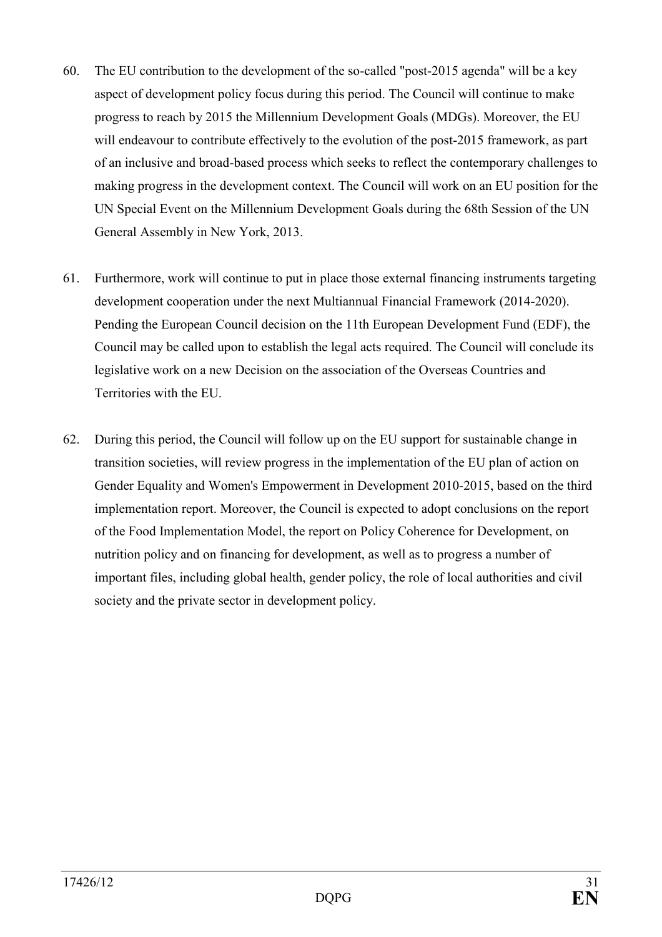- 60. The EU contribution to the development of the so-called "post-2015 agenda" will be a key aspect of development policy focus during this period. The Council will continue to make progress to reach by 2015 the Millennium Development Goals (MDGs). Moreover, the EU will endeavour to contribute effectively to the evolution of the post-2015 framework, as part of an inclusive and broad-based process which seeks to reflect the contemporary challenges to making progress in the development context. The Council will work on an EU position for the UN Special Event on the Millennium Development Goals during the 68th Session of the UN General Assembly in New York, 2013.
- 61. Furthermore, work will continue to put in place those external financing instruments targeting development cooperation under the next Multiannual Financial Framework (2014-2020). Pending the European Council decision on the 11th European Development Fund (EDF), the Council may be called upon to establish the legal acts required. The Council will conclude its legislative work on a new Decision on the association of the Overseas Countries and Territories with the EU.
- 62. During this period, the Council will follow up on the EU support for sustainable change in transition societies, will review progress in the implementation of the EU plan of action on Gender Equality and Women's Empowerment in Development 2010-2015, based on the third implementation report. Moreover, the Council is expected to adopt conclusions on the report of the Food Implementation Model, the report on Policy Coherence for Development, on nutrition policy and on financing for development, as well as to progress a number of important files, including global health, gender policy, the role of local authorities and civil society and the private sector in development policy.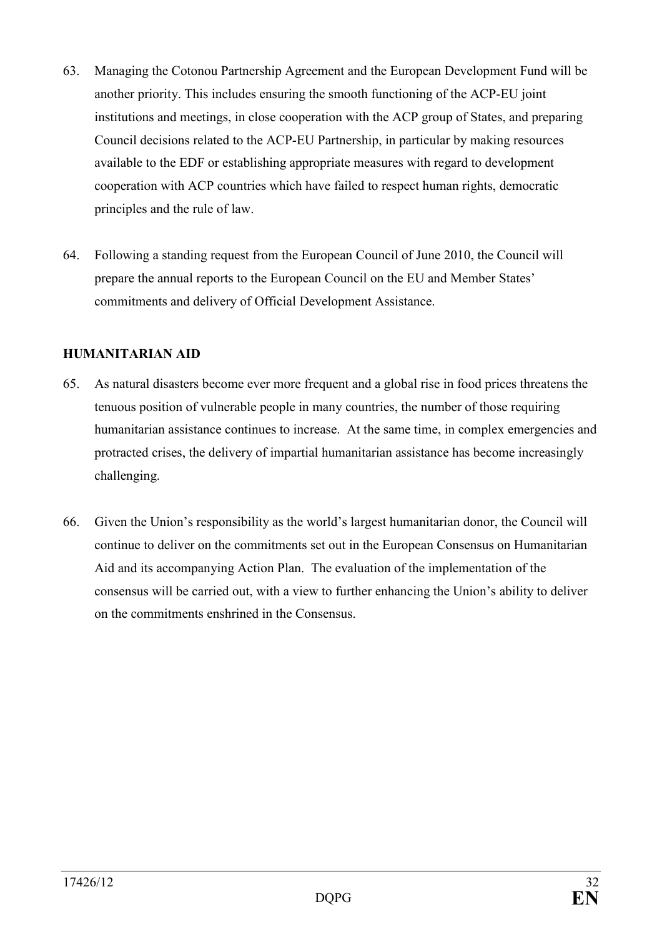- <span id="page-31-0"></span>63. Managing the Cotonou Partnership Agreement and the European Development Fund will be another priority. This includes ensuring the smooth functioning of the ACP-EU joint institutions and meetings, in close cooperation with the ACP group of States, and preparing Council decisions related to the ACP-EU Partnership, in particular by making resources available to the EDF or establishing appropriate measures with regard to development cooperation with ACP countries which have failed to respect human rights, democratic principles and the rule of law.
- 64. Following a standing request from the European Council of June 2010, the Council will prepare the annual reports to the European Council on the EU and Member States' commitments and delivery of Official Development Assistance.

### **HUMANITARIAN AID**

- 65. As natural disasters become ever more frequent and a global rise in food prices threatens the tenuous position of vulnerable people in many countries, the number of those requiring humanitarian assistance continues to increase. At the same time, in complex emergencies and protracted crises, the delivery of impartial humanitarian assistance has become increasingly challenging.
- 66. Given the Union's responsibility as the world's largest humanitarian donor, the Council will continue to deliver on the commitments set out in the European Consensus on Humanitarian Aid and its accompanying Action Plan. The evaluation of the implementation of the consensus will be carried out, with a view to further enhancing the Union's ability to deliver on the commitments enshrined in the Consensus.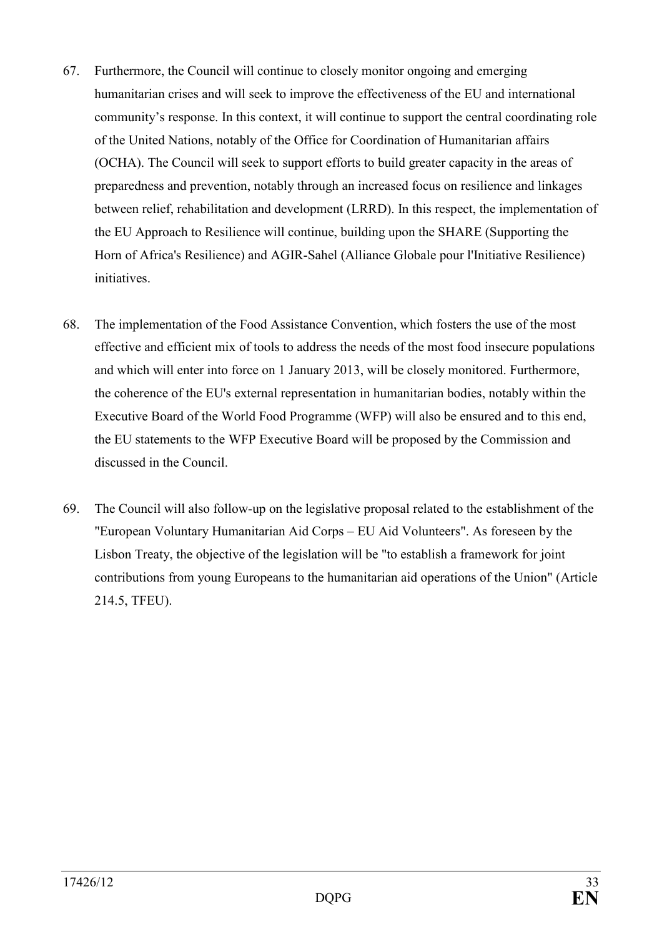- 67. Furthermore, the Council will continue to closely monitor ongoing and emerging humanitarian crises and will seek to improve the effectiveness of the EU and international community's response. In this context, it will continue to support the central coordinating role of the United Nations, notably of the Office for Coordination of Humanitarian affairs (OCHA). The Council will seek to support efforts to build greater capacity in the areas of preparedness and prevention, notably through an increased focus on resilience and linkages between relief, rehabilitation and development (LRRD). In this respect, the implementation of the EU Approach to Resilience will continue, building upon the SHARE (Supporting the Horn of Africa's Resilience) and AGIR-Sahel (Alliance Globale pour l'Initiative Resilience) initiatives.
- 68. The implementation of the Food Assistance Convention, which fosters the use of the most effective and efficient mix of tools to address the needs of the most food insecure populations and which will enter into force on 1 January 2013, will be closely monitored. Furthermore, the coherence of the EU's external representation in humanitarian bodies, notably within the Executive Board of the World Food Programme (WFP) will also be ensured and to this end, the EU statements to the WFP Executive Board will be proposed by the Commission and discussed in the Council.
- 69. The Council will also follow-up on the legislative proposal related to the establishment of the "European Voluntary Humanitarian Aid Corps – EU Aid Volunteers". As foreseen by the Lisbon Treaty, the objective of the legislation will be "to establish a framework for joint contributions from young Europeans to the humanitarian aid operations of the Union" (Article 214.5, TFEU).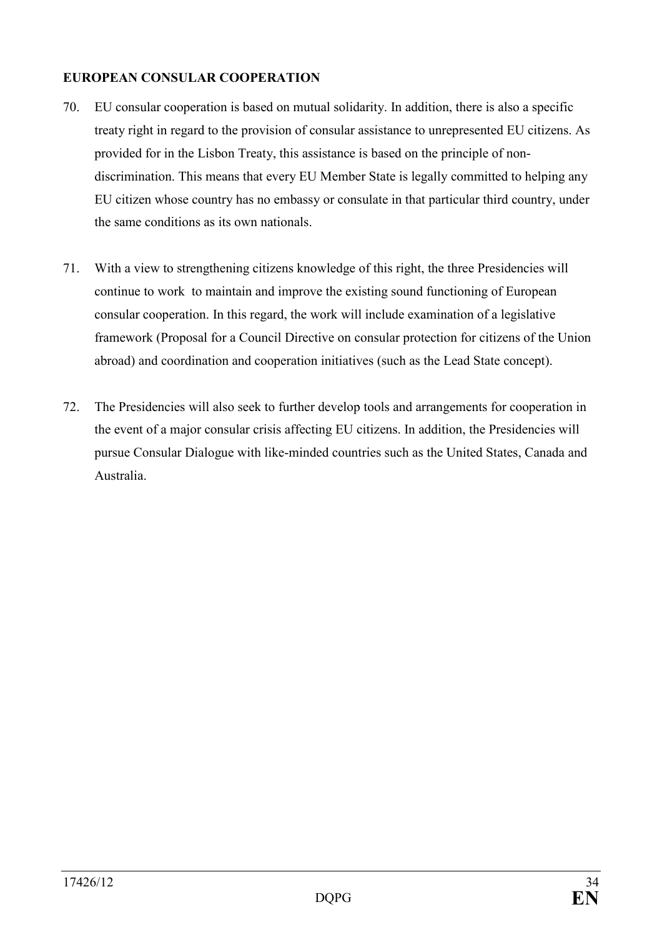### <span id="page-33-0"></span>**EUROPEAN CONSULAR COOPERATION**

- 70. EU consular cooperation is based on mutual solidarity. In addition, there is also a specific treaty right in regard to the provision of consular assistance to unrepresented EU citizens. As provided for in the Lisbon Treaty, this assistance is based on the principle of nondiscrimination. This means that every EU Member State is legally committed to helping any EU citizen whose country has no embassy or consulate in that particular third country, under the same conditions as its own nationals.
- 71. With a view to strengthening citizens knowledge of this right, the three Presidencies will continue to work to maintain and improve the existing sound functioning of European consular cooperation. In this regard, the work will include examination of a legislative framework (Proposal for a Council Directive on consular protection for citizens of the Union abroad) and coordination and cooperation initiatives (such as the Lead State concept).
- 72. The Presidencies will also seek to further develop tools and arrangements for cooperation in the event of a major consular crisis affecting EU citizens. In addition, the Presidencies will pursue Consular Dialogue with like-minded countries such as the United States, Canada and Australia.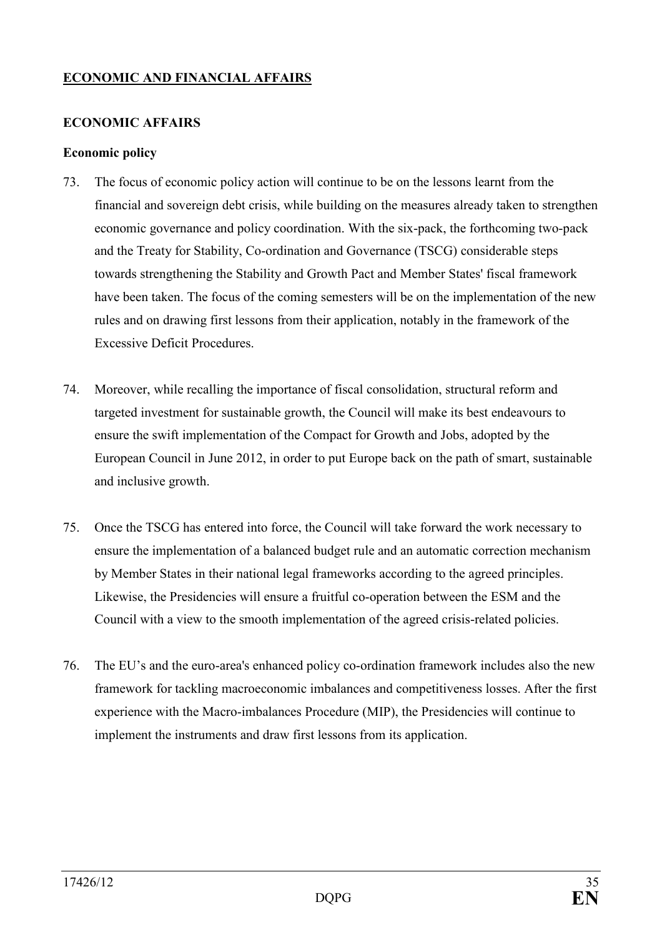## <span id="page-34-0"></span>**ECONOMIC AND FINANCIAL AFFAIRS**

#### **ECONOMIC AFFAIRS**

#### **Economic policy**

- 73. The focus of economic policy action will continue to be on the lessons learnt from the financial and sovereign debt crisis, while building on the measures already taken to strengthen economic governance and policy coordination. With the six-pack, the forthcoming two-pack and the Treaty for Stability, Co-ordination and Governance (TSCG) considerable steps towards strengthening the Stability and Growth Pact and Member States' fiscal framework have been taken. The focus of the coming semesters will be on the implementation of the new rules and on drawing first lessons from their application, notably in the framework of the Excessive Deficit Procedures.
- 74. Moreover, while recalling the importance of fiscal consolidation, structural reform and targeted investment for sustainable growth, the Council will make its best endeavours to ensure the swift implementation of the Compact for Growth and Jobs, adopted by the European Council in June 2012, in order to put Europe back on the path of smart, sustainable and inclusive growth.
- 75. Once the TSCG has entered into force, the Council will take forward the work necessary to ensure the implementation of a balanced budget rule and an automatic correction mechanism by Member States in their national legal frameworks according to the agreed principles. Likewise, the Presidencies will ensure a fruitful co-operation between the ESM and the Council with a view to the smooth implementation of the agreed crisis-related policies.
- 76. The EU's and the euro-area's enhanced policy co-ordination framework includes also the new framework for tackling macroeconomic imbalances and competitiveness losses. After the first experience with the Macro-imbalances Procedure (MIP), the Presidencies will continue to implement the instruments and draw first lessons from its application.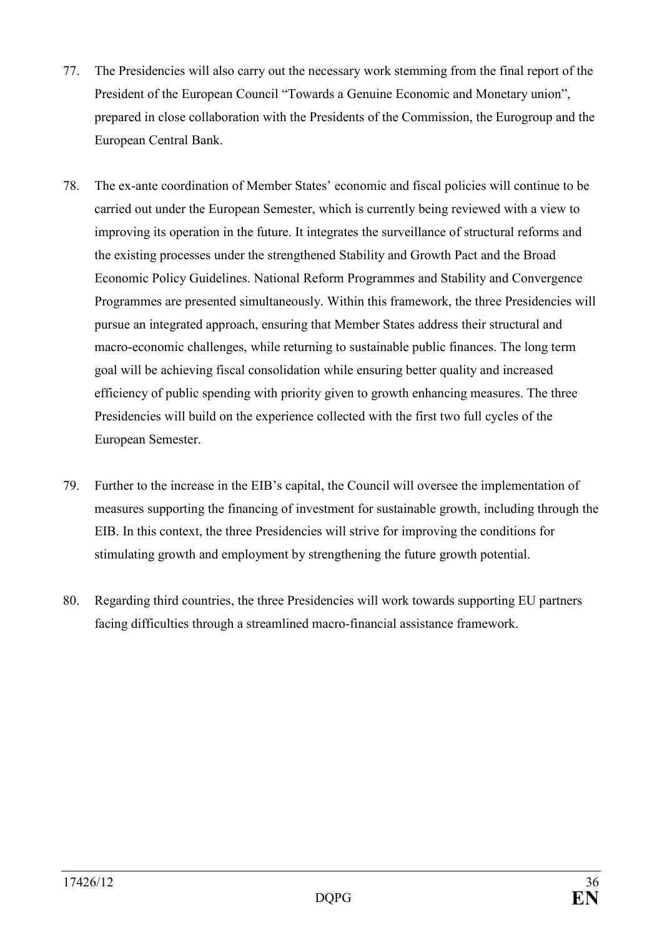- 77. The Presidencies will also carry out the necessary work stemming from the final report of the President of the European Council "Towards a Genuine Economic and Monetary union", prepared in close collaboration with the Presidents of the Commission, the Eurogroup and the European Central Bank.
- 78. The ex-ante coordination of Member States' economic and fiscal policies will continue to be carried out under the European Semester, which is currently being reviewed with a view to improving its operation in the future. It integrates the surveillance of structural reforms and the existing processes under the strengthened Stability and Growth Pact and the Broad Economic Policy Guidelines. National Reform Programmes and Stability and Convergence Programmes are presented simultaneously. Within this framework, the three Presidencies will pursue an integrated approach, ensuring that Member States address their structural and macro-economic challenges, while returning to sustainable public finances. The long term goal will be achieving fiscal consolidation while ensuring better quality and increased efficiency of public spending with priority given to growth enhancing measures. The three Presidencies will build on the experience collected with the first two full cycles of the European Semester.
- 79. Further to the increase in the EIB's capital, the Council will oversee the implementation of measures supporting the financing of investment for sustainable growth, including through the EIB. In this context, the three Presidencies will strive for improving the conditions for stimulating growth and employment by strengthening the future growth potential.
- 80. Regarding third countries, the three Presidencies will work towards supporting EU partners facing difficulties through a streamlined macro-financial assistance framework.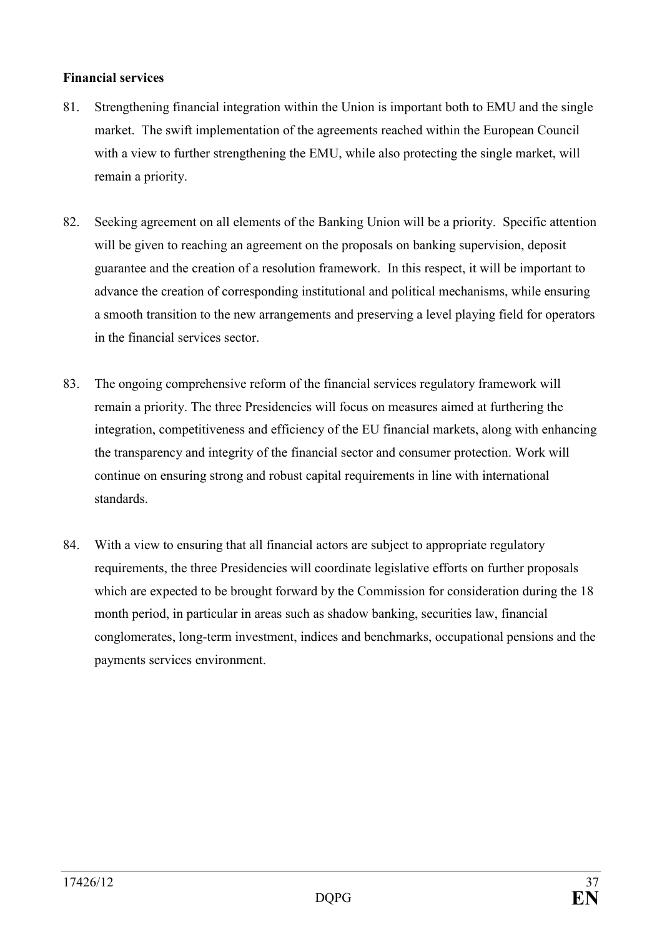### **Financial services**

- 81. Strengthening financial integration within the Union is important both to EMU and the single market. The swift implementation of the agreements reached within the European Council with a view to further strengthening the EMU, while also protecting the single market, will remain a priority.
- 82. Seeking agreement on all elements of the Banking Union will be a priority. Specific attention will be given to reaching an agreement on the proposals on banking supervision, deposit guarantee and the creation of a resolution framework. In this respect, it will be important to advance the creation of corresponding institutional and political mechanisms, while ensuring a smooth transition to the new arrangements and preserving a level playing field for operators in the financial services sector.
- 83. The ongoing comprehensive reform of the financial services regulatory framework will remain a priority. The three Presidencies will focus on measures aimed at furthering the integration, competitiveness and efficiency of the EU financial markets, along with enhancing the transparency and integrity of the financial sector and consumer protection. Work will continue on ensuring strong and robust capital requirements in line with international standards.
- 84. With a view to ensuring that all financial actors are subject to appropriate regulatory requirements, the three Presidencies will coordinate legislative efforts on further proposals which are expected to be brought forward by the Commission for consideration during the 18 month period, in particular in areas such as shadow banking, securities law, financial conglomerates, long-term investment, indices and benchmarks, occupational pensions and the payments services environment.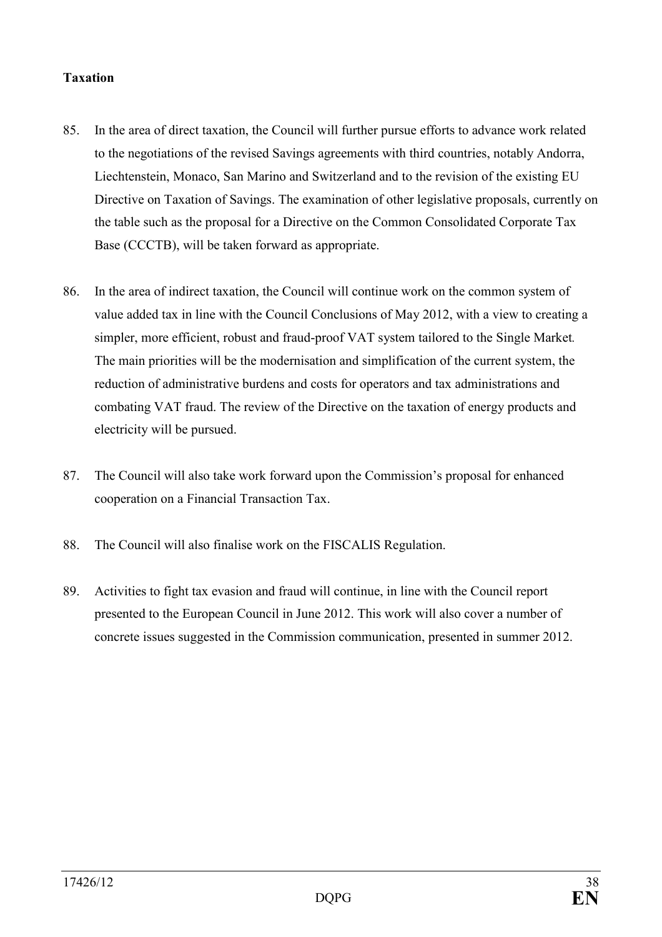## **Taxation**

- 85. In the area of direct taxation, the Council will further pursue efforts to advance work related to the negotiations of the revised Savings agreements with third countries, notably Andorra, Liechtenstein, Monaco, San Marino and Switzerland and to the revision of the existing EU Directive on Taxation of Savings. The examination of other legislative proposals, currently on the table such as the proposal for a Directive on the Common Consolidated Corporate Tax Base (CCCTB), will be taken forward as appropriate.
- 86. In the area of indirect taxation, the Council will continue work on the common system of value added tax in line with the Council Conclusions of May 2012, with a view to creating a simpler, more efficient, robust and fraud-proof VAT system tailored to the Single Market*.* The main priorities will be the modernisation and simplification of the current system, the reduction of administrative burdens and costs for operators and tax administrations and combating VAT fraud. The review of the Directive on the taxation of energy products and electricity will be pursued.
- 87. The Council will also take work forward upon the Commission's proposal for enhanced cooperation on a Financial Transaction Tax.
- 88. The Council will also finalise work on the FISCALIS Regulation.
- 89. Activities to fight tax evasion and fraud will continue, in line with the Council report presented to the European Council in June 2012. This work will also cover a number of concrete issues suggested in the Commission communication, presented in summer 2012.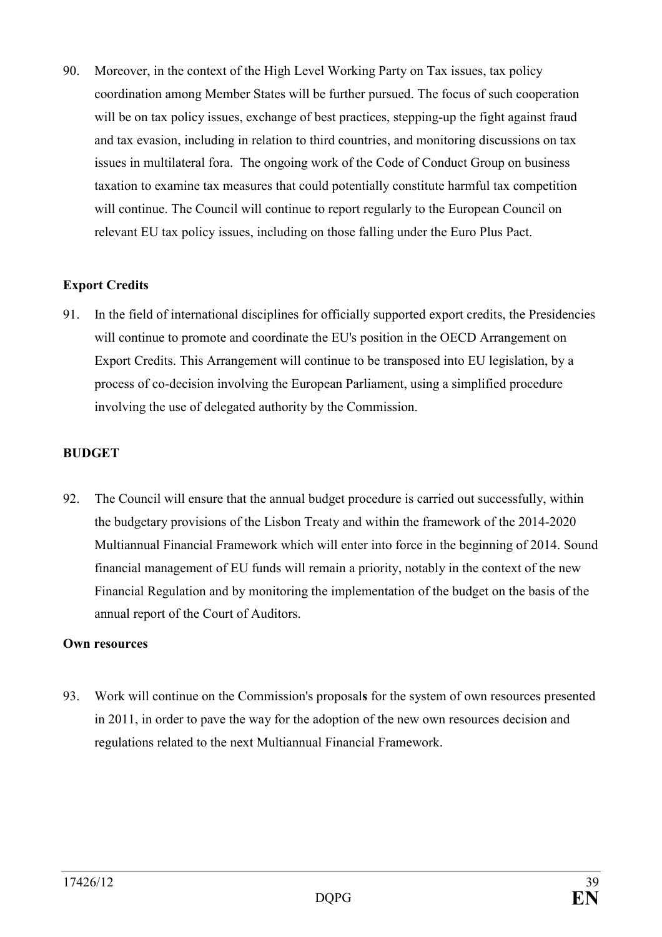90. Moreover, in the context of the High Level Working Party on Tax issues, tax policy coordination among Member States will be further pursued. The focus of such cooperation will be on tax policy issues, exchange of best practices, stepping-up the fight against fraud and tax evasion, including in relation to third countries, and monitoring discussions on tax issues in multilateral fora. The ongoing work of the Code of Conduct Group on business taxation to examine tax measures that could potentially constitute harmful tax competition will continue. The Council will continue to report regularly to the European Council on relevant EU tax policy issues, including on those falling under the Euro Plus Pact.

## **Export Credits**

91. In the field of international disciplines for officially supported export credits, the Presidencies will continue to promote and coordinate the EU's position in the OECD Arrangement on Export Credits. This Arrangement will continue to be transposed into EU legislation, by a process of co-decision involving the European Parliament, using a simplified procedure involving the use of delegated authority by the Commission.

# **BUDGET**

92. The Council will ensure that the annual budget procedure is carried out successfully, within the budgetary provisions of the Lisbon Treaty and within the framework of the 2014-2020 Multiannual Financial Framework which will enter into force in the beginning of 2014. Sound financial management of EU funds will remain a priority, notably in the context of the new Financial Regulation and by monitoring the implementation of the budget on the basis of the annual report of the Court of Auditors.

## **Own resources**

93. Work will continue on the Commission's proposal**s** for the system of own resources presented in 2011, in order to pave the way for the adoption of the new own resources decision and regulations related to the next Multiannual Financial Framework.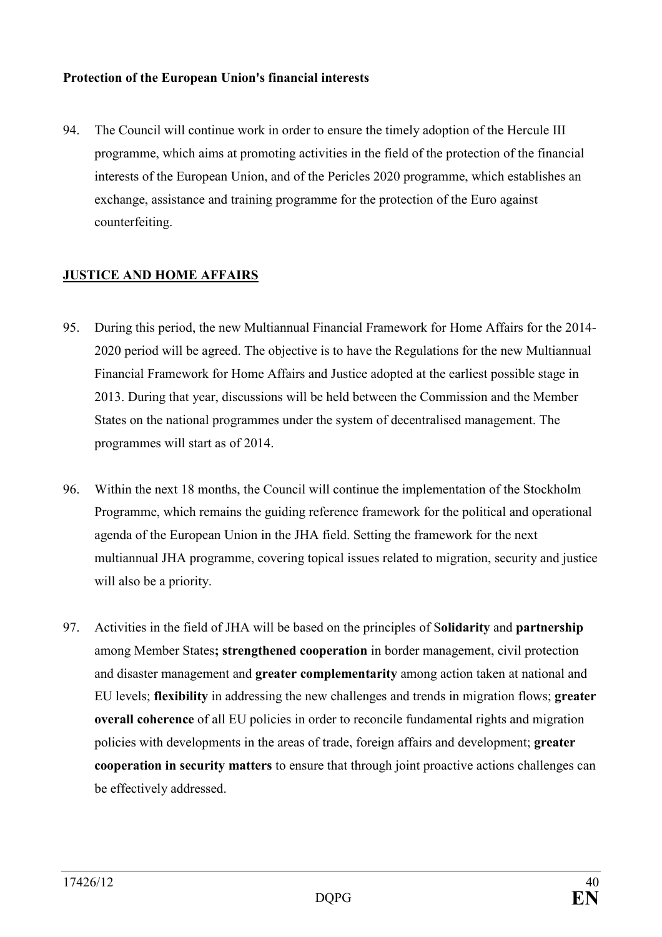## **Protection of the European Union's financial interests**

94. The Council will continue work in order to ensure the timely adoption of the Hercule III programme, which aims at promoting activities in the field of the protection of the financial interests of the European Union, and of the Pericles 2020 programme, which establishes an exchange, assistance and training programme for the protection of the Euro against counterfeiting.

### **JUSTICE AND HOME AFFAIRS**

- 95. During this period, the new Multiannual Financial Framework for Home Affairs for the 2014- 2020 period will be agreed. The objective is to have the Regulations for the new Multiannual Financial Framework for Home Affairs and Justice adopted at the earliest possible stage in 2013. During that year, discussions will be held between the Commission and the Member States on the national programmes under the system of decentralised management. The programmes will start as of 2014.
- 96. Within the next 18 months, the Council will continue the implementation of the Stockholm Programme, which remains the guiding reference framework for the political and operational agenda of the European Union in the JHA field. Setting the framework for the next multiannual JHA programme, covering topical issues related to migration, security and justice will also be a priority.
- 97. Activities in the field of JHA will be based on the principles of S**olidarity** and **partnership**  among Member States**; strengthened cooperation** in border management, civil protection and disaster management and **greater complementarity** among action taken at national and EU levels; **flexibility** in addressing the new challenges and trends in migration flows; **greater overall coherence** of all EU policies in order to reconcile fundamental rights and migration policies with developments in the areas of trade, foreign affairs and development; **greater cooperation in security matters** to ensure that through joint proactive actions challenges can be effectively addressed.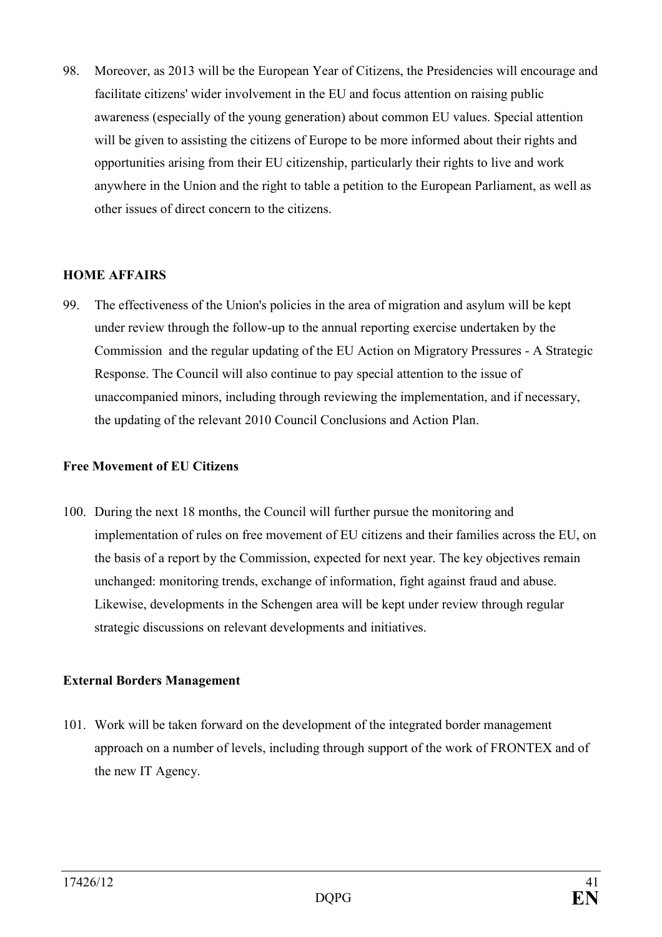98. Moreover, as 2013 will be the European Year of Citizens, the Presidencies will encourage and facilitate citizens' wider involvement in the EU and focus attention on raising public awareness (especially of the young generation) about common EU values. Special attention will be given to assisting the citizens of Europe to be more informed about their rights and opportunities arising from their EU citizenship, particularly their rights to live and work anywhere in the Union and the right to table a petition to the European Parliament, as well as other issues of direct concern to the citizens.

### **HOME AFFAIRS**

99. The effectiveness of the Union's policies in the area of migration and asylum will be kept under review through the follow-up to the annual reporting exercise undertaken by the Commission and the regular updating of the EU Action on Migratory Pressures - A Strategic Response. The Council will also continue to pay special attention to the issue of unaccompanied minors, including through reviewing the implementation, and if necessary, the updating of the relevant 2010 Council Conclusions and Action Plan.

#### **Free Movement of EU Citizens**

100. During the next 18 months, the Council will further pursue the monitoring and implementation of rules on free movement of EU citizens and their families across the EU, on the basis of a report by the Commission, expected for next year. The key objectives remain unchanged: monitoring trends, exchange of information, fight against fraud and abuse. Likewise, developments in the Schengen area will be kept under review through regular strategic discussions on relevant developments and initiatives.

## **External Borders Management**

101. Work will be taken forward on the development of the integrated border management approach on a number of levels, including through support of the work of FRONTEX and of the new IT Agency.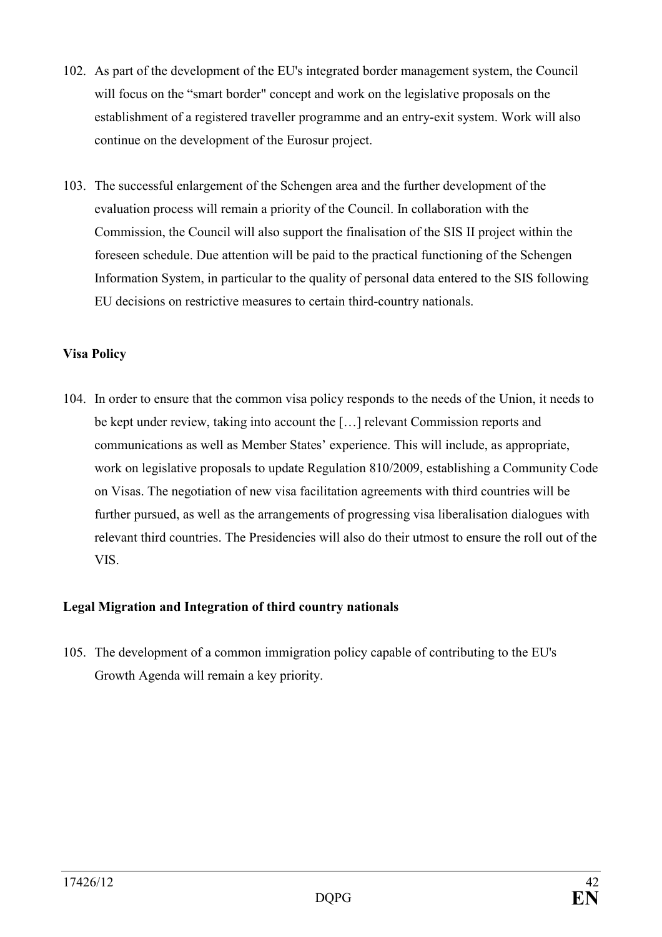- 102. As part of the development of the EU's integrated border management system, the Council will focus on the "smart border" concept and work on the legislative proposals on the establishment of a registered traveller programme and an entry-exit system. Work will also continue on the development of the Eurosur project.
- 103. The successful enlargement of the Schengen area and the further development of the evaluation process will remain a priority of the Council. In collaboration with the Commission, the Council will also support the finalisation of the SIS II project within the foreseen schedule. Due attention will be paid to the practical functioning of the Schengen Information System, in particular to the quality of personal data entered to the SIS following EU decisions on restrictive measures to certain third-country nationals.

# **Visa Policy**

104. In order to ensure that the common visa policy responds to the needs of the Union, it needs to be kept under review, taking into account the […] relevant Commission reports and communications as well as Member States' experience. This will include, as appropriate, work on legislative proposals to update Regulation 810/2009, establishing a Community Code on Visas. The negotiation of new visa facilitation agreements with third countries will be further pursued, as well as the arrangements of progressing visa liberalisation dialogues with relevant third countries. The Presidencies will also do their utmost to ensure the roll out of the VIS.

# **Legal Migration and Integration of third country nationals**

105. The development of a common immigration policy capable of contributing to the EU's Growth Agenda will remain a key priority.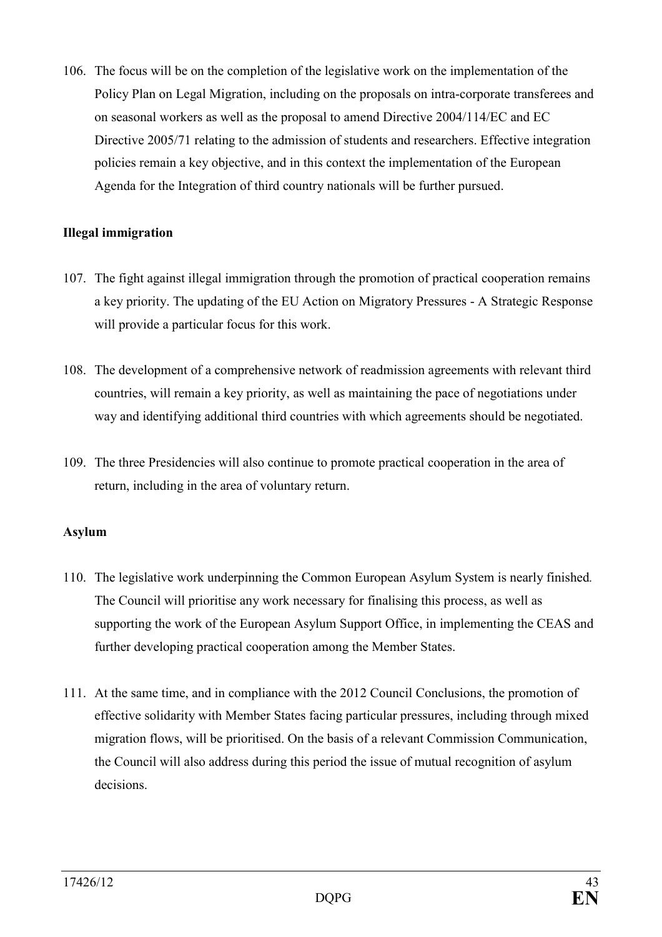106. The focus will be on the completion of the legislative work on the implementation of the Policy Plan on Legal Migration, including on the proposals on intra-corporate transferees and on seasonal workers as well as the proposal to amend Directive 2004/114/EC and EC Directive 2005/71 relating to the admission of students and researchers. Effective integration policies remain a key objective, and in this context the implementation of the European Agenda for the Integration of third country nationals will be further pursued.

## **Illegal immigration**

- 107. The fight against illegal immigration through the promotion of practical cooperation remains a key priority. The updating of the EU Action on Migratory Pressures - A Strategic Response will provide a particular focus for this work.
- 108. The development of a comprehensive network of readmission agreements with relevant third countries, will remain a key priority, as well as maintaining the pace of negotiations under way and identifying additional third countries with which agreements should be negotiated.
- 109. The three Presidencies will also continue to promote practical cooperation in the area of return, including in the area of voluntary return.

## **Asylum**

- 110. The legislative work underpinning the Common European Asylum System is nearly finished*.*  The Council will prioritise any work necessary for finalising this process, as well as supporting the work of the European Asylum Support Office, in implementing the CEAS and further developing practical cooperation among the Member States.
- 111. At the same time, and in compliance with the 2012 Council Conclusions, the promotion of effective solidarity with Member States facing particular pressures, including through mixed migration flows, will be prioritised. On the basis of a relevant Commission Communication, the Council will also address during this period the issue of mutual recognition of asylum decisions.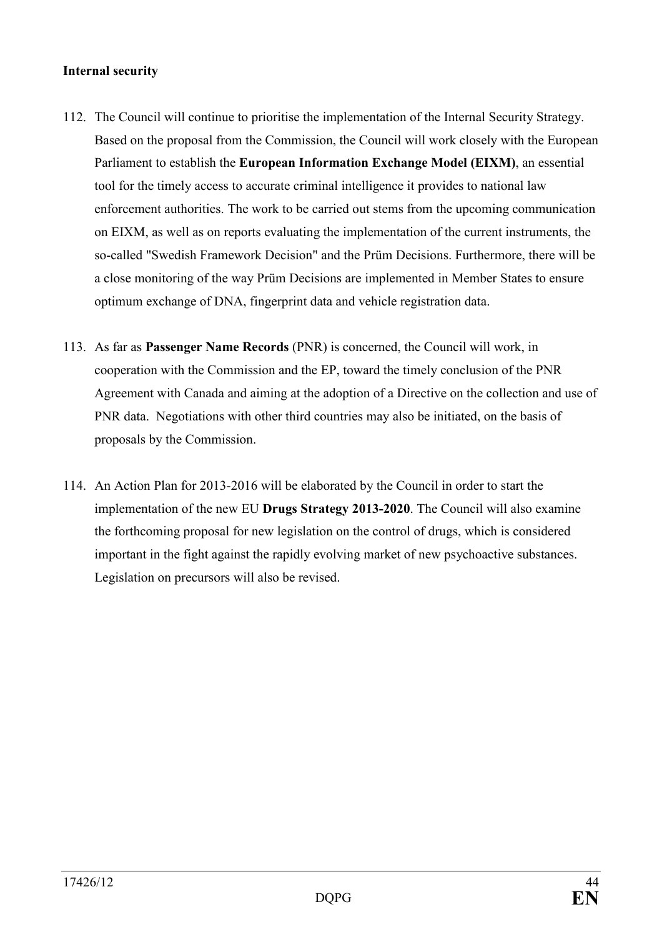#### **Internal security**

- 112. The Council will continue to prioritise the implementation of the Internal Security Strategy. Based on the proposal from the Commission, the Council will work closely with the European Parliament to establish the **European Information Exchange Model (EIXM)**, an essential tool for the timely access to accurate criminal intelligence it provides to national law enforcement authorities. The work to be carried out stems from the upcoming communication on EIXM, as well as on reports evaluating the implementation of the current instruments, the so-called "Swedish Framework Decision" and the Prüm Decisions. Furthermore, there will be a close monitoring of the way Prüm Decisions are implemented in Member States to ensure optimum exchange of DNA, fingerprint data and vehicle registration data.
- 113. As far as **Passenger Name Records** (PNR) is concerned, the Council will work, in cooperation with the Commission and the EP, toward the timely conclusion of the PNR Agreement with Canada and aiming at the adoption of a Directive on the collection and use of PNR data. Negotiations with other third countries may also be initiated, on the basis of proposals by the Commission.
- 114. An Action Plan for 2013-2016 will be elaborated by the Council in order to start the implementation of the new EU **Drugs Strategy 2013-2020**. The Council will also examine the forthcoming proposal for new legislation on the control of drugs, which is considered important in the fight against the rapidly evolving market of new psychoactive substances. Legislation on precursors will also be revised.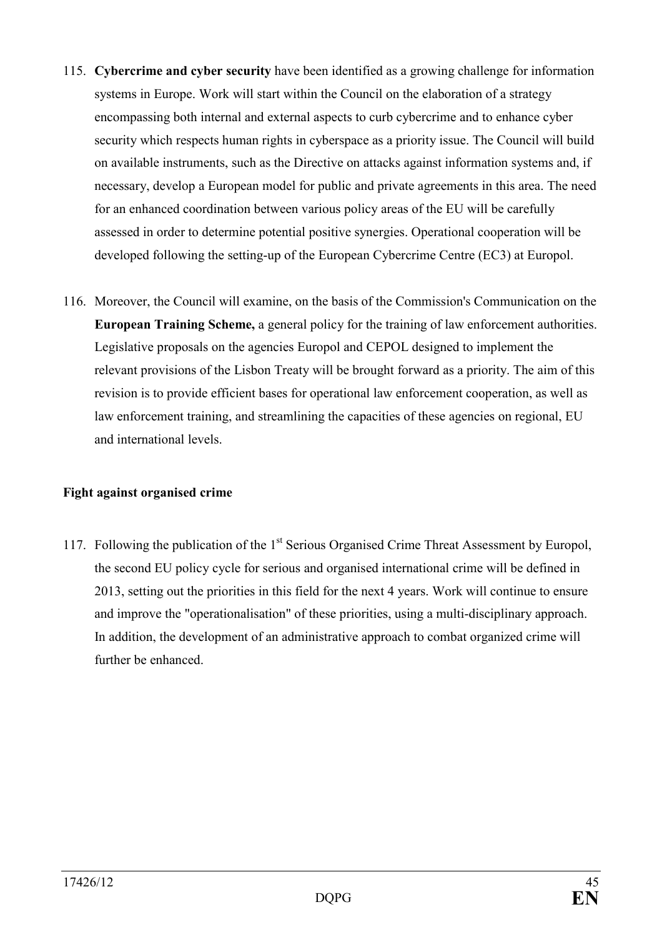- 115. **Cybercrime and cyber security** have been identified as a growing challenge for information systems in Europe. Work will start within the Council on the elaboration of a strategy encompassing both internal and external aspects to curb cybercrime and to enhance cyber security which respects human rights in cyberspace as a priority issue. The Council will build on available instruments, such as the Directive on attacks against information systems and, if necessary, develop a European model for public and private agreements in this area. The need for an enhanced coordination between various policy areas of the EU will be carefully assessed in order to determine potential positive synergies. Operational cooperation will be developed following the setting-up of the European Cybercrime Centre (EC3) at Europol.
- 116. Moreover, the Council will examine, on the basis of the Commission's Communication on the **European Training Scheme,** a general policy for the training of law enforcement authorities. Legislative proposals on the agencies Europol and CEPOL designed to implement the relevant provisions of the Lisbon Treaty will be brought forward as a priority. The aim of this revision is to provide efficient bases for operational law enforcement cooperation, as well as law enforcement training, and streamlining the capacities of these agencies on regional, EU and international levels.

## **Fight against organised crime**

117. Following the publication of the 1<sup>st</sup> Serious Organised Crime Threat Assessment by Europol, the second EU policy cycle for serious and organised international crime will be defined in 2013, setting out the priorities in this field for the next 4 years. Work will continue to ensure and improve the "operationalisation" of these priorities, using a multi-disciplinary approach. In addition, the development of an administrative approach to combat organized crime will further be enhanced.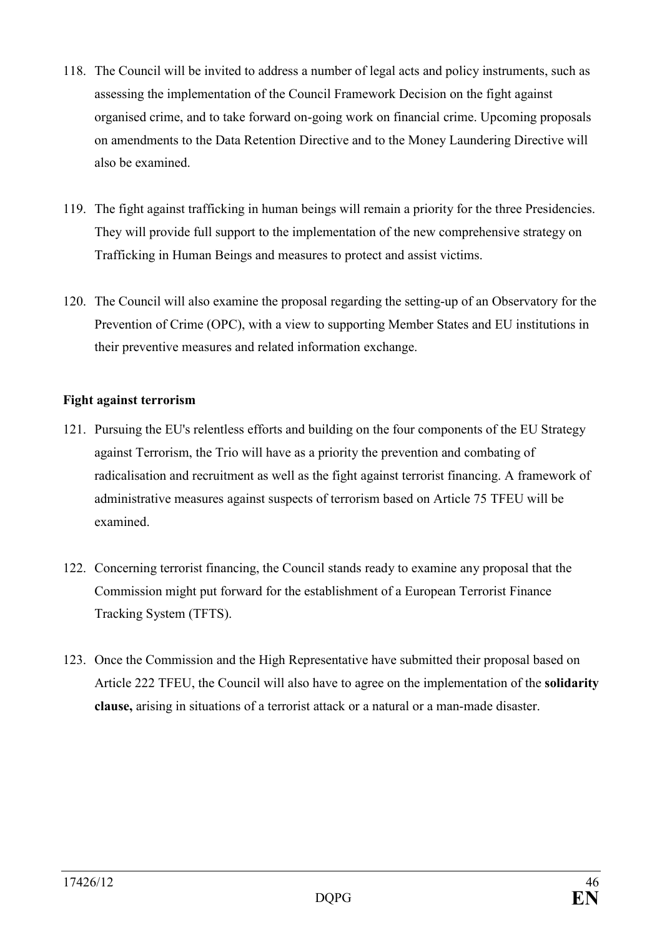- 118. The Council will be invited to address a number of legal acts and policy instruments, such as assessing the implementation of the Council Framework Decision on the fight against organised crime, and to take forward on-going work on financial crime. Upcoming proposals on amendments to the Data Retention Directive and to the Money Laundering Directive will also be examined.
- 119. The fight against trafficking in human beings will remain a priority for the three Presidencies. They will provide full support to the implementation of the new comprehensive strategy on Trafficking in Human Beings and measures to protect and assist victims.
- 120. The Council will also examine the proposal regarding the setting-up of an Observatory for the Prevention of Crime (OPC), with a view to supporting Member States and EU institutions in their preventive measures and related information exchange.

## **Fight against terrorism**

- 121. Pursuing the EU's relentless efforts and building on the four components of the EU Strategy against Terrorism, the Trio will have as a priority the prevention and combating of radicalisation and recruitment as well as the fight against terrorist financing. A framework of administrative measures against suspects of terrorism based on Article 75 TFEU will be examined.
- 122. Concerning terrorist financing, the Council stands ready to examine any proposal that the Commission might put forward for the establishment of a European Terrorist Finance Tracking System (TFTS).
- 123. Once the Commission and the High Representative have submitted their proposal based on Article 222 TFEU, the Council will also have to agree on the implementation of the **solidarity clause,** arising in situations of a terrorist attack or a natural or a man-made disaster.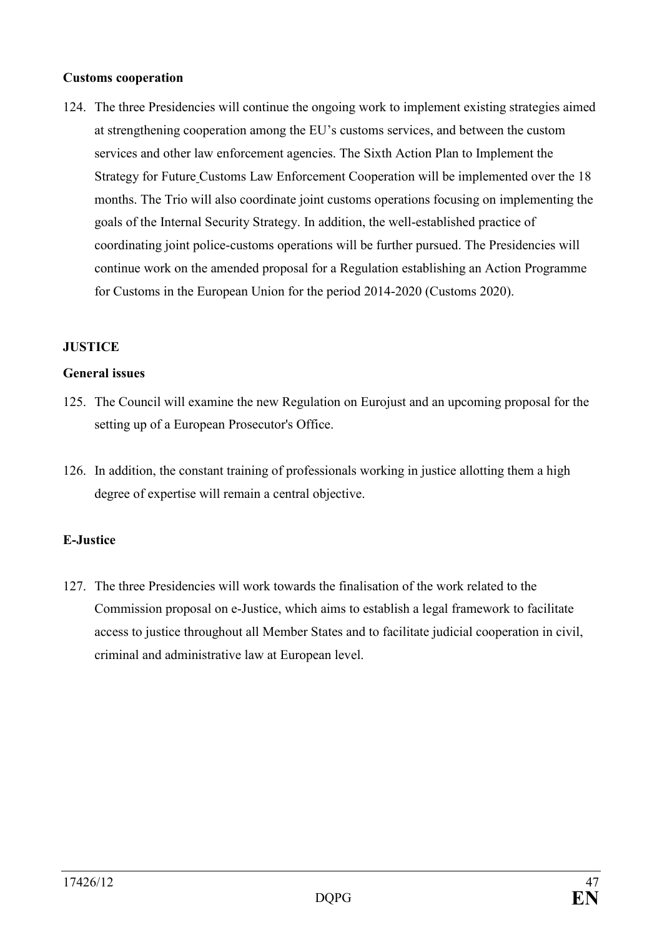### **Customs cooperation**

124. The three Presidencies will continue the ongoing work to implement existing strategies aimed at strengthening cooperation among the EU's customs services, and between the custom services and other law enforcement agencies. The Sixth Action Plan to Implement the Strategy for Future Customs Law Enforcement Cooperation will be implemented over the 18 months. The Trio will also coordinate joint customs operations focusing on implementing the goals of the Internal Security Strategy. In addition, the well-established practice of coordinating joint police-customs operations will be further pursued. The Presidencies will continue work on the amended proposal for a Regulation establishing an Action Programme for Customs in the European Union for the period 2014-2020 (Customs 2020).

# **JUSTICE**

### **General issues**

- 125. The Council will examine the new Regulation on Eurojust and an upcoming proposal for the setting up of a European Prosecutor's Office.
- 126. In addition, the constant training of professionals working in justice allotting them a high degree of expertise will remain a central objective.

## **E-Justice**

127. The three Presidencies will work towards the finalisation of the work related to the Commission proposal on e-Justice, which aims to establish a legal framework to facilitate access to justice throughout all Member States and to facilitate judicial cooperation in civil, criminal and administrative law at European level.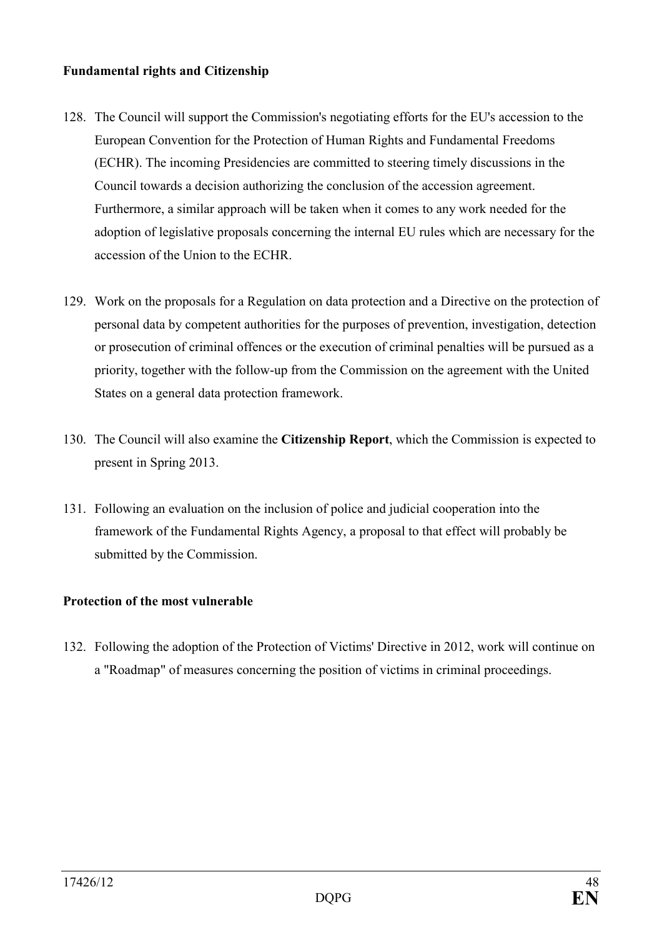### **Fundamental rights and Citizenship**

- 128. The Council will support the Commission's negotiating efforts for the EU's accession to the European Convention for the Protection of Human Rights and Fundamental Freedoms (ECHR). The incoming Presidencies are committed to steering timely discussions in the Council towards a decision authorizing the conclusion of the accession agreement. Furthermore, a similar approach will be taken when it comes to any work needed for the adoption of legislative proposals concerning the internal EU rules which are necessary for the accession of the Union to the ECHR.
- 129. Work on the proposals for a Regulation on data protection and a Directive on the protection of personal data by competent authorities for the purposes of prevention, investigation, detection or prosecution of criminal offences or the execution of criminal penalties will be pursued as a priority, together with the follow-up from the Commission on the agreement with the United States on a general data protection framework.
- 130. The Council will also examine the **Citizenship Report**, which the Commission is expected to present in Spring 2013.
- 131. Following an evaluation on the inclusion of police and judicial cooperation into the framework of the Fundamental Rights Agency, a proposal to that effect will probably be submitted by the Commission.

## **Protection of the most vulnerable**

132. Following the adoption of the Protection of Victims' Directive in 2012, work will continue on a "Roadmap" of measures concerning the position of victims in criminal proceedings.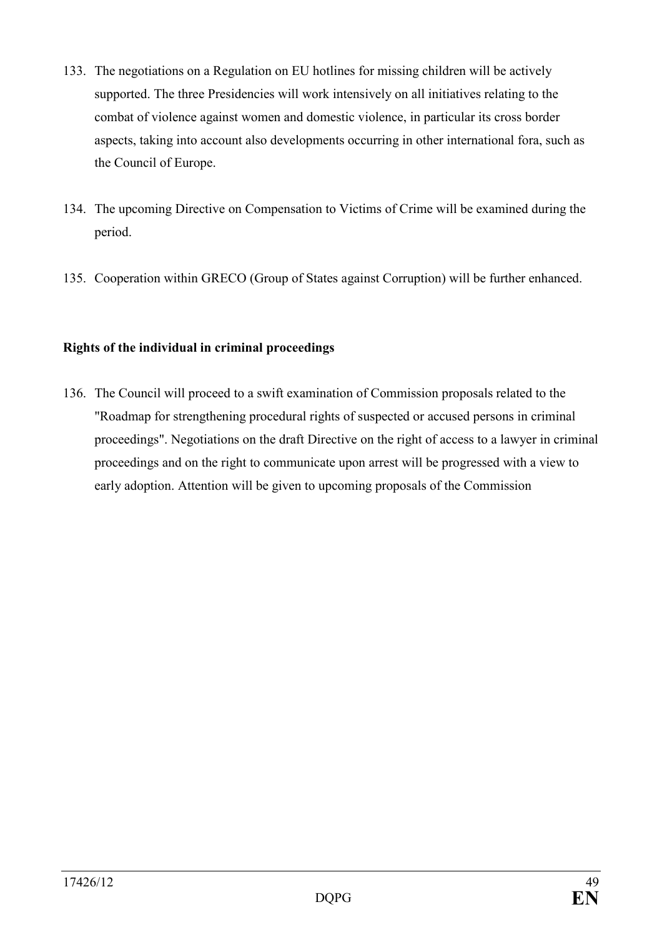- 133. The negotiations on a Regulation on EU hotlines for missing children will be actively supported. The three Presidencies will work intensively on all initiatives relating to the combat of violence against women and domestic violence, in particular its cross border aspects, taking into account also developments occurring in other international fora, such as the Council of Europe.
- 134. The upcoming Directive on Compensation to Victims of Crime will be examined during the period.
- 135. Cooperation within GRECO (Group of States against Corruption) will be further enhanced.

# **Rights of the individual in criminal proceedings**

136. The Council will proceed to a swift examination of Commission proposals related to the "Roadmap for strengthening procedural rights of suspected or accused persons in criminal proceedings". Negotiations on the draft Directive on the right of access to a lawyer in criminal proceedings and on the right to communicate upon arrest will be progressed with a view to early adoption. Attention will be given to upcoming proposals of the Commission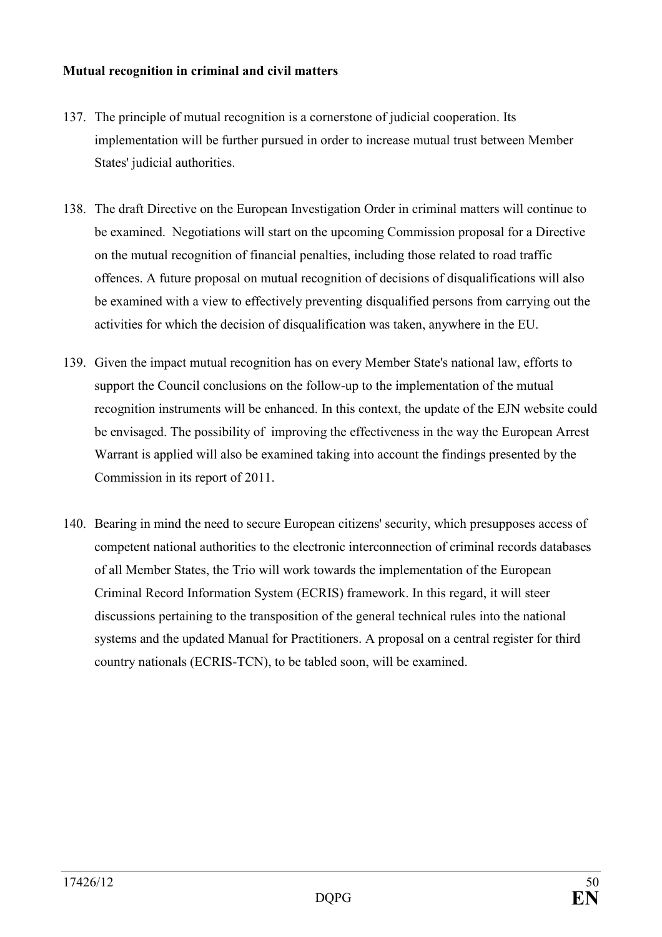### **Mutual recognition in criminal and civil matters**

- 137. The principle of mutual recognition is a cornerstone of judicial cooperation. Its implementation will be further pursued in order to increase mutual trust between Member States' judicial authorities.
- 138. The draft Directive on the European Investigation Order in criminal matters will continue to be examined. Negotiations will start on the upcoming Commission proposal for a Directive on the mutual recognition of financial penalties, including those related to road traffic offences. A future proposal on mutual recognition of decisions of disqualifications will also be examined with a view to effectively preventing disqualified persons from carrying out the activities for which the decision of disqualification was taken, anywhere in the EU.
- 139. Given the impact mutual recognition has on every Member State's national law, efforts to support the Council conclusions on the follow-up to the implementation of the mutual recognition instruments will be enhanced. In this context, the update of the EJN website could be envisaged. The possibility of improving the effectiveness in the way the European Arrest Warrant is applied will also be examined taking into account the findings presented by the Commission in its report of 2011.
- 140. Bearing in mind the need to secure European citizens' security, which presupposes access of competent national authorities to the electronic interconnection of criminal records databases of all Member States, the Trio will work towards the implementation of the European Criminal Record Information System (ECRIS) framework. In this regard, it will steer discussions pertaining to the transposition of the general technical rules into the national systems and the updated Manual for Practitioners. A proposal on a central register for third country nationals (ECRIS-TCN), to be tabled soon, will be examined.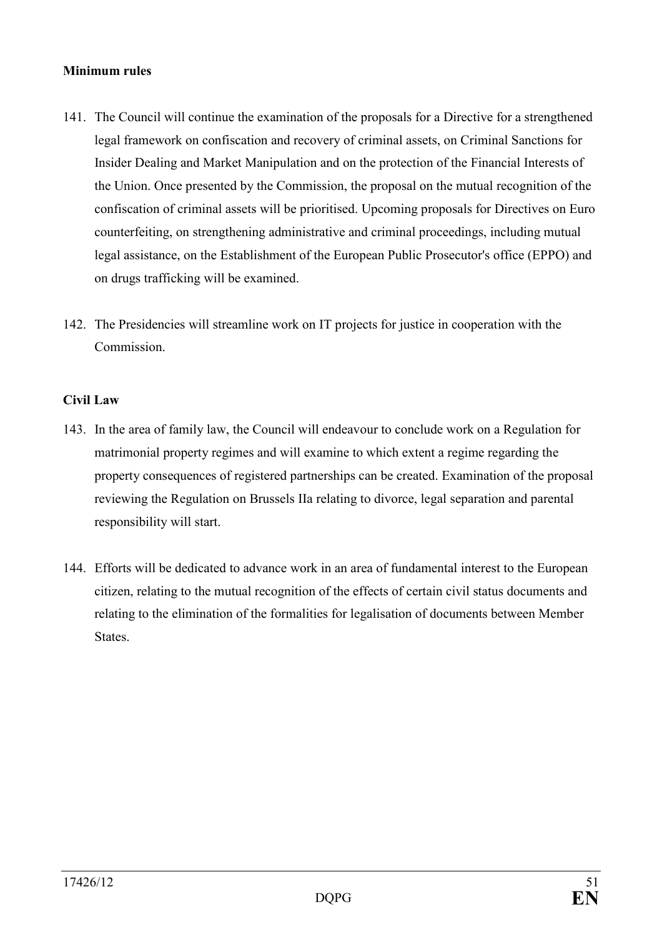### **Minimum rules**

- 141. The Council will continue the examination of the proposals for a Directive for a strengthened legal framework on confiscation and recovery of criminal assets, on Criminal Sanctions for Insider Dealing and Market Manipulation and on the protection of the Financial Interests of the Union. Once presented by the Commission, the proposal on the mutual recognition of the confiscation of criminal assets will be prioritised. Upcoming proposals for Directives on Euro counterfeiting, on strengthening administrative and criminal proceedings, including mutual legal assistance, on the Establishment of the European Public Prosecutor's office (EPPO) and on drugs trafficking will be examined.
- 142. The Presidencies will streamline work on IT projects for justice in cooperation with the **Commission**

# **Civil Law**

- 143. In the area of family law, the Council will endeavour to conclude work on a Regulation for matrimonial property regimes and will examine to which extent a regime regarding the property consequences of registered partnerships can be created. Examination of the proposal reviewing the Regulation on Brussels IIa relating to divorce, legal separation and parental responsibility will start.
- 144. Efforts will be dedicated to advance work in an area of fundamental interest to the European citizen, relating to the mutual recognition of the effects of certain civil status documents and relating to the elimination of the formalities for legalisation of documents between Member States.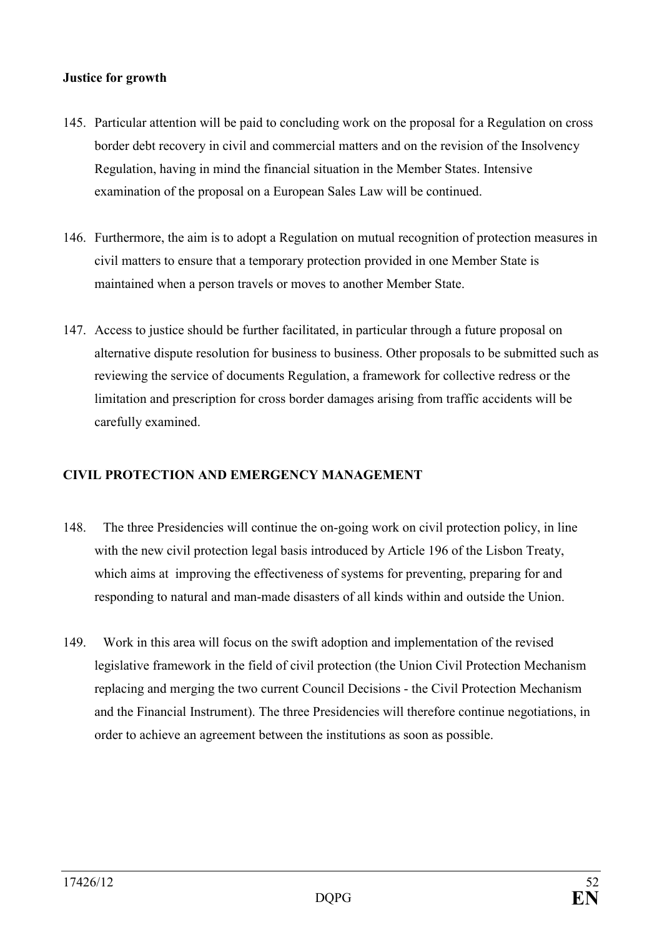## **Justice for growth**

- 145. Particular attention will be paid to concluding work on the proposal for a Regulation on cross border debt recovery in civil and commercial matters and on the revision of the Insolvency Regulation, having in mind the financial situation in the Member States. Intensive examination of the proposal on a European Sales Law will be continued.
- 146. Furthermore, the aim is to adopt a Regulation on mutual recognition of protection measures in civil matters to ensure that a temporary protection provided in one Member State is maintained when a person travels or moves to another Member State.
- 147. Access to justice should be further facilitated, in particular through a future proposal on alternative dispute resolution for business to business. Other proposals to be submitted such as reviewing the service of documents Regulation, a framework for collective redress or the limitation and prescription for cross border damages arising from traffic accidents will be carefully examined.

## **CIVIL PROTECTION AND EMERGENCY MANAGEMENT**

- 148. The three Presidencies will continue the on-going work on civil protection policy, in line with the new civil protection legal basis introduced by Article 196 of the Lisbon Treaty, which aims at improving the effectiveness of systems for preventing, preparing for and responding to natural and man-made disasters of all kinds within and outside the Union.
- 149. Work in this area will focus on the swift adoption and implementation of the revised legislative framework in the field of civil protection (the Union Civil Protection Mechanism replacing and merging the two current Council Decisions - the Civil Protection Mechanism and the Financial Instrument). The three Presidencies will therefore continue negotiations, in order to achieve an agreement between the institutions as soon as possible.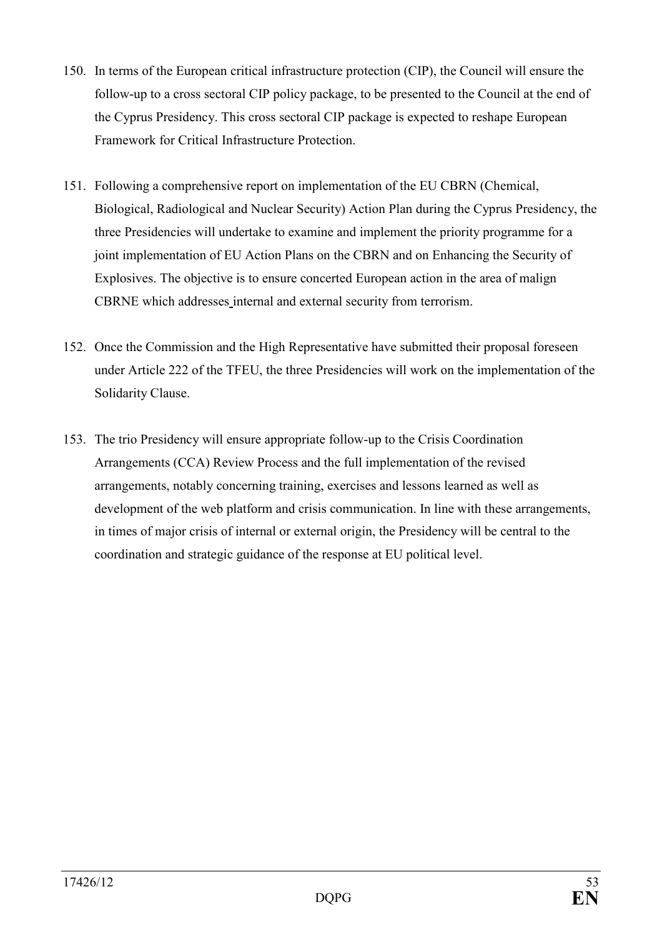- 150. In terms of the European critical infrastructure protection (CIP), the Council will ensure the follow-up to a cross sectoral CIP policy package, to be presented to the Council at the end of the Cyprus Presidency. This cross sectoral CIP package is expected to reshape European Framework for Critical Infrastructure Protection.
- 151. Following a comprehensive report on implementation of the EU CBRN (Chemical, Biological, Radiological and Nuclear Security) Action Plan during the Cyprus Presidency, the three Presidencies will undertake to examine and implement the priority programme for a joint implementation of EU Action Plans on the CBRN and on Enhancing the Security of Explosives. The objective is to ensure concerted European action in the area of malign CBRNE which addresses internal and external security from terrorism.
- 152. Once the Commission and the High Representative have submitted their proposal foreseen under Article 222 of the TFEU, the three Presidencies will work on the implementation of the Solidarity Clause.
- 153. The trio Presidency will ensure appropriate follow-up to the Crisis Coordination Arrangements (CCA) Review Process and the full implementation of the revised arrangements, notably concerning training, exercises and lessons learned as well as development of the web platform and crisis communication. In line with these arrangements, in times of major crisis of internal or external origin, the Presidency will be central to the coordination and strategic guidance of the response at EU political level.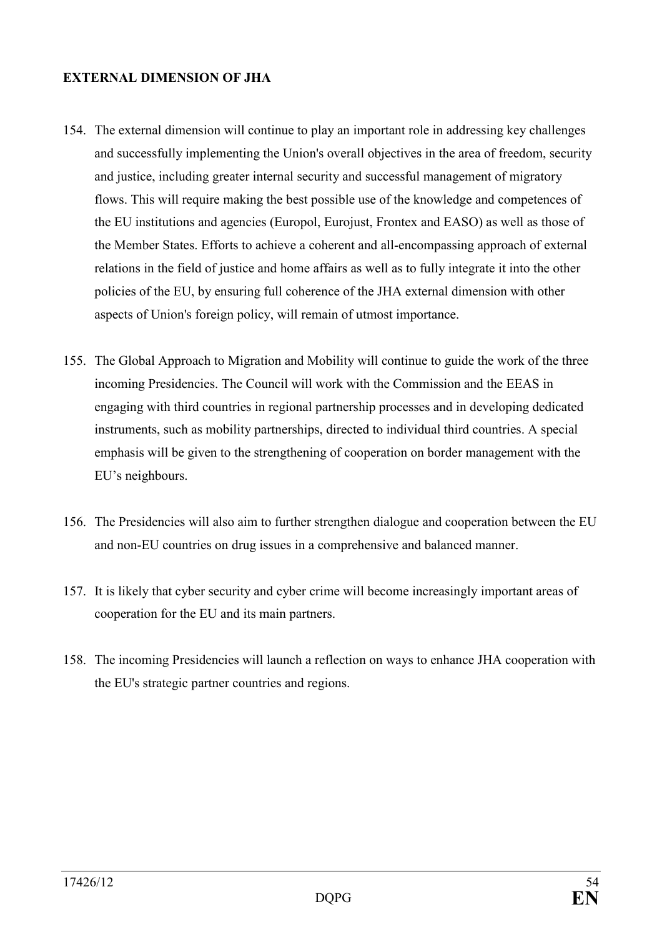### **EXTERNAL DIMENSION OF JHA**

- 154. The external dimension will continue to play an important role in addressing key challenges and successfully implementing the Union's overall objectives in the area of freedom, security and justice, including greater internal security and successful management of migratory flows. This will require making the best possible use of the knowledge and competences of the EU institutions and agencies (Europol, Eurojust, Frontex and EASO) as well as those of the Member States. Efforts to achieve a coherent and all-encompassing approach of external relations in the field of justice and home affairs as well as to fully integrate it into the other policies of the EU, by ensuring full coherence of the JHA external dimension with other aspects of Union's foreign policy, will remain of utmost importance.
- 155. The Global Approach to Migration and Mobility will continue to guide the work of the three incoming Presidencies. The Council will work with the Commission and the EEAS in engaging with third countries in regional partnership processes and in developing dedicated instruments, such as mobility partnerships, directed to individual third countries. A special emphasis will be given to the strengthening of cooperation on border management with the EU's neighbours.
- 156. The Presidencies will also aim to further strengthen dialogue and cooperation between the EU and non-EU countries on drug issues in a comprehensive and balanced manner.
- 157. It is likely that cyber security and cyber crime will become increasingly important areas of cooperation for the EU and its main partners.
- 158. The incoming Presidencies will launch a reflection on ways to enhance JHA cooperation with the EU's strategic partner countries and regions.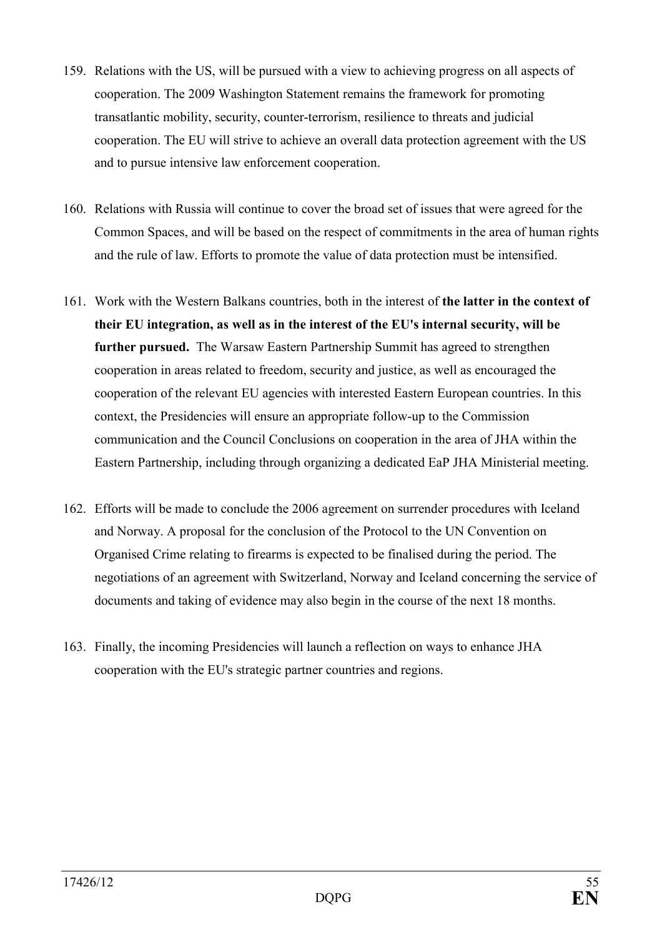- 159. Relations with the US, will be pursued with a view to achieving progress on all aspects of cooperation. The 2009 Washington Statement remains the framework for promoting transatlantic mobility, security, counter-terrorism, resilience to threats and judicial cooperation. The EU will strive to achieve an overall data protection agreement with the US and to pursue intensive law enforcement cooperation.
- 160. Relations with Russia will continue to cover the broad set of issues that were agreed for the Common Spaces, and will be based on the respect of commitments in the area of human rights and the rule of law. Efforts to promote the value of data protection must be intensified.
- 161. Work with the Western Balkans countries, both in the interest of **the latter in the context of their EU integration, as well as in the interest of the EU's internal security, will be further pursued.** The Warsaw Eastern Partnership Summit has agreed to strengthen cooperation in areas related to freedom, security and justice, as well as encouraged the cooperation of the relevant EU agencies with interested Eastern European countries. In this context, the Presidencies will ensure an appropriate follow-up to the Commission communication and the Council Conclusions on cooperation in the area of JHA within the Eastern Partnership, including through organizing a dedicated EaP JHA Ministerial meeting.
- 162. Efforts will be made to conclude the 2006 agreement on surrender procedures with Iceland and Norway. A proposal for the conclusion of the Protocol to the UN Convention on Organised Crime relating to firearms is expected to be finalised during the period. The negotiations of an agreement with Switzerland, Norway and Iceland concerning the service of documents and taking of evidence may also begin in the course of the next 18 months.
- 163. Finally, the incoming Presidencies will launch a reflection on ways to enhance JHA cooperation with the EU's strategic partner countries and regions.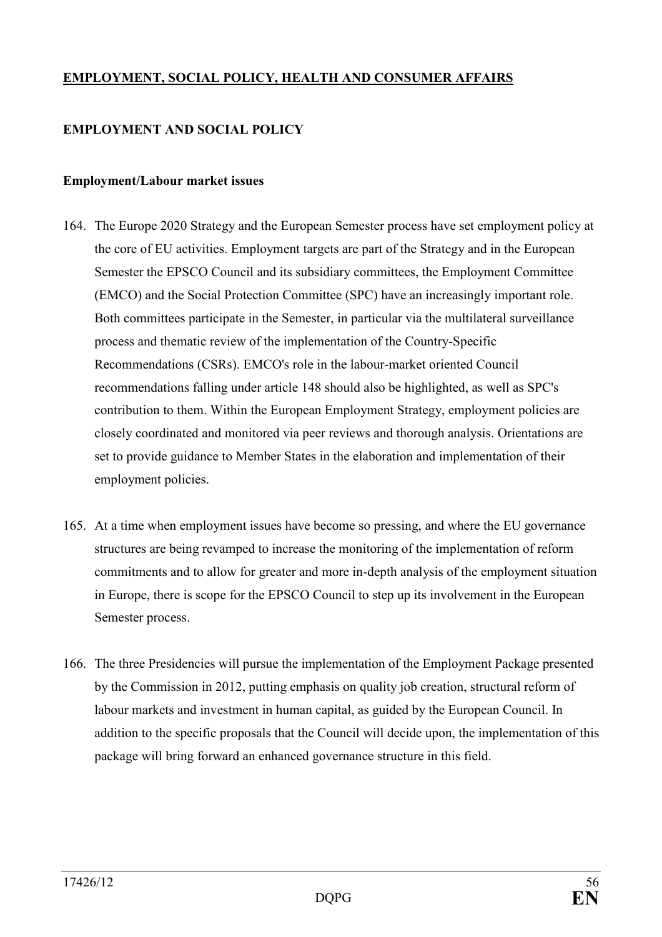# **EMPLOYMET, SOCIAL POLICY, HEALTH AD COSUMER AFFAIRS**

## **EMPLOYMENT AND SOCIAL POLICY**

#### **Employment/Labour market issues**

- 164. The Europe 2020 Strategy and the European Semester process have set employment policy at the core of EU activities. Employment targets are part of the Strategy and in the European Semester the EPSCO Council and its subsidiary committees, the Employment Committee (EMCO) and the Social Protection Committee (SPC) have an increasingly important role. Both committees participate in the Semester, in particular via the multilateral surveillance process and thematic review of the implementation of the Country-Specific Recommendations (CSRs). EMCO's role in the labour-market oriented Council recommendations falling under article 148 should also be highlighted, as well as SPC's contribution to them. Within the European Employment Strategy, employment policies are closely coordinated and monitored via peer reviews and thorough analysis. Orientations are set to provide guidance to Member States in the elaboration and implementation of their employment policies.
- 165. At a time when employment issues have become so pressing, and where the EU governance structures are being revamped to increase the monitoring of the implementation of reform commitments and to allow for greater and more in-depth analysis of the employment situation in Europe, there is scope for the EPSCO Council to step up its involvement in the European Semester process.
- 166. The three Presidencies will pursue the implementation of the Employment Package presented by the Commission in 2012, putting emphasis on quality job creation, structural reform of labour markets and investment in human capital, as guided by the European Council. In addition to the specific proposals that the Council will decide upon, the implementation of this package will bring forward an enhanced governance structure in this field.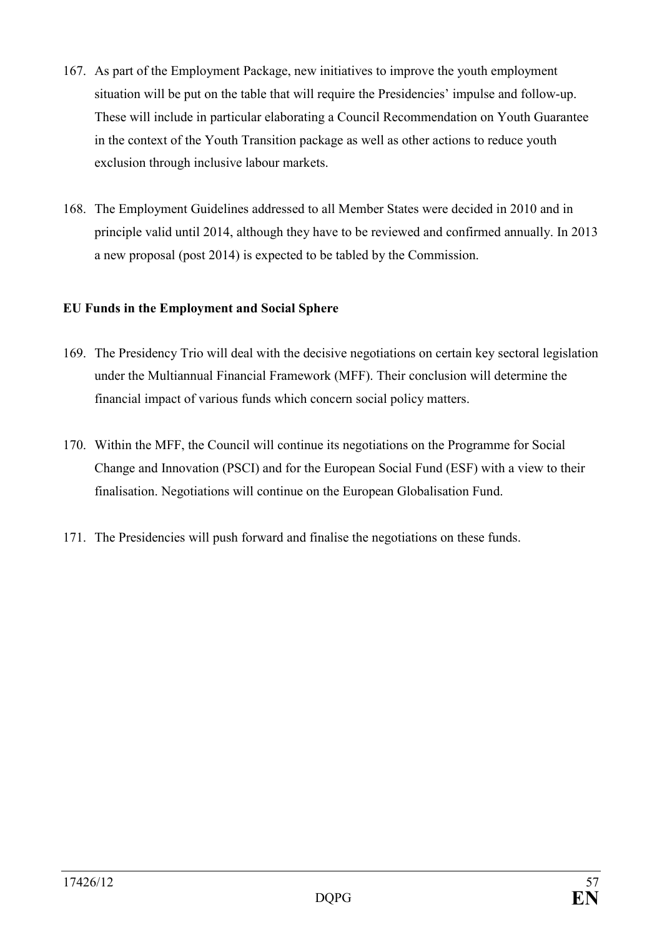- 167. As part of the Employment Package, new initiatives to improve the youth employment situation will be put on the table that will require the Presidencies' impulse and follow-up. These will include in particular elaborating a Council Recommendation on Youth Guarantee in the context of the Youth Transition package as well as other actions to reduce youth exclusion through inclusive labour markets.
- 168. The Employment Guidelines addressed to all Member States were decided in 2010 and in principle valid until 2014, although they have to be reviewed and confirmed annually. In 2013 a new proposal (post 2014) is expected to be tabled by the Commission.

# **EU Funds in the Employment and Social Sphere**

- 169. The Presidency Trio will deal with the decisive negotiations on certain key sectoral legislation under the Multiannual Financial Framework (MFF). Their conclusion will determine the financial impact of various funds which concern social policy matters.
- 170. Within the MFF, the Council will continue its negotiations on the Programme for Social Change and Innovation (PSCI) and for the European Social Fund (ESF) with a view to their finalisation. Negotiations will continue on the European Globalisation Fund.
- 171. The Presidencies will push forward and finalise the negotiations on these funds.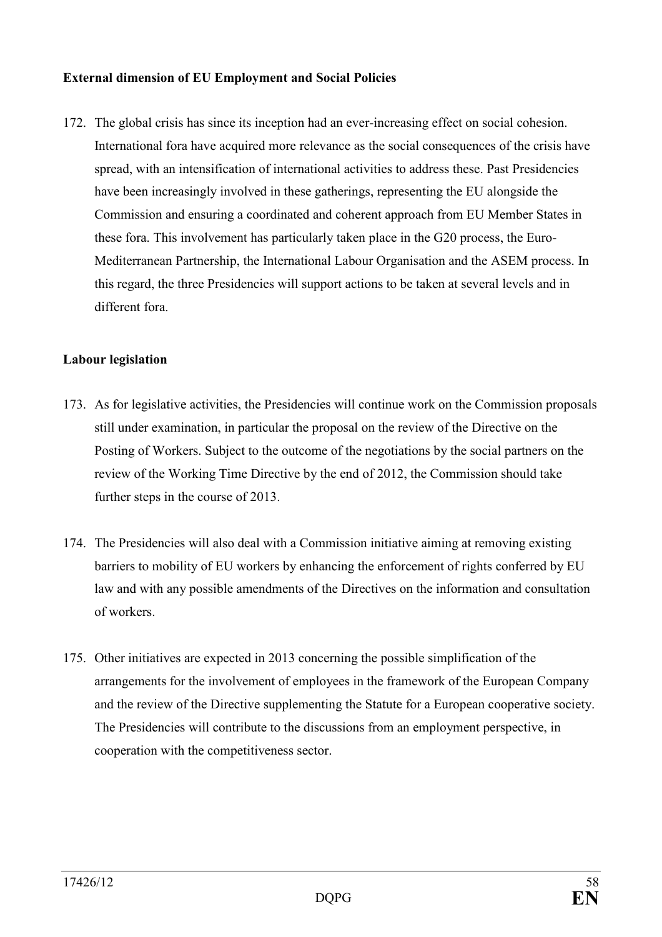## **External dimension of EU Employment and Social Policies**

172. The global crisis has since its inception had an ever-increasing effect on social cohesion. International fora have acquired more relevance as the social consequences of the crisis have spread, with an intensification of international activities to address these. Past Presidencies have been increasingly involved in these gatherings, representing the EU alongside the Commission and ensuring a coordinated and coherent approach from EU Member States in these fora. This involvement has particularly taken place in the G20 process, the Euro-Mediterranean Partnership, the International Labour Organisation and the ASEM process. In this regard, the three Presidencies will support actions to be taken at several levels and in different fora.

#### **Labour legislation**

- 173. As for legislative activities, the Presidencies will continue work on the Commission proposals still under examination, in particular the proposal on the review of the Directive on the Posting of Workers. Subject to the outcome of the negotiations by the social partners on the review of the Working Time Directive by the end of 2012, the Commission should take further steps in the course of 2013.
- 174. The Presidencies will also deal with a Commission initiative aiming at removing existing barriers to mobility of EU workers by enhancing the enforcement of rights conferred by EU law and with any possible amendments of the Directives on the information and consultation of workers.
- 175. Other initiatives are expected in 2013 concerning the possible simplification of the arrangements for the involvement of employees in the framework of the European Company and the review of the Directive supplementing the Statute for a European cooperative society. The Presidencies will contribute to the discussions from an employment perspective, in cooperation with the competitiveness sector.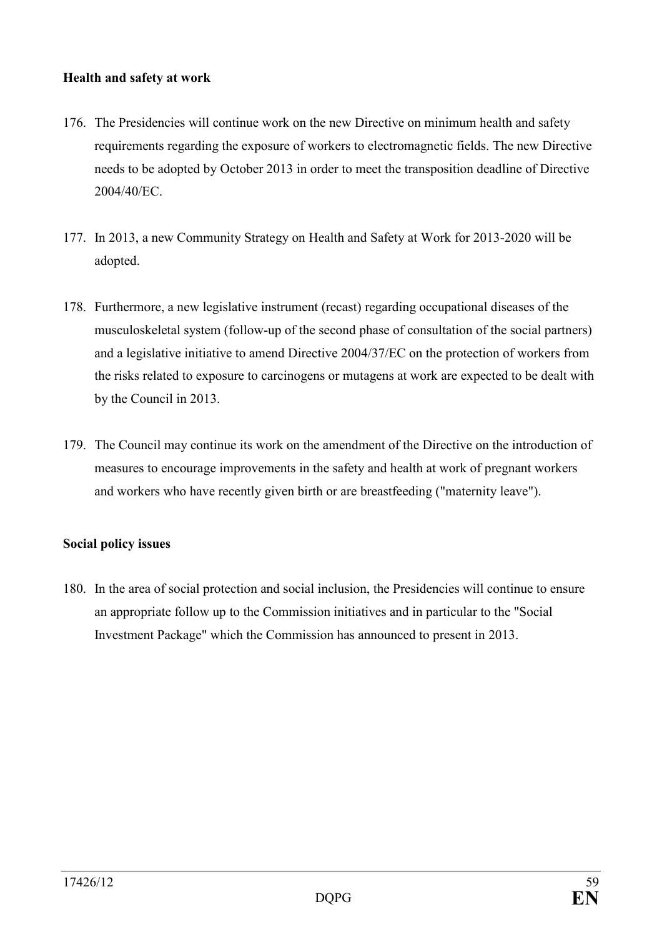## **Health and safety at work**

- 176. The Presidencies will continue work on the new Directive on minimum health and safety requirements regarding the exposure of workers to electromagnetic fields. The new Directive needs to be adopted by October 2013 in order to meet the transposition deadline of Directive 2004/40/EC.
- 177. In 2013, a new Community Strategy on Health and Safety at Work for 2013-2020 will be adopted.
- 178. Furthermore, a new legislative instrument (recast) regarding occupational diseases of the musculoskeletal system (follow-up of the second phase of consultation of the social partners) and a legislative initiative to amend Directive 2004/37/EC on the protection of workers from the risks related to exposure to carcinogens or mutagens at work are expected to be dealt with by the Council in 2013.
- 179. The Council may continue its work on the amendment of the Directive on the introduction of measures to encourage improvements in the safety and health at work of pregnant workers and workers who have recently given birth or are breastfeeding ("maternity leave").

#### **Social policy issues**

180. In the area of social protection and social inclusion, the Presidencies will continue to ensure an appropriate follow up to the Commission initiatives and in particular to the "Social Investment Package" which the Commission has announced to present in 2013.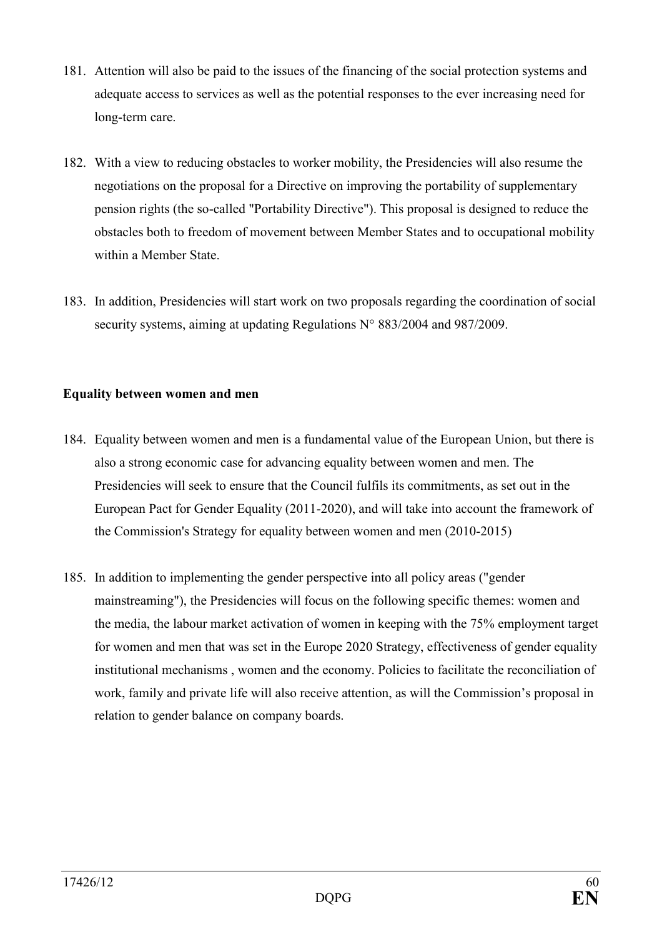- 181. Attention will also be paid to the issues of the financing of the social protection systems and adequate access to services as well as the potential responses to the ever increasing need for long-term care.
- 182. With a view to reducing obstacles to worker mobility, the Presidencies will also resume the negotiations on the proposal for a Directive on improving the portability of supplementary pension rights (the so-called "Portability Directive"). This proposal is designed to reduce the obstacles both to freedom of movement between Member States and to occupational mobility within a Member State.
- 183. In addition, Presidencies will start work on two proposals regarding the coordination of social security systems, aiming at updating Regulations N° 883/2004 and 987/2009.

## **Equality between women and men**

- 184. Equality between women and men is a fundamental value of the European Union, but there is also a strong economic case for advancing equality between women and men. The Presidencies will seek to ensure that the Council fulfils its commitments, as set out in the European Pact for Gender Equality (2011-2020), and will take into account the framework of the Commission's Strategy for equality between women and men (2010-2015)
- 185. In addition to implementing the gender perspective into all policy areas ("gender mainstreaming"), the Presidencies will focus on the following specific themes: women and the media, the labour market activation of women in keeping with the 75% employment target for women and men that was set in the Europe 2020 Strategy, effectiveness of gender equality institutional mechanisms , women and the economy. Policies to facilitate the reconciliation of work, family and private life will also receive attention, as will the Commission's proposal in relation to gender balance on company boards.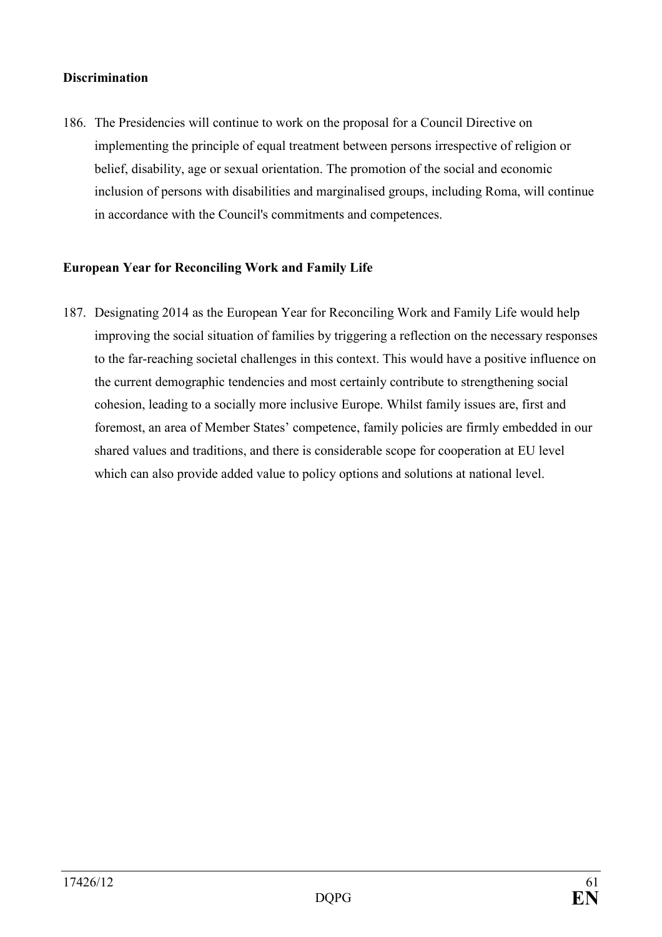### **Discrimination**

186. The Presidencies will continue to work on the proposal for a Council Directive on implementing the principle of equal treatment between persons irrespective of religion or belief, disability, age or sexual orientation. The promotion of the social and economic inclusion of persons with disabilities and marginalised groups, including Roma, will continue in accordance with the Council's commitments and competences.

### **European Year for Reconciling Work and Family Life**

187. Designating 2014 as the European Year for Reconciling Work and Family Life would help improving the social situation of families by triggering a reflection on the necessary responses to the far-reaching societal challenges in this context. This would have a positive influence on the current demographic tendencies and most certainly contribute to strengthening social cohesion, leading to a socially more inclusive Europe. Whilst family issues are, first and foremost, an area of Member States' competence, family policies are firmly embedded in our shared values and traditions, and there is considerable scope for cooperation at EU level which can also provide added value to policy options and solutions at national level.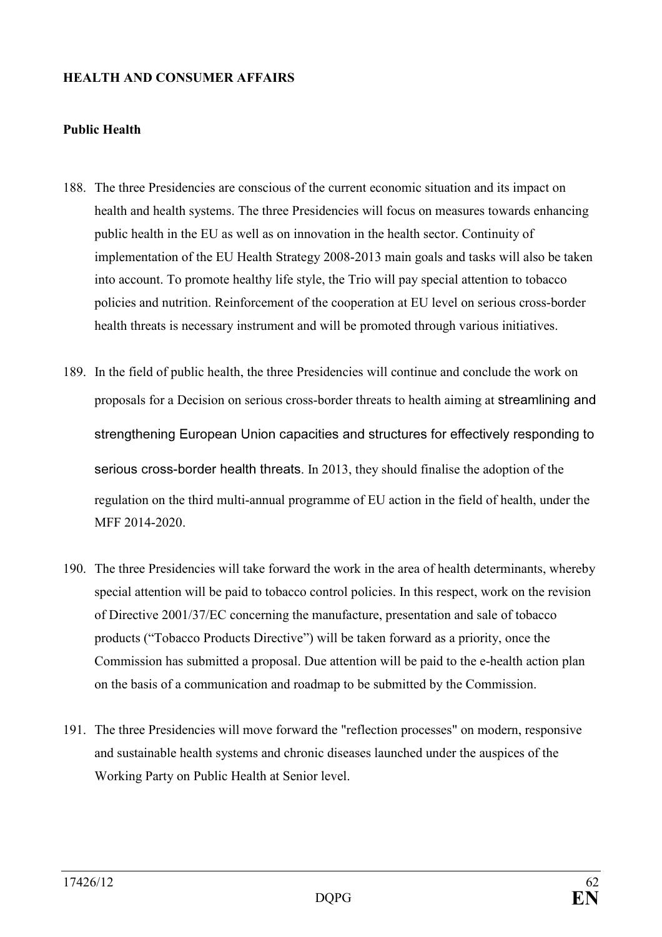#### **HEALTH AND CONSUMER AFFAIRS**

#### **Public Health**

- 188. The three Presidencies are conscious of the current economic situation and its impact on health and health systems. The three Presidencies will focus on measures towards enhancing public health in the EU as well as on innovation in the health sector. Continuity of implementation of the EU Health Strategy 2008-2013 main goals and tasks will also be taken into account. To promote healthy life style, the Trio will pay special attention to tobacco policies and nutrition. Reinforcement of the cooperation at EU level on serious cross-border health threats is necessary instrument and will be promoted through various initiatives.
- 189. In the field of public health, the three Presidencies will continue and conclude the work on proposals for a Decision on serious cross-border threats to health aiming at streamlining and strengthening European Union capacities and structures for effectively responding to serious cross-border health threats. In 2013, they should finalise the adoption of the regulation on the third multi-annual programme of EU action in the field of health, under the MFF 2014-2020.
- 190. The three Presidencies will take forward the work in the area of health determinants, whereby special attention will be paid to tobacco control policies. In this respect, work on the revision of Directive 2001/37/EC concerning the manufacture, presentation and sale of tobacco products ("Tobacco Products Directive") will be taken forward as a priority, once the Commission has submitted a proposal. Due attention will be paid to the e-health action plan on the basis of a communication and roadmap to be submitted by the Commission.
- 191. The three Presidencies will move forward the "reflection processes" on modern, responsive and sustainable health systems and chronic diseases launched under the auspices of the Working Party on Public Health at Senior level.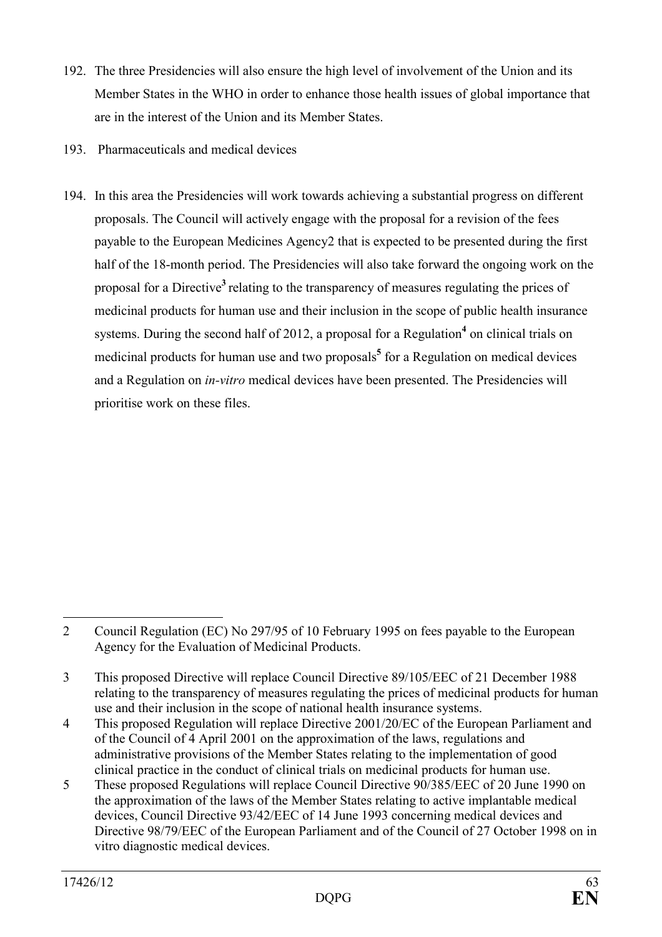- 192. The three Presidencies will also ensure the high level of involvement of the Union and its Member States in the WHO in order to enhance those health issues of global importance that are in the interest of the Union and its Member States.
- 193. Pharmaceuticals and medical devices
- 194. In this area the Presidencies will work towards achieving a substantial progress on different proposals. The Council will actively engage with the proposal for a revision of the fees payable to the European Medicines Agency2 that is expected to be presented during the first half of the 18-month period. The Presidencies will also take forward the ongoing work on the proposal for a Directive**<sup>3</sup>**relating to the transparency of measures regulating the prices of medicinal products for human use and their inclusion in the scope of public health insurance systems. During the second half of 2012, a proposal for a Regulation<sup>4</sup> on clinical trials on medicinal products for human use and two proposals<sup>5</sup> for a Regulation on medical devices and a Regulation on *in-vitro* medical devices have been presented. The Presidencies will prioritise work on these files.

 $\overline{a}$ 2 Council Regulation (EC) No 297/95 of 10 February 1995 on fees payable to the European Agency for the Evaluation of Medicinal Products.

<sup>3</sup> This proposed Directive will replace Council Directive 89/105/EEC of 21 December 1988 relating to the transparency of measures regulating the prices of medicinal products for human use and their inclusion in the scope of national health insurance systems.

<sup>4</sup> This proposed Regulation will replace Directive 2001/20/EC of the European Parliament and of the Council of 4 April 2001 on the approximation of the laws, regulations and administrative provisions of the Member States relating to the implementation of good clinical practice in the conduct of clinical trials on medicinal products for human use.

<sup>5</sup> These proposed Regulations will replace Council Directive 90/385/EEC of 20 June 1990 on the approximation of the laws of the Member States relating to active implantable medical devices, Council Directive 93/42/EEC of 14 June 1993 concerning medical devices and Directive 98/79/EEC of the European Parliament and of the Council of 27 October 1998 on in vitro diagnostic medical devices.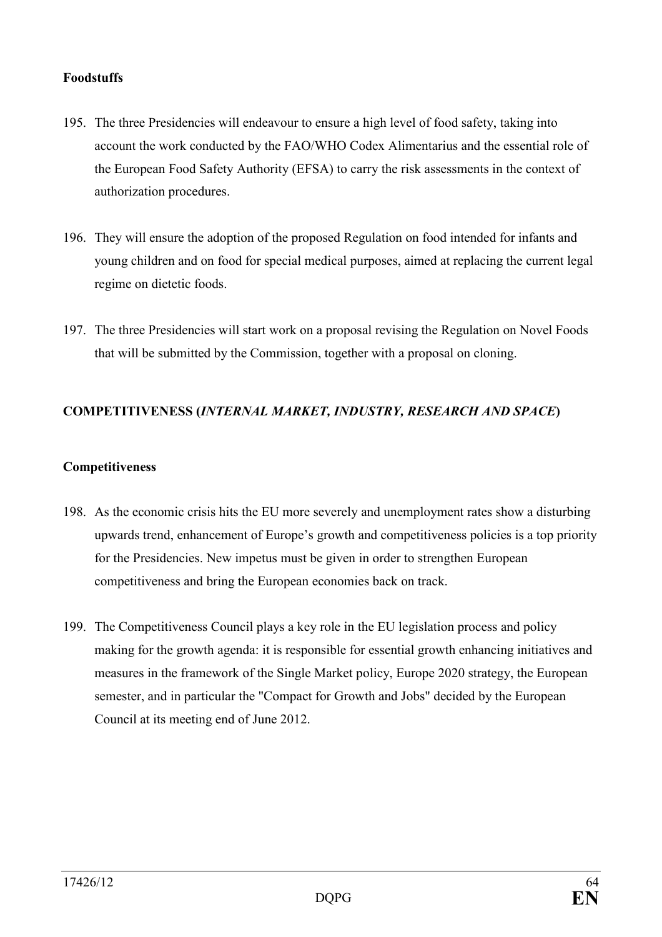## **Foodstuffs**

- 195. The three Presidencies will endeavour to ensure a high level of food safety, taking into account the work conducted by the FAO/WHO Codex Alimentarius and the essential role of the European Food Safety Authority (EFSA) to carry the risk assessments in the context of authorization procedures.
- 196. They will ensure the adoption of the proposed Regulation on food intended for infants and young children and on food for special medical purposes, aimed at replacing the current legal regime on dietetic foods.
- 197. The three Presidencies will start work on a proposal revising the Regulation on Novel Foods that will be submitted by the Commission, together with a proposal on cloning.

# $COMPETITIVENESS (INTERNAL MARKET, INDUSTRY, RESEARCH AND SPACE)$

### **Competitiveness**

- 198. As the economic crisis hits the EU more severely and unemployment rates show a disturbing upwards trend, enhancement of Europe's growth and competitiveness policies is a top priority for the Presidencies. New impetus must be given in order to strengthen European competitiveness and bring the European economies back on track.
- 199. The Competitiveness Council plays a key role in the EU legislation process and policy making for the growth agenda: it is responsible for essential growth enhancing initiatives and measures in the framework of the Single Market policy, Europe 2020 strategy, the European semester, and in particular the "Compact for Growth and Jobs" decided by the European Council at its meeting end of June 2012.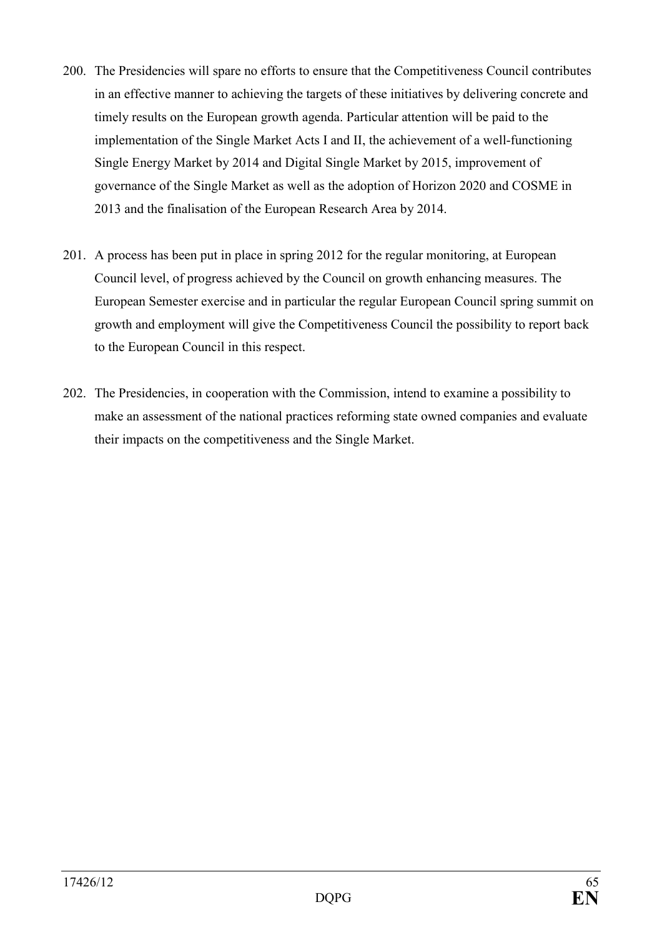- 200. The Presidencies will spare no efforts to ensure that the Competitiveness Council contributes in an effective manner to achieving the targets of these initiatives by delivering concrete and timely results on the European growth agenda. Particular attention will be paid to the implementation of the Single Market Acts I and II, the achievement of a well-functioning Single Energy Market by 2014 and Digital Single Market by 2015, improvement of governance of the Single Market as well as the adoption of Horizon 2020 and COSME in 2013 and the finalisation of the European Research Area by 2014.
- 201. A process has been put in place in spring 2012 for the regular monitoring, at European Council level, of progress achieved by the Council on growth enhancing measures. The European Semester exercise and in particular the regular European Council spring summit on growth and employment will give the Competitiveness Council the possibility to report back to the European Council in this respect.
- 202. The Presidencies, in cooperation with the Commission, intend to examine a possibility to make an assessment of the national practices reforming state owned companies and evaluate their impacts on the competitiveness and the Single Market.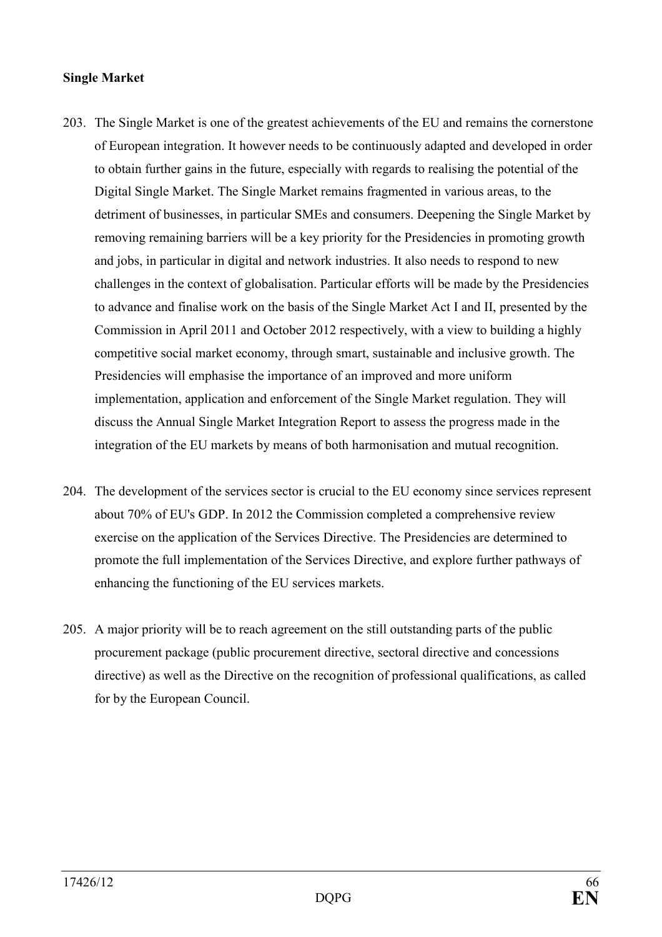### **Single Market**

- 203. The Single Market is one of the greatest achievements of the EU and remains the cornerstone of European integration. It however needs to be continuously adapted and developed in order to obtain further gains in the future, especially with regards to realising the potential of the Digital Single Market. The Single Market remains fragmented in various areas, to the detriment of businesses, in particular SMEs and consumers. Deepening the Single Market by removing remaining barriers will be a key priority for the Presidencies in promoting growth and jobs, in particular in digital and network industries. It also needs to respond to new challenges in the context of globalisation. Particular efforts will be made by the Presidencies to advance and finalise work on the basis of the Single Market Act I and II, presented by the Commission in April 2011 and October 2012 respectively, with a view to building a highly competitive social market economy, through smart, sustainable and inclusive growth. The Presidencies will emphasise the importance of an improved and more uniform implementation, application and enforcement of the Single Market regulation. They will discuss the Annual Single Market Integration Report to assess the progress made in the integration of the EU markets by means of both harmonisation and mutual recognition.
- 204. The development of the services sector is crucial to the EU economy since services represent about 70% of EU's GDP. In 2012 the Commission completed a comprehensive review exercise on the application of the Services Directive. The Presidencies are determined to promote the full implementation of the Services Directive, and explore further pathways of enhancing the functioning of the EU services markets.
- 205. A major priority will be to reach agreement on the still outstanding parts of the public procurement package (public procurement directive, sectoral directive and concessions directive) as well as the Directive on the recognition of professional qualifications, as called for by the European Council.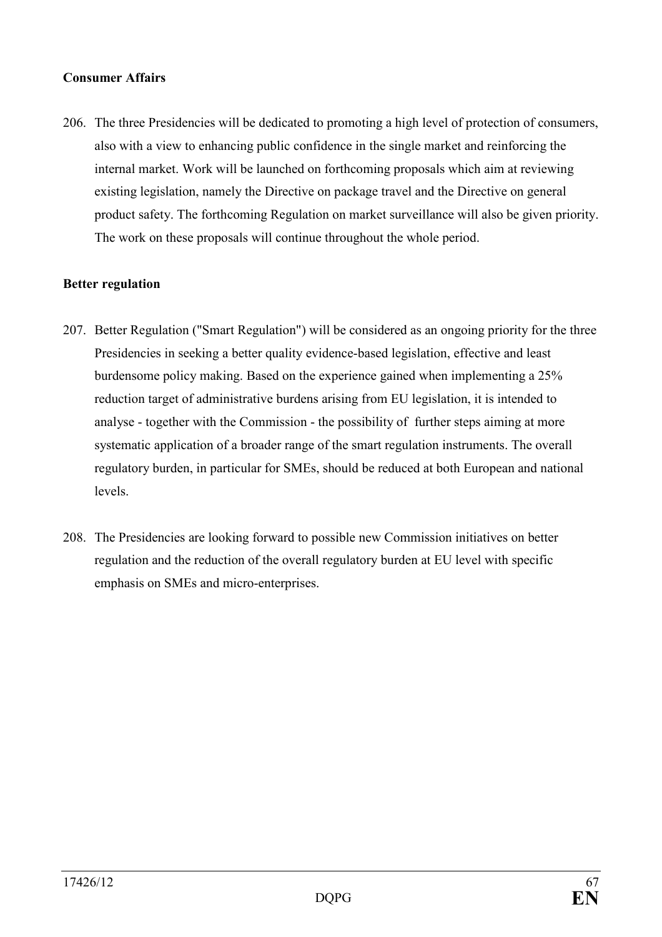## **Consumer Affairs**

206. The three Presidencies will be dedicated to promoting a high level of protection of consumers, also with a view to enhancing public confidence in the single market and reinforcing the internal market. Work will be launched on forthcoming proposals which aim at reviewing existing legislation, namely the Directive on package travel and the Directive on general product safety. The forthcoming Regulation on market surveillance will also be given priority. The work on these proposals will continue throughout the whole period.

### **Better regulation**

- 207. Better Regulation ("Smart Regulation") will be considered as an ongoing priority for the three Presidencies in seeking a better quality evidence-based legislation, effective and least burdensome policy making. Based on the experience gained when implementing a 25% reduction target of administrative burdens arising from EU legislation, it is intended to analyse - together with the Commission - the possibility of further steps aiming at more systematic application of a broader range of the smart regulation instruments. The overall regulatory burden, in particular for SMEs, should be reduced at both European and national levels.
- 208. The Presidencies are looking forward to possible new Commission initiatives on better regulation and the reduction of the overall regulatory burden at EU level with specific emphasis on SMEs and micro-enterprises.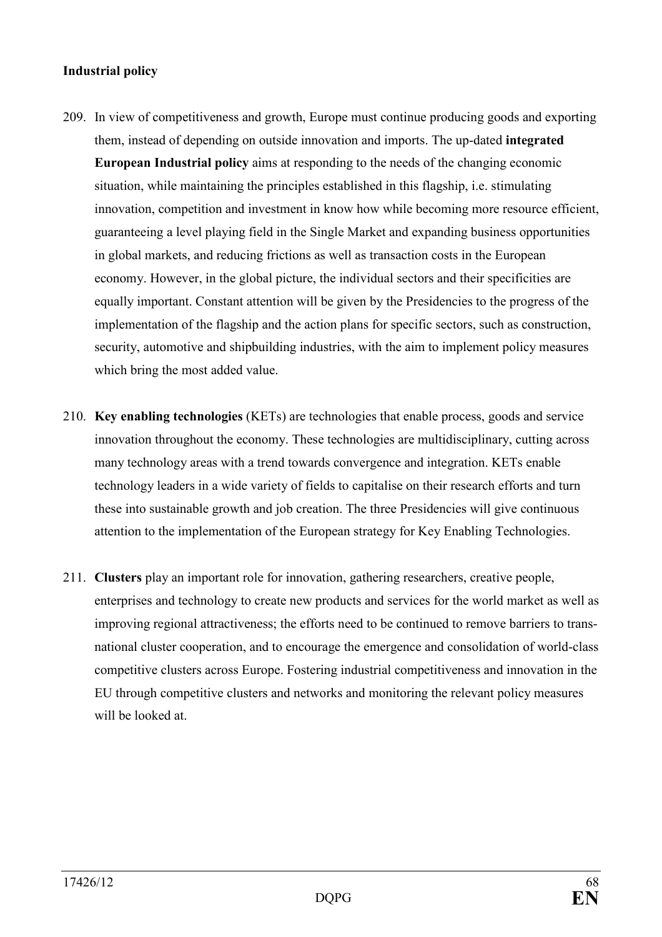## **Industrial policy**

- 209. In view of competitiveness and growth, Europe must continue producing goods and exporting them, instead of depending on outside innovation and imports. The up-dated **integrated European Industrial policy** aims at responding to the needs of the changing economic situation, while maintaining the principles established in this flagship, i.e. stimulating innovation, competition and investment in know how while becoming more resource efficient, guaranteeing a level playing field in the Single Market and expanding business opportunities in global markets, and reducing frictions as well as transaction costs in the European economy. However, in the global picture, the individual sectors and their specificities are equally important. Constant attention will be given by the Presidencies to the progress of the implementation of the flagship and the action plans for specific sectors, such as construction, security, automotive and shipbuilding industries, with the aim to implement policy measures which bring the most added value.
- 210. **Key enabling technologies** (KETs) are technologies that enable process, goods and service innovation throughout the economy. These technologies are multidisciplinary, cutting across many technology areas with a trend towards convergence and integration. KETs enable technology leaders in a wide variety of fields to capitalise on their research efforts and turn these into sustainable growth and job creation. The three Presidencies will give continuous attention to the implementation of the European strategy for Key Enabling Technologies.
- 211. **Clusters** play an important role for innovation, gathering researchers, creative people, enterprises and technology to create new products and services for the world market as well as improving regional attractiveness; the efforts need to be continued to remove barriers to transnational cluster cooperation, and to encourage the emergence and consolidation of world-class competitive clusters across Europe. Fostering industrial competitiveness and innovation in the EU through competitive clusters and networks and monitoring the relevant policy measures will be looked at.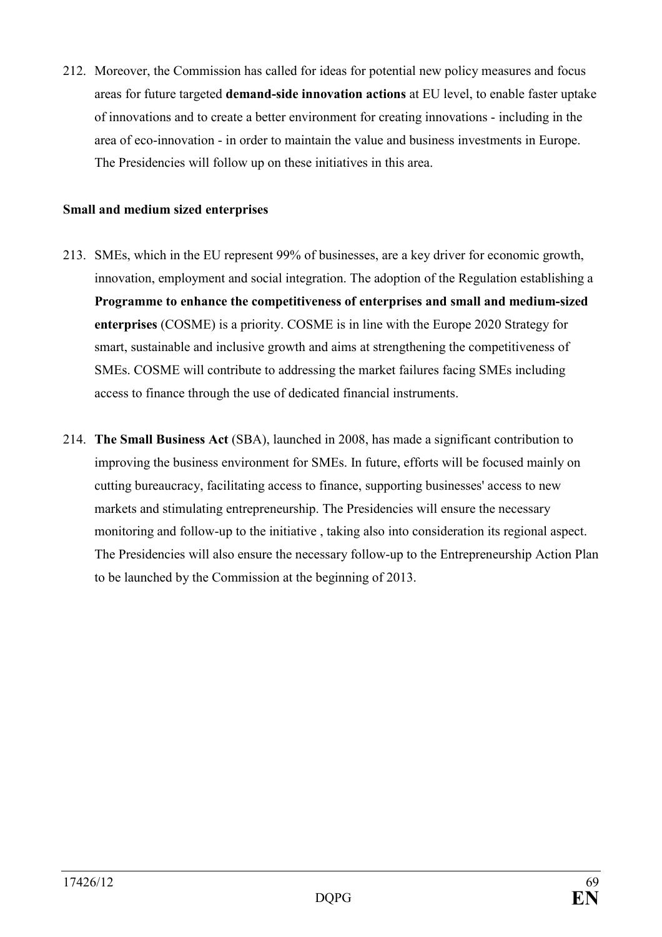212. Moreover, the Commission has called for ideas for potential new policy measures and focus areas for future targeted **demand-side innovation actions** at EU level, to enable faster uptake of innovations and to create a better environment for creating innovations - including in the area of eco-innovation - in order to maintain the value and business investments in Europe. The Presidencies will follow up on these initiatives in this area.

#### **Small and medium sized enterprises**

- 213. SMEs, which in the EU represent 99% of businesses, are a key driver for economic growth, innovation, employment and social integration. The adoption of the Regulation establishing a **Programme to enhance the competitiveness of enterprises and small and medium-sized enterprises** (COSME) is a priority. COSME is in line with the Europe 2020 Strategy for smart, sustainable and inclusive growth and aims at strengthening the competitiveness of SMEs. COSME will contribute to addressing the market failures facing SMEs including access to finance through the use of dedicated financial instruments.
- 214. **The Small Business Act** (SBA), launched in 2008, has made a significant contribution to improving the business environment for SMEs. In future, efforts will be focused mainly on cutting bureaucracy, facilitating access to finance, supporting businesses' access to new markets and stimulating entrepreneurship. The Presidencies will ensure the necessary monitoring and follow-up to the initiative , taking also into consideration its regional aspect. The Presidencies will also ensure the necessary follow-up to the Entrepreneurship Action Plan to be launched by the Commission at the beginning of 2013.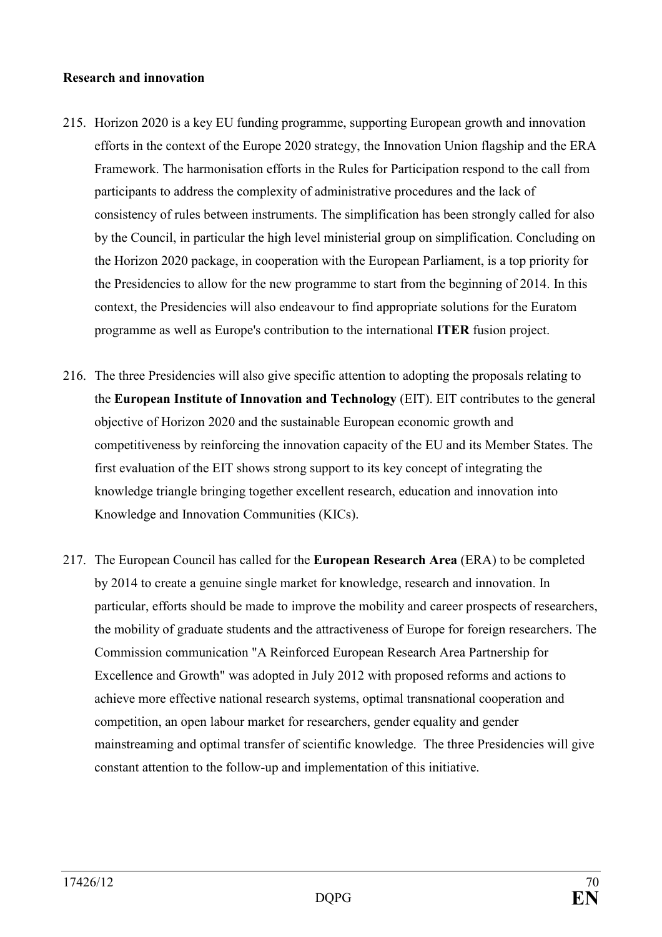#### **Research and innovation**

- 215. Horizon 2020 is a key EU funding programme, supporting European growth and innovation efforts in the context of the Europe 2020 strategy, the Innovation Union flagship and the ERA Framework. The harmonisation efforts in the Rules for Participation respond to the call from participants to address the complexity of administrative procedures and the lack of consistency of rules between instruments. The simplification has been strongly called for also by the Council, in particular the high level ministerial group on simplification. Concluding on the Horizon 2020 package, in cooperation with the European Parliament, is a top priority for the Presidencies to allow for the new programme to start from the beginning of 2014. In this context, the Presidencies will also endeavour to find appropriate solutions for the Euratom programme as well as Europe's contribution to the international **ITER** fusion project.
- 216. The three Presidencies will also give specific attention to adopting the proposals relating to the **European Institute of Innovation and Technology** (EIT). EIT contributes to the general objective of Horizon 2020 and the sustainable European economic growth and competitiveness by reinforcing the innovation capacity of the EU and its Member States. The first evaluation of the EIT shows strong support to its key concept of integrating the knowledge triangle bringing together excellent research, education and innovation into Knowledge and Innovation Communities (KICs).
- 217. The European Council has called for the **European Research Area** (ERA) to be completed by 2014 to create a genuine single market for knowledge, research and innovation. In particular, efforts should be made to improve the mobility and career prospects of researchers, the mobility of graduate students and the attractiveness of Europe for foreign researchers. The Commission communication "A Reinforced European Research Area Partnership for Excellence and Growth" was adopted in July 2012 with proposed reforms and actions to achieve more effective national research systems, optimal transnational cooperation and competition, an open labour market for researchers, gender equality and gender mainstreaming and optimal transfer of scientific knowledge. The three Presidencies will give constant attention to the follow-up and implementation of this initiative.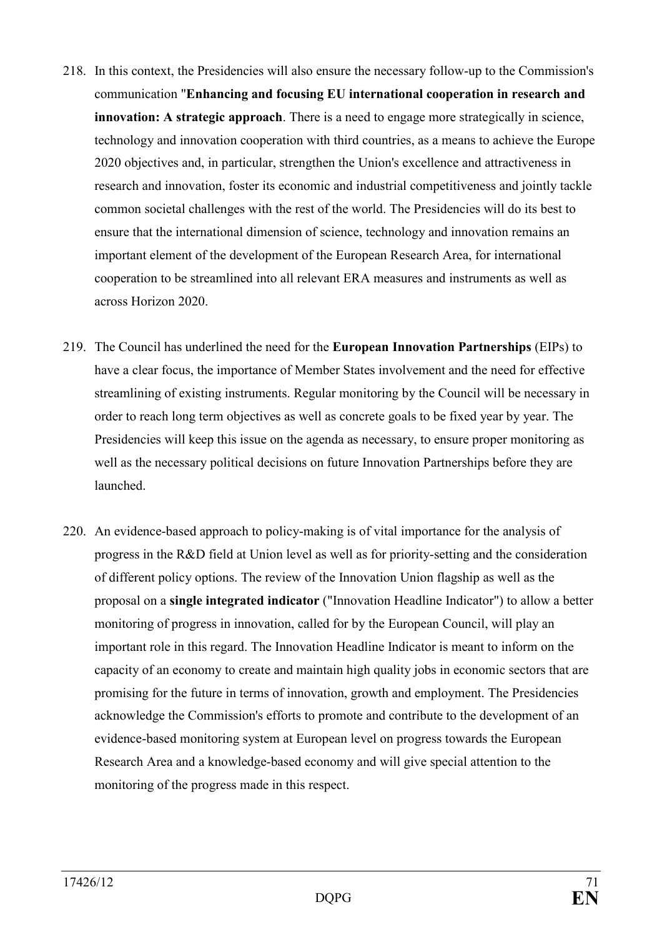- 218. In this context, the Presidencies will also ensure the necessary follow-up to the Commission's communication "**Enhancing and focusing EU international cooperation in research and innovation: A strategic approach**. There is a need to engage more strategically in science, technology and innovation cooperation with third countries, as a means to achieve the Europe 2020 objectives and, in particular, strengthen the Union's excellence and attractiveness in research and innovation, foster its economic and industrial competitiveness and jointly tackle common societal challenges with the rest of the world. The Presidencies will do its best to ensure that the international dimension of science, technology and innovation remains an important element of the development of the European Research Area, for international cooperation to be streamlined into all relevant ERA measures and instruments as well as across Horizon 2020.
- 219. The Council has underlined the need for the **European Innovation Partnerships** (EIPs) to have a clear focus, the importance of Member States involvement and the need for effective streamlining of existing instruments. Regular monitoring by the Council will be necessary in order to reach long term objectives as well as concrete goals to be fixed year by year. The Presidencies will keep this issue on the agenda as necessary, to ensure proper monitoring as well as the necessary political decisions on future Innovation Partnerships before they are launched.
- 220. An evidence-based approach to policy-making is of vital importance for the analysis of progress in the R&D field at Union level as well as for priority-setting and the consideration of different policy options. The review of the Innovation Union flagship as well as the proposal on a **single integrated indicator** ("Innovation Headline Indicator") to allow a better monitoring of progress in innovation, called for by the European Council, will play an important role in this regard. The Innovation Headline Indicator is meant to inform on the capacity of an economy to create and maintain high quality jobs in economic sectors that are promising for the future in terms of innovation, growth and employment. The Presidencies acknowledge the Commission's efforts to promote and contribute to the development of an evidence-based monitoring system at European level on progress towards the European Research Area and a knowledge-based economy and will give special attention to the monitoring of the progress made in this respect.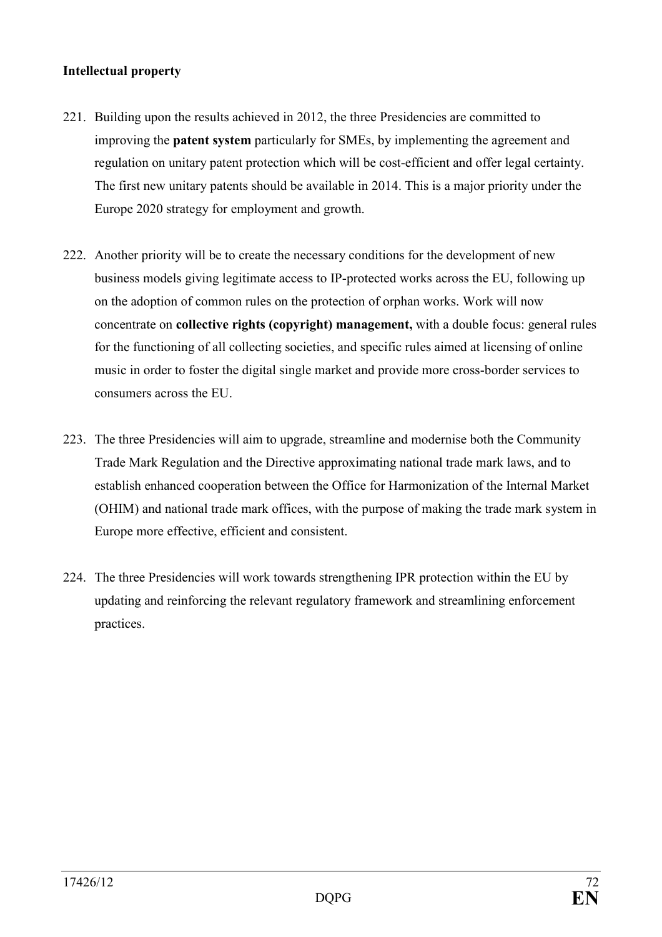## **Intellectual property**

- 221. Building upon the results achieved in 2012, the three Presidencies are committed to improving the **patent system** particularly for SMEs, by implementing the agreement and regulation on unitary patent protection which will be cost-efficient and offer legal certainty. The first new unitary patents should be available in 2014. This is a major priority under the Europe 2020 strategy for employment and growth.
- 222. Another priority will be to create the necessary conditions for the development of new business models giving legitimate access to IP-protected works across the EU, following up on the adoption of common rules on the protection of orphan works. Work will now concentrate on **collective rights (copyright) management,** with a double focus: general rules for the functioning of all collecting societies, and specific rules aimed at licensing of online music in order to foster the digital single market and provide more cross-border services to consumers across the EU.
- 223. The three Presidencies will aim to upgrade, streamline and modernise both the Community Trade Mark Regulation and the Directive approximating national trade mark laws, and to establish enhanced cooperation between the Office for Harmonization of the Internal Market (OHIM) and national trade mark offices, with the purpose of making the trade mark system in Europe more effective, efficient and consistent.
- 224. The three Presidencies will work towards strengthening IPR protection within the EU by updating and reinforcing the relevant regulatory framework and streamlining enforcement practices.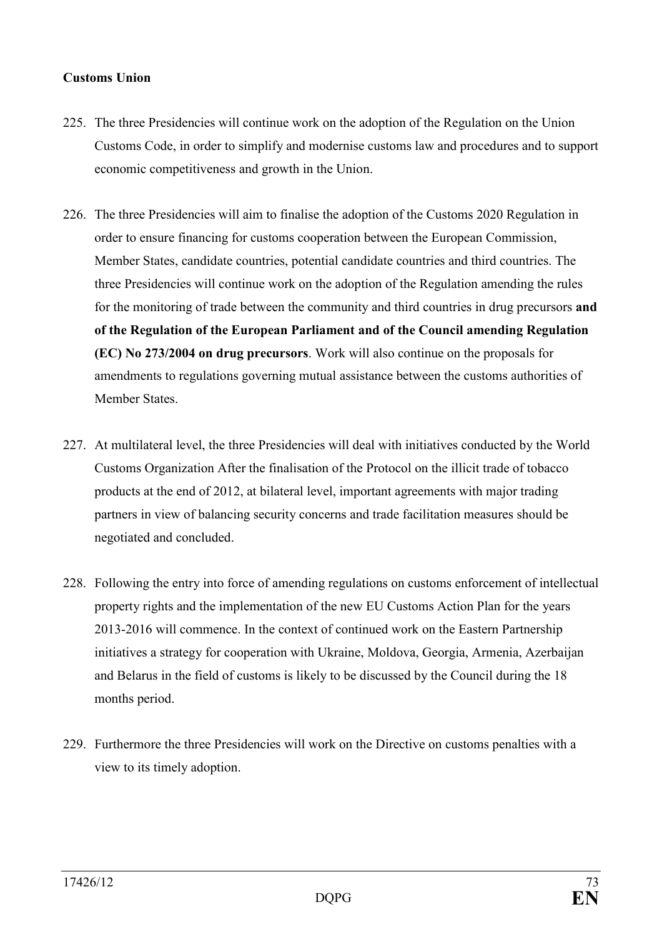## **Customs Union**

- 225. The three Presidencies will continue work on the adoption of the Regulation on the Union Customs Code, in order to simplify and modernise customs law and procedures and to support economic competitiveness and growth in the Union.
- 226. The three Presidencies will aim to finalise the adoption of the Customs 2020 Regulation in order to ensure financing for customs cooperation between the European Commission, Member States, candidate countries, potential candidate countries and third countries. The three Presidencies will continue work on the adoption of the Regulation amending the rules for the monitoring of trade between the community and third countries in drug precursors **and of the Regulation of the European Parliament and of the Council amending Regulation (EC) No 273/2004 on drug precursors**. Work will also continue on the proposals for amendments to regulations governing mutual assistance between the customs authorities of Member States.
- 227. At multilateral level, the three Presidencies will deal with initiatives conducted by the World Customs Organization After the finalisation of the Protocol on the illicit trade of tobacco products at the end of 2012, at bilateral level, important agreements with major trading partners in view of balancing security concerns and trade facilitation measures should be negotiated and concluded.
- 228. Following the entry into force of amending regulations on customs enforcement of intellectual property rights and the implementation of the new EU Customs Action Plan for the years 2013-2016 will commence. In the context of continued work on the Eastern Partnership initiatives a strategy for cooperation with Ukraine, Moldova, Georgia, Armenia, Azerbaijan and Belarus in the field of customs is likely to be discussed by the Council during the 18 months period.
- 229. Furthermore the three Presidencies will work on the Directive on customs penalties with a view to its timely adoption.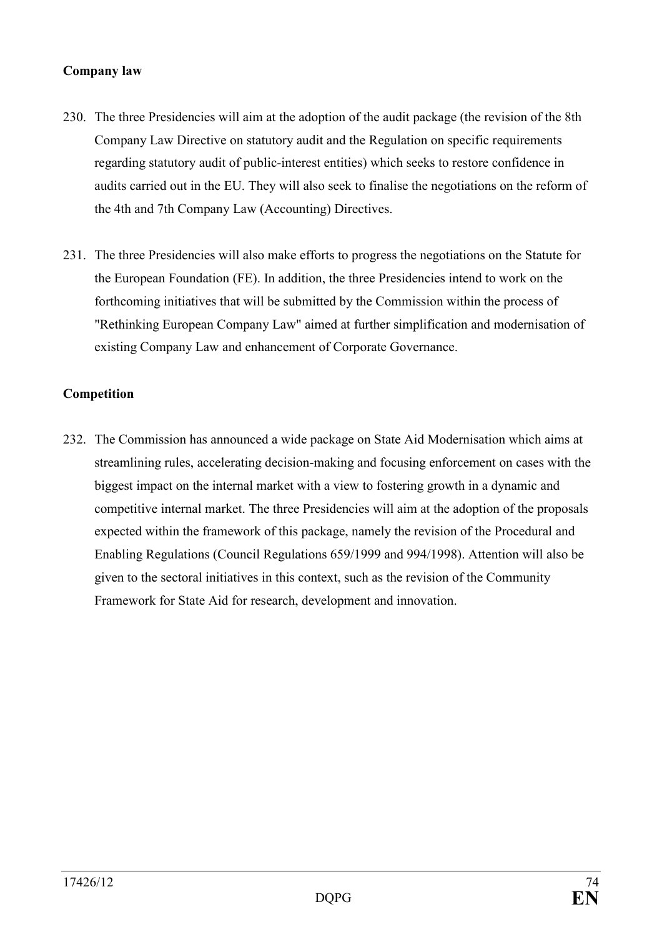### **Company law**

- 230. The three Presidencies will aim at the adoption of the audit package (the revision of the 8th Company Law Directive on statutory audit and the Regulation on specific requirements regarding statutory audit of public-interest entities) which seeks to restore confidence in audits carried out in the EU. They will also seek to finalise the negotiations on the reform of the 4th and 7th Company Law (Accounting) Directives.
- 231. The three Presidencies will also make efforts to progress the negotiations on the Statute for the European Foundation (FE). In addition, the three Presidencies intend to work on the forthcoming initiatives that will be submitted by the Commission within the process of "Rethinking European Company Law" aimed at further simplification and modernisation of existing Company Law and enhancement of Corporate Governance.

### **Competition**

232. The Commission has announced a wide package on State Aid Modernisation which aims at streamlining rules, accelerating decision-making and focusing enforcement on cases with the biggest impact on the internal market with a view to fostering growth in a dynamic and competitive internal market. The three Presidencies will aim at the adoption of the proposals expected within the framework of this package, namely the revision of the Procedural and Enabling Regulations (Council Regulations 659/1999 and 994/1998). Attention will also be given to the sectoral initiatives in this context, such as the revision of the Community Framework for State Aid for research, development and innovation.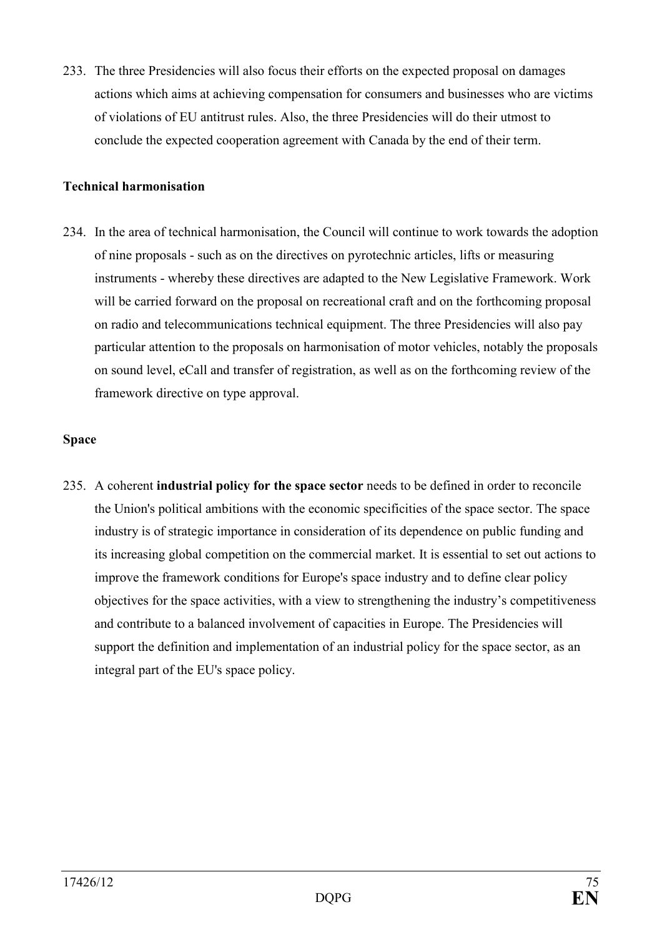233. The three Presidencies will also focus their efforts on the expected proposal on damages actions which aims at achieving compensation for consumers and businesses who are victims of violations of EU antitrust rules. Also, the three Presidencies will do their utmost to conclude the expected cooperation agreement with Canada by the end of their term.

## **Technical harmonisation**

234. In the area of technical harmonisation, the Council will continue to work towards the adoption of nine proposals - such as on the directives on pyrotechnic articles, lifts or measuring instruments - whereby these directives are adapted to the New Legislative Framework. Work will be carried forward on the proposal on recreational craft and on the forthcoming proposal on radio and telecommunications technical equipment. The three Presidencies will also pay particular attention to the proposals on harmonisation of motor vehicles, notably the proposals on sound level, eCall and transfer of registration, as well as on the forthcoming review of the framework directive on type approval.

# **Space**

235. A coherent **industrial policy for the space sector** needs to be defined in order to reconcile the Union's political ambitions with the economic specificities of the space sector. The space industry is of strategic importance in consideration of its dependence on public funding and its increasing global competition on the commercial market. It is essential to set out actions to improve the framework conditions for Europe's space industry and to define clear policy objectives for the space activities, with a view to strengthening the industry's competitiveness and contribute to a balanced involvement of capacities in Europe. The Presidencies will support the definition and implementation of an industrial policy for the space sector, as an integral part of the EU's space policy.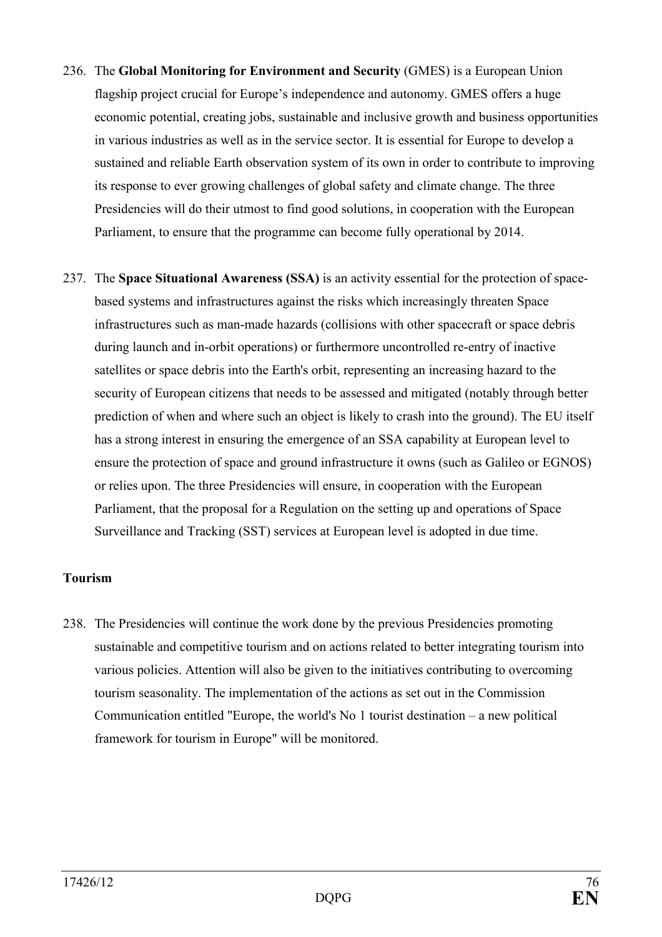- 236. The **Global Monitoring for Environment and Security** (GMES) is a European Union flagship project crucial for Europe's independence and autonomy. GMES offers a huge economic potential, creating jobs, sustainable and inclusive growth and business opportunities in various industries as well as in the service sector. It is essential for Europe to develop a sustained and reliable Earth observation system of its own in order to contribute to improving its response to ever growing challenges of global safety and climate change. The three Presidencies will do their utmost to find good solutions, in cooperation with the European Parliament, to ensure that the programme can become fully operational by 2014.
- 237. The **Space Situational Awareness (SSA)** is an activity essential for the protection of spacebased systems and infrastructures against the risks which increasingly threaten Space infrastructures such as man-made hazards (collisions with other spacecraft or space debris during launch and in-orbit operations) or furthermore uncontrolled re-entry of inactive satellites or space debris into the Earth's orbit, representing an increasing hazard to the security of European citizens that needs to be assessed and mitigated (notably through better prediction of when and where such an object is likely to crash into the ground). The EU itself has a strong interest in ensuring the emergence of an SSA capability at European level to ensure the protection of space and ground infrastructure it owns (such as Galileo or EGNOS) or relies upon. The three Presidencies will ensure, in cooperation with the European Parliament, that the proposal for a Regulation on the setting up and operations of Space Surveillance and Tracking (SST) services at European level is adopted in due time.

## **Tourism**

238. The Presidencies will continue the work done by the previous Presidencies promoting sustainable and competitive tourism and on actions related to better integrating tourism into various policies. Attention will also be given to the initiatives contributing to overcoming tourism seasonality. The implementation of the actions as set out in the Commission Communication entitled "Europe, the world's No 1 tourist destination – a new political framework for tourism in Europe" will be monitored.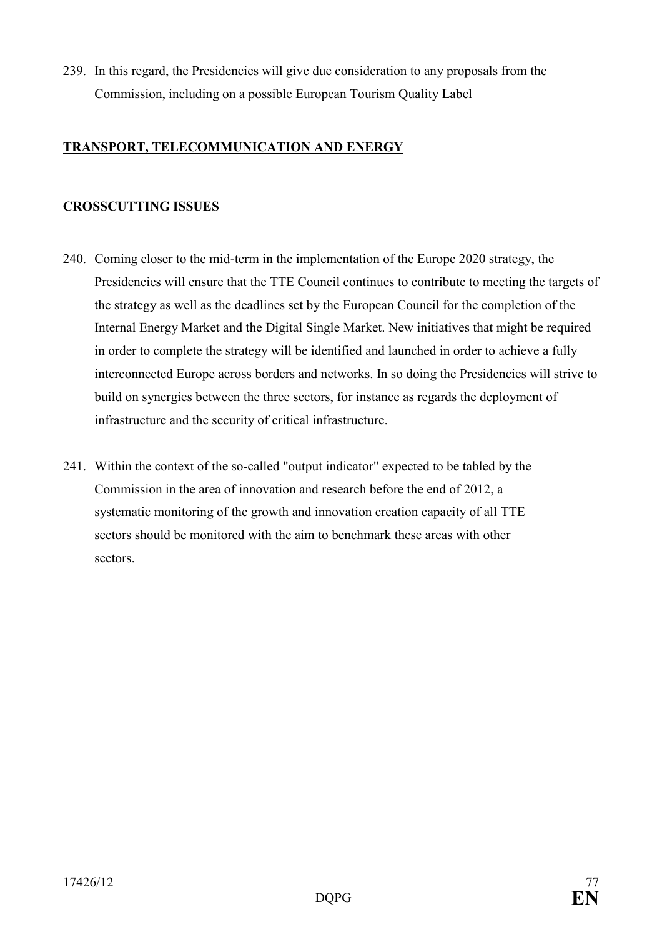239. In this regard, the Presidencies will give due consideration to any proposals from the Commission, including on a possible European Tourism Quality Label

# **TRANSPORT, TELECOMMUNICATION AND ENERGY**

# **CROSSCUTTIG ISSUES**

- 240. Coming closer to the mid-term in the implementation of the Europe 2020 strategy, the Presidencies will ensure that the TTE Council continues to contribute to meeting the targets of the strategy as well as the deadlines set by the European Council for the completion of the Internal Energy Market and the Digital Single Market. New initiatives that might be required in order to complete the strategy will be identified and launched in order to achieve a fully interconnected Europe across borders and networks. In so doing the Presidencies will strive to build on synergies between the three sectors, for instance as regards the deployment of infrastructure and the security of critical infrastructure.
- 241. Within the context of the so-called "output indicator" expected to be tabled by the Commission in the area of innovation and research before the end of 2012, a systematic monitoring of the growth and innovation creation capacity of all TTE sectors should be monitored with the aim to benchmark these areas with other sectors.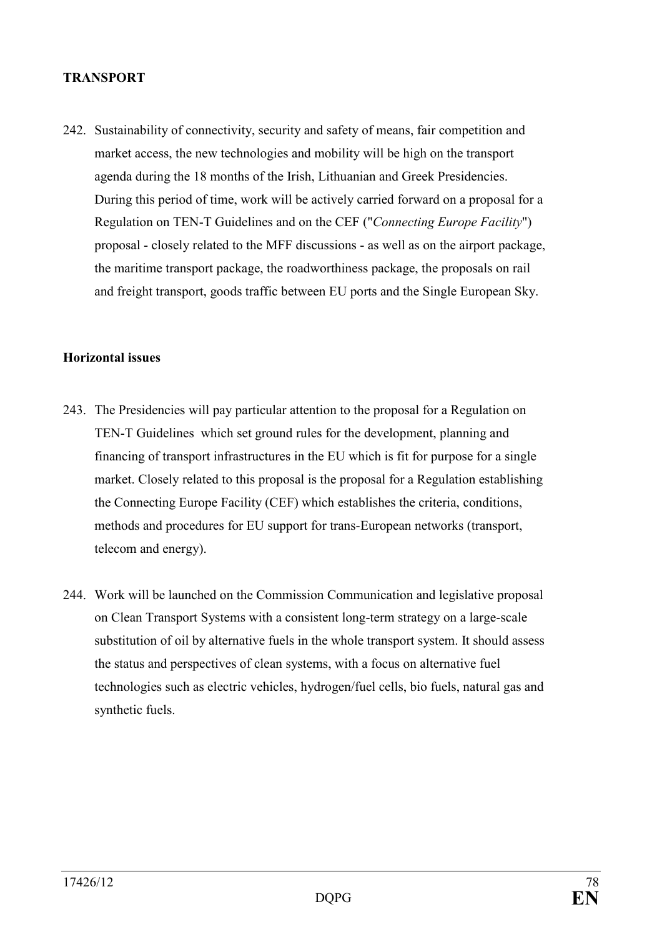#### **TRASPORT**

242. Sustainability of connectivity, security and safety of means, fair competition and market access, the new technologies and mobility will be high on the transport agenda during the 18 months of the Irish, Lithuanian and Greek Presidencies. During this period of time, work will be actively carried forward on a proposal for a Regulation on TEN-T Guidelines and on the CEF ("*Connecting Europe Facility*") proposal - closely related to the MFF discussions - as well as on the airport package, the maritime transport package, the roadworthiness package, the proposals on rail and freight transport, goods traffic between EU ports and the Single European Sky.

#### **Horizontal issues**

- 243. The Presidencies will pay particular attention to the proposal for a Regulation on TEN-T Guidelines which set ground rules for the development, planning and financing of transport infrastructures in the EU which is fit for purpose for a single market. Closely related to this proposal is the proposal for a Regulation establishing the Connecting Europe Facility (CEF) which establishes the criteria, conditions, methods and procedures for EU support for trans-European networks (transport, telecom and energy).
- 244. Work will be launched on the Commission Communication and legislative proposal on Clean Transport Systems with a consistent long-term strategy on a large-scale substitution of oil by alternative fuels in the whole transport system. It should assess the status and perspectives of clean systems, with a focus on alternative fuel technologies such as electric vehicles, hydrogen/fuel cells, bio fuels, natural gas and synthetic fuels.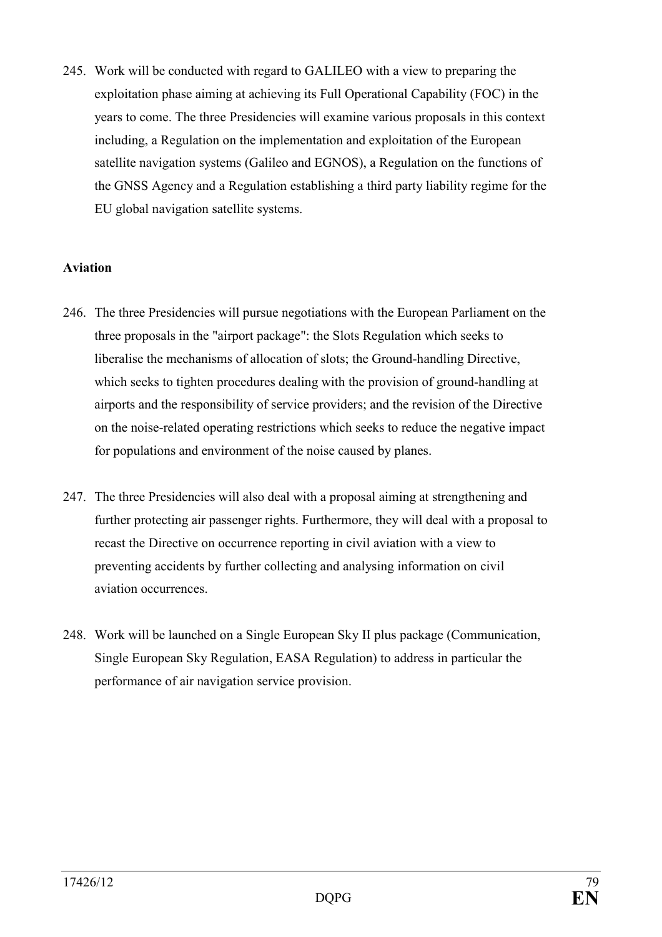245. Work will be conducted with regard to GALILEO with a view to preparing the exploitation phase aiming at achieving its Full Operational Capability (FOC) in the years to come. The three Presidencies will examine various proposals in this context including, a Regulation on the implementation and exploitation of the European satellite navigation systems (Galileo and EGNOS), a Regulation on the functions of the GNSS Agency and a Regulation establishing a third party liability regime for the EU global navigation satellite systems.

### **Aviation**

- 246. The three Presidencies will pursue negotiations with the European Parliament on the three proposals in the "airport package": the Slots Regulation which seeks to liberalise the mechanisms of allocation of slots; the Ground-handling Directive, which seeks to tighten procedures dealing with the provision of ground-handling at airports and the responsibility of service providers; and the revision of the Directive on the noise-related operating restrictions which seeks to reduce the negative impact for populations and environment of the noise caused by planes.
- 247. The three Presidencies will also deal with a proposal aiming at strengthening and further protecting air passenger rights. Furthermore, they will deal with a proposal to recast the Directive on occurrence reporting in civil aviation with a view to preventing accidents by further collecting and analysing information on civil aviation occurrences.
- 248. Work will be launched on a Single European Sky II plus package (Communication, Single European Sky Regulation, EASA Regulation) to address in particular the performance of air navigation service provision.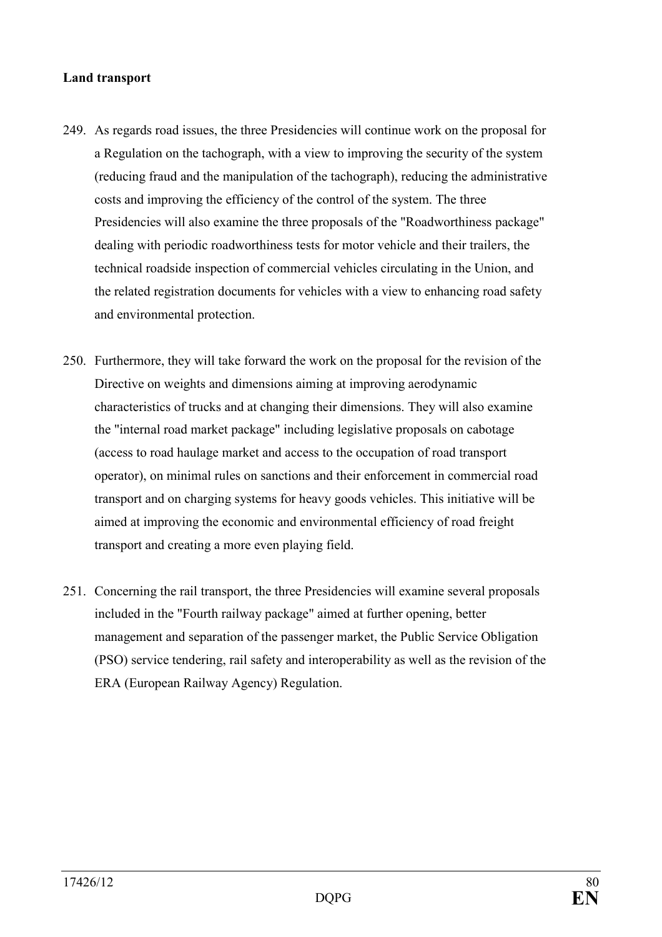### **Land transport**

- 249. As regards road issues, the three Presidencies will continue work on the proposal for a Regulation on the tachograph, with a view to improving the security of the system (reducing fraud and the manipulation of the tachograph), reducing the administrative costs and improving the efficiency of the control of the system. The three Presidencies will also examine the three proposals of the "Roadworthiness package" dealing with periodic roadworthiness tests for motor vehicle and their trailers, the technical roadside inspection of commercial vehicles circulating in the Union, and the related registration documents for vehicles with a view to enhancing road safety and environmental protection.
- 250. Furthermore, they will take forward the work on the proposal for the revision of the Directive on weights and dimensions aiming at improving aerodynamic characteristics of trucks and at changing their dimensions. They will also examine the "internal road market package" including legislative proposals on cabotage (access to road haulage market and access to the occupation of road transport operator), on minimal rules on sanctions and their enforcement in commercial road transport and on charging systems for heavy goods vehicles. This initiative will be aimed at improving the economic and environmental efficiency of road freight transport and creating a more even playing field.
- 251. Concerning the rail transport, the three Presidencies will examine several proposals included in the "Fourth railway package" aimed at further opening, better management and separation of the passenger market, the Public Service Obligation (PSO) service tendering, rail safety and interoperability as well as the revision of the ERA (European Railway Agency) Regulation.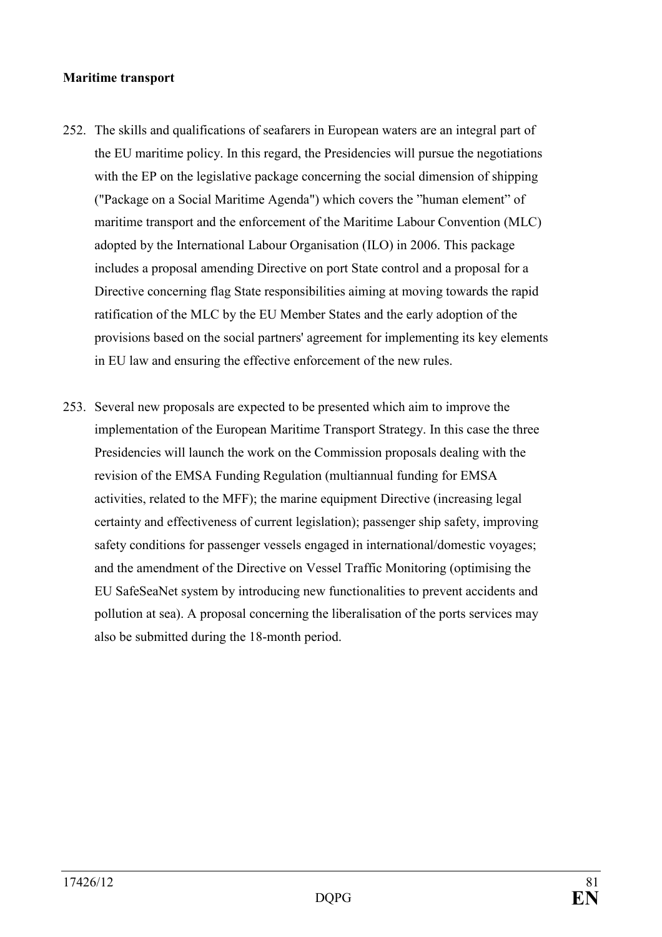#### **Maritime transport**

- 252. The skills and qualifications of seafarers in European waters are an integral part of the EU maritime policy. In this regard, the Presidencies will pursue the negotiations with the EP on the legislative package concerning the social dimension of shipping ("Package on a Social Maritime Agenda") which covers the "human element" of maritime transport and the enforcement of the Maritime Labour Convention (MLC) adopted by the International Labour Organisation (ILO) in 2006. This package includes a proposal amending Directive on port State control and a proposal for a Directive concerning flag State responsibilities aiming at moving towards the rapid ratification of the MLC by the EU Member States and the early adoption of the provisions based on the social partners' agreement for implementing its key elements in EU law and ensuring the effective enforcement of the new rules.
- 253. Several new proposals are expected to be presented which aim to improve the implementation of the European Maritime Transport Strategy. In this case the three Presidencies will launch the work on the Commission proposals dealing with the revision of the EMSA Funding Regulation (multiannual funding for EMSA activities, related to the MFF); the marine equipment Directive (increasing legal certainty and effectiveness of current legislation); passenger ship safety, improving safety conditions for passenger vessels engaged in international/domestic voyages; and the amendment of the Directive on Vessel Traffic Monitoring (optimising the EU SafeSeaNet system by introducing new functionalities to prevent accidents and pollution at sea). A proposal concerning the liberalisation of the ports services may also be submitted during the 18-month period.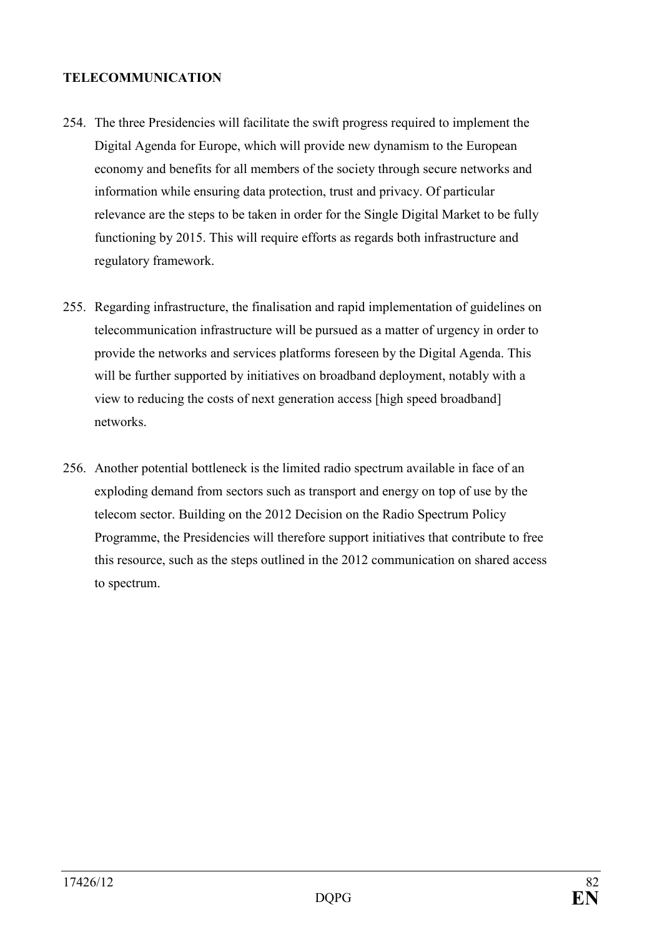### **TELECOMMUNICATION**

- 254. The three Presidencies will facilitate the swift progress required to implement the Digital Agenda for Europe, which will provide new dynamism to the European economy and benefits for all members of the society through secure networks and information while ensuring data protection, trust and privacy. Of particular relevance are the steps to be taken in order for the Single Digital Market to be fully functioning by 2015. This will require efforts as regards both infrastructure and regulatory framework.
- 255. Regarding infrastructure, the finalisation and rapid implementation of guidelines on telecommunication infrastructure will be pursued as a matter of urgency in order to provide the networks and services platforms foreseen by the Digital Agenda. This will be further supported by initiatives on broadband deployment, notably with a view to reducing the costs of next generation access [high speed broadband] networks.
- 256. Another potential bottleneck is the limited radio spectrum available in face of an exploding demand from sectors such as transport and energy on top of use by the telecom sector. Building on the 2012 Decision on the Radio Spectrum Policy Programme, the Presidencies will therefore support initiatives that contribute to free this resource, such as the steps outlined in the 2012 communication on shared access to spectrum.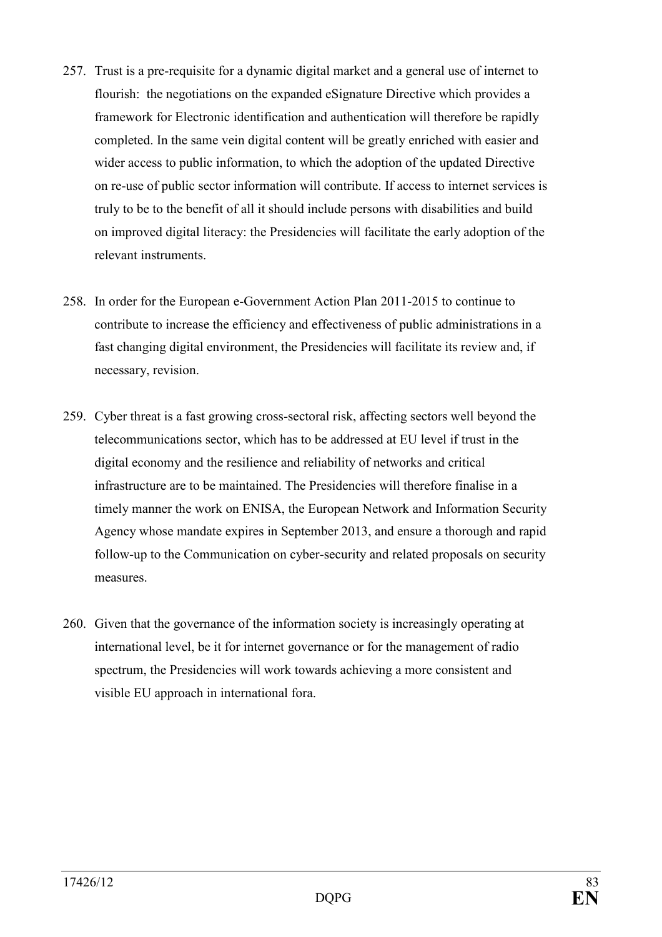- 257. Trust is a pre-requisite for a dynamic digital market and a general use of internet to flourish: the negotiations on the expanded eSignature Directive which provides a framework for Electronic identification and authentication will therefore be rapidly completed. In the same vein digital content will be greatly enriched with easier and wider access to public information, to which the adoption of the updated Directive on re-use of public sector information will contribute. If access to internet services is truly to be to the benefit of all it should include persons with disabilities and build on improved digital literacy: the Presidencies will facilitate the early adoption of the relevant instruments.
- 258. In order for the European e-Government Action Plan 2011-2015 to continue to contribute to increase the efficiency and effectiveness of public administrations in a fast changing digital environment, the Presidencies will facilitate its review and, if necessary, revision.
- 259. Cyber threat is a fast growing cross-sectoral risk, affecting sectors well beyond the telecommunications sector, which has to be addressed at EU level if trust in the digital economy and the resilience and reliability of networks and critical infrastructure are to be maintained. The Presidencies will therefore finalise in a timely manner the work on ENISA, the European Network and Information Security Agency whose mandate expires in September 2013, and ensure a thorough and rapid follow-up to the Communication on cyber-security and related proposals on security measures.
- 260. Given that the governance of the information society is increasingly operating at international level, be it for internet governance or for the management of radio spectrum, the Presidencies will work towards achieving a more consistent and visible EU approach in international fora.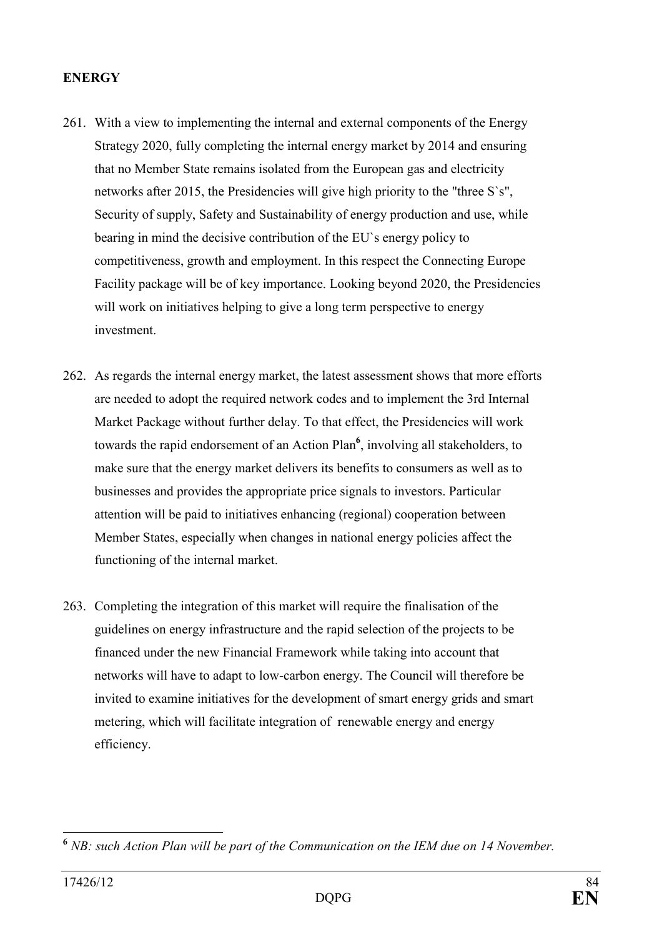### **ENERGY**

- 261. With a view to implementing the internal and external components of the Energy Strategy 2020, fully completing the internal energy market by 2014 and ensuring that no Member State remains isolated from the European gas and electricity networks after 2015, the Presidencies will give high priority to the "three S`s", Security of supply, Safety and Sustainability of energy production and use, while bearing in mind the decisive contribution of the EU`s energy policy to competitiveness, growth and employment. In this respect the Connecting Europe Facility package will be of key importance. Looking beyond 2020, the Presidencies will work on initiatives helping to give a long term perspective to energy investment.
- 262. As regards the internal energy market, the latest assessment shows that more efforts are needed to adopt the required network codes and to implement the 3rd Internal Market Package without further delay. To that effect, the Presidencies will work towards the rapid endorsement of an Action Plan**<sup>6</sup>** , involving all stakeholders, to make sure that the energy market delivers its benefits to consumers as well as to businesses and provides the appropriate price signals to investors. Particular attention will be paid to initiatives enhancing (regional) cooperation between Member States, especially when changes in national energy policies affect the functioning of the internal market.
- 263. Completing the integration of this market will require the finalisation of the guidelines on energy infrastructure and the rapid selection of the projects to be financed under the new Financial Framework while taking into account that networks will have to adapt to low-carbon energy. The Council will therefore be invited to examine initiatives for the development of smart energy grids and smart metering, which will facilitate integration of renewable energy and energy efficiency.

 $\overline{a}$ <sup>6</sup> NB: such Action Plan will be part of the Communication on the IEM due on 14 November.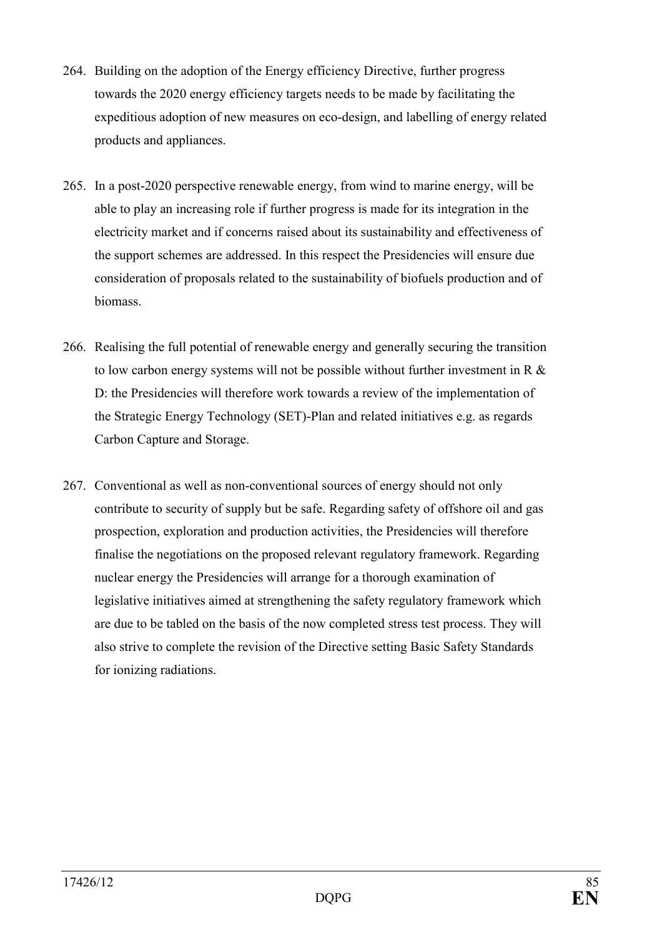- 264. Building on the adoption of the Energy efficiency Directive, further progress towards the 2020 energy efficiency targets needs to be made by facilitating the expeditious adoption of new measures on eco-design, and labelling of energy related products and appliances.
- 265. In a post-2020 perspective renewable energy, from wind to marine energy, will be able to play an increasing role if further progress is made for its integration in the electricity market and if concerns raised about its sustainability and effectiveness of the support schemes are addressed. In this respect the Presidencies will ensure due consideration of proposals related to the sustainability of biofuels production and of biomass.
- 266. Realising the full potential of renewable energy and generally securing the transition to low carbon energy systems will not be possible without further investment in R & D: the Presidencies will therefore work towards a review of the implementation of the Strategic Energy Technology (SET)-Plan and related initiatives e.g. as regards Carbon Capture and Storage.
- 267. Conventional as well as non-conventional sources of energy should not only contribute to security of supply but be safe. Regarding safety of offshore oil and gas prospection, exploration and production activities, the Presidencies will therefore finalise the negotiations on the proposed relevant regulatory framework. Regarding nuclear energy the Presidencies will arrange for a thorough examination of legislative initiatives aimed at strengthening the safety regulatory framework which are due to be tabled on the basis of the now completed stress test process. They will also strive to complete the revision of the Directive setting Basic Safety Standards for ionizing radiations.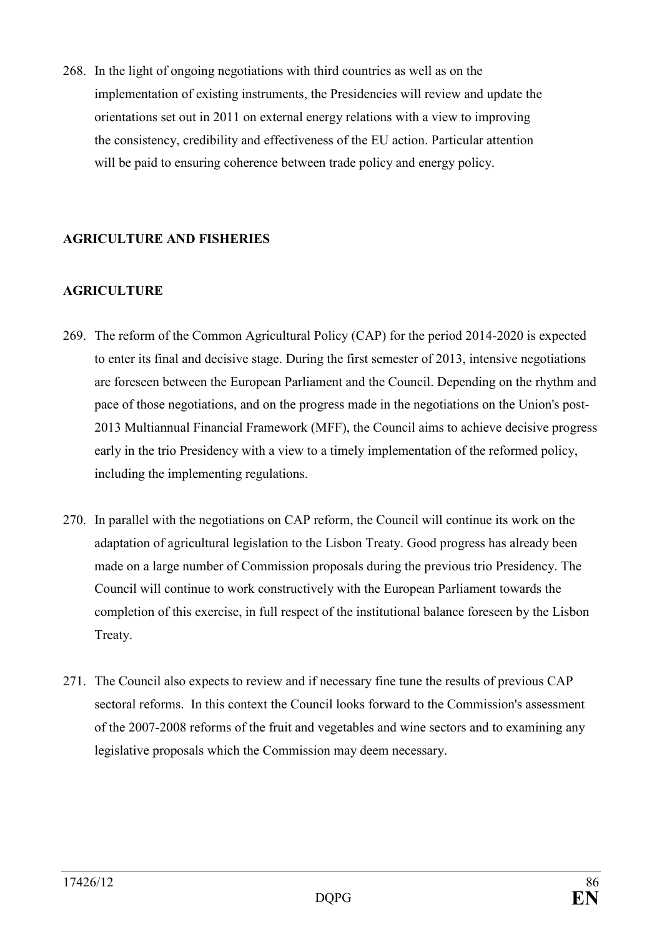268. In the light of ongoing negotiations with third countries as well as on the implementation of existing instruments, the Presidencies will review and update the orientations set out in 2011 on external energy relations with a view to improving the consistency, credibility and effectiveness of the EU action. Particular attention will be paid to ensuring coherence between trade policy and energy policy.

# **AGRICULTURE AD FISHERIES**

## **AGRICULTURE**

- 269. The reform of the Common Agricultural Policy (CAP) for the period 2014-2020 is expected to enter its final and decisive stage. During the first semester of 2013, intensive negotiations are foreseen between the European Parliament and the Council. Depending on the rhythm and pace of those negotiations, and on the progress made in the negotiations on the Union's post-2013 Multiannual Financial Framework (MFF), the Council aims to achieve decisive progress early in the trio Presidency with a view to a timely implementation of the reformed policy, including the implementing regulations.
- 270. In parallel with the negotiations on CAP reform, the Council will continue its work on the adaptation of agricultural legislation to the Lisbon Treaty. Good progress has already been made on a large number of Commission proposals during the previous trio Presidency. The Council will continue to work constructively with the European Parliament towards the completion of this exercise, in full respect of the institutional balance foreseen by the Lisbon Treaty.
- 271. The Council also expects to review and if necessary fine tune the results of previous CAP sectoral reforms. In this context the Council looks forward to the Commission's assessment of the 2007-2008 reforms of the fruit and vegetables and wine sectors and to examining any legislative proposals which the Commission may deem necessary.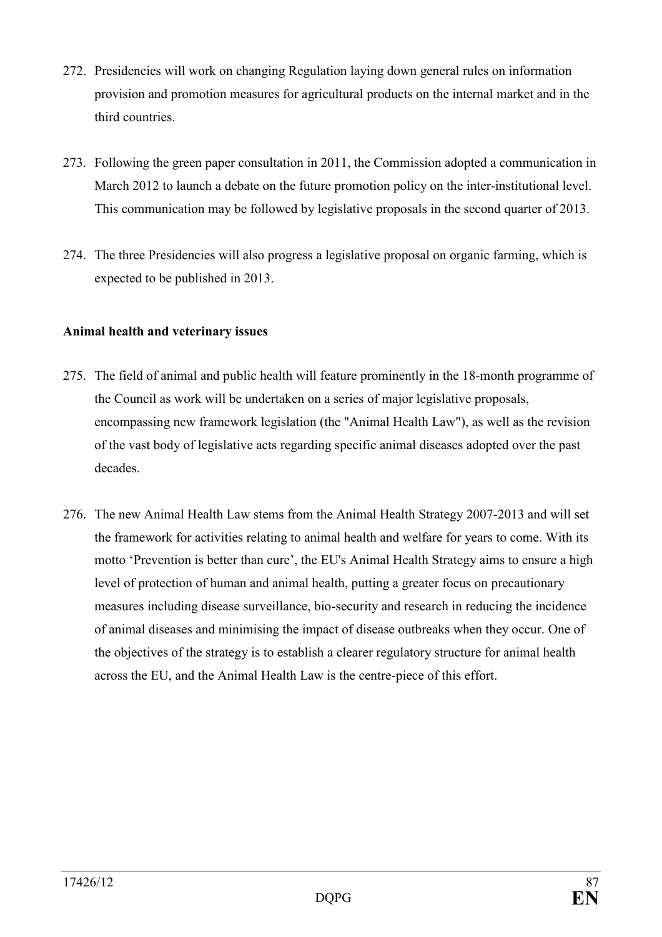- 272. Presidencies will work on changing Regulation laying down general rules on information provision and promotion measures for agricultural products on the internal market and in the third countries.
- 273. Following the green paper consultation in 2011, the Commission adopted a communication in March 2012 to launch a debate on the future promotion policy on the inter-institutional level. This communication may be followed by legislative proposals in the second quarter of 2013.
- 274. The three Presidencies will also progress a legislative proposal on organic farming, which is expected to be published in 2013.

# **Animal health and veterinary issues**

- 275. The field of animal and public health will feature prominently in the 18-month programme of the Council as work will be undertaken on a series of major legislative proposals, encompassing new framework legislation (the "Animal Health Law"), as well as the revision of the vast body of legislative acts regarding specific animal diseases adopted over the past decades.
- 276. The new Animal Health Law stems from the Animal Health Strategy 2007-2013 and will set the framework for activities relating to animal health and welfare for years to come. With its motto 'Prevention is better than cure', the EU's Animal Health Strategy aims to ensure a high level of protection of human and animal health, putting a greater focus on precautionary measures including disease surveillance, bio-security and research in reducing the incidence of animal diseases and minimising the impact of disease outbreaks when they occur. One of the objectives of the strategy is to establish a clearer regulatory structure for animal health across the EU, and the Animal Health Law is the centre-piece of this effort.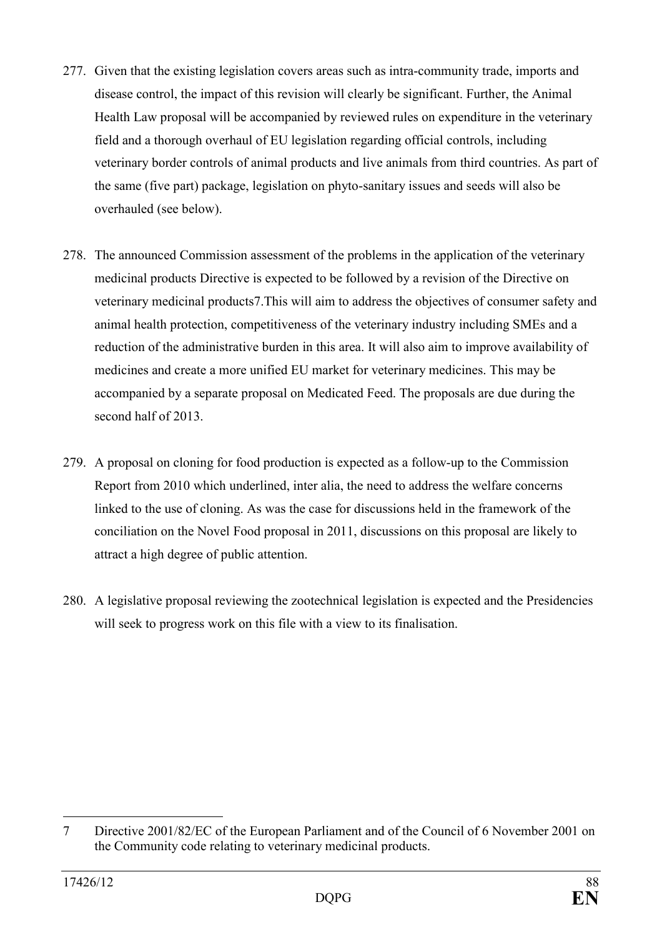- 277. Given that the existing legislation covers areas such as intra-community trade, imports and disease control, the impact of this revision will clearly be significant. Further, the Animal Health Law proposal will be accompanied by reviewed rules on expenditure in the veterinary field and a thorough overhaul of EU legislation regarding official controls, including veterinary border controls of animal products and live animals from third countries. As part of the same (five part) package, legislation on phyto-sanitary issues and seeds will also be overhauled (see below).
- 278. The announced Commission assessment of the problems in the application of the veterinary medicinal products Directive is expected to be followed by a revision of the Directive on veterinary medicinal products7.This will aim to address the objectives of consumer safety and animal health protection, competitiveness of the veterinary industry including SMEs and a reduction of the administrative burden in this area. It will also aim to improve availability of medicines and create a more unified EU market for veterinary medicines. This may be accompanied by a separate proposal on Medicated Feed. The proposals are due during the second half of 2013.
- 279. A proposal on cloning for food production is expected as a follow-up to the Commission Report from 2010 which underlined, inter alia, the need to address the welfare concerns linked to the use of cloning. As was the case for discussions held in the framework of the conciliation on the Novel Food proposal in 2011, discussions on this proposal are likely to attract a high degree of public attention.
- 280. A legislative proposal reviewing the zootechnical legislation is expected and the Presidencies will seek to progress work on this file with a view to its finalisation.

 $\overline{a}$ 7 Directive 2001/82/EC of the European Parliament and of the Council of 6 November 2001 on the Community code relating to veterinary medicinal products.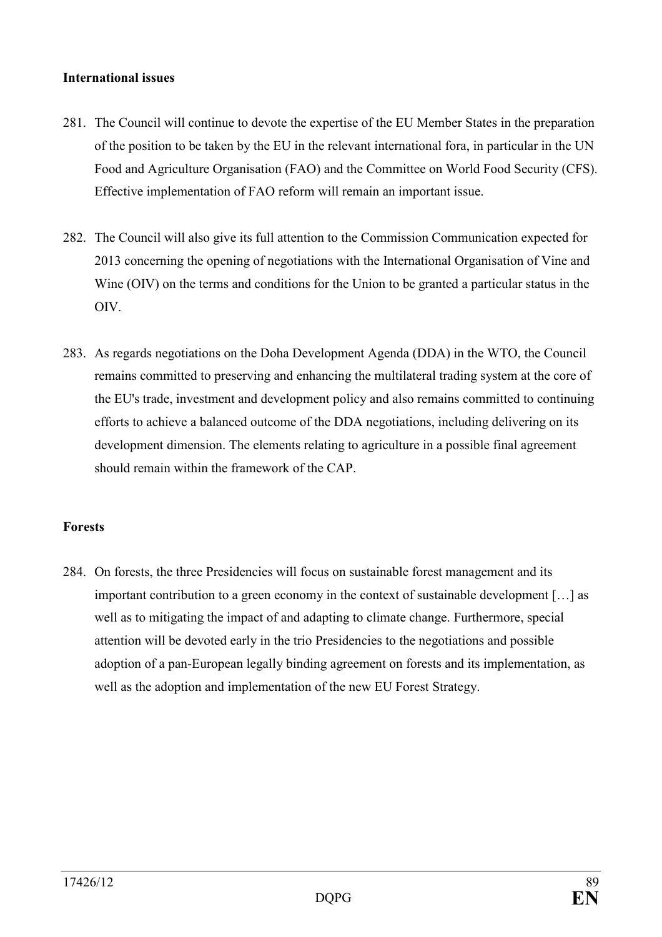#### **International issues**

- 281. The Council will continue to devote the expertise of the EU Member States in the preparation of the position to be taken by the EU in the relevant international fora, in particular in the UN Food and Agriculture Organisation (FAO) and the Committee on World Food Security (CFS). Effective implementation of FAO reform will remain an important issue.
- 282. The Council will also give its full attention to the Commission Communication expected for 2013 concerning the opening of negotiations with the International Organisation of Vine and Wine (OIV) on the terms and conditions for the Union to be granted a particular status in the OIV.
- 283. As regards negotiations on the Doha Development Agenda (DDA) in the WTO, the Council remains committed to preserving and enhancing the multilateral trading system at the core of the EU's trade, investment and development policy and also remains committed to continuing efforts to achieve a balanced outcome of the DDA negotiations, including delivering on its development dimension. The elements relating to agriculture in a possible final agreement should remain within the framework of the CAP.

## **Forests**

284. On forests, the three Presidencies will focus on sustainable forest management and its important contribution to a green economy in the context of sustainable development […] as well as to mitigating the impact of and adapting to climate change. Furthermore, special attention will be devoted early in the trio Presidencies to the negotiations and possible adoption of a pan-European legally binding agreement on forests and its implementation, as well as the adoption and implementation of the new EU Forest Strategy.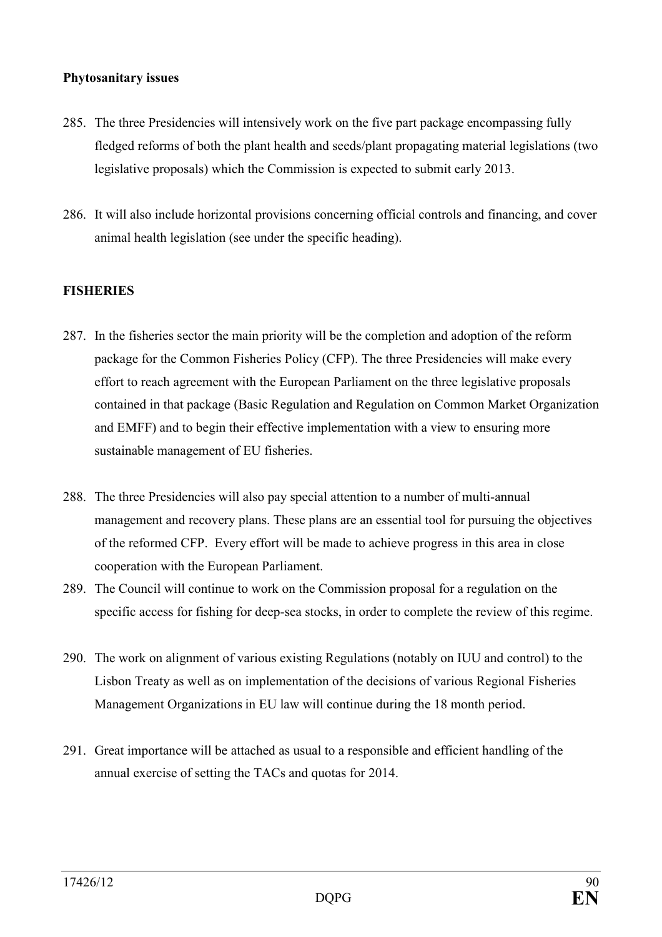### **Phytosanitary issues**

- 285. The three Presidencies will intensively work on the five part package encompassing fully fledged reforms of both the plant health and seeds/plant propagating material legislations (two legislative proposals) which the Commission is expected to submit early 2013.
- 286. It will also include horizontal provisions concerning official controls and financing, and cover animal health legislation (see under the specific heading).

### **FISHERIES**

- 287. In the fisheries sector the main priority will be the completion and adoption of the reform package for the Common Fisheries Policy (CFP). The three Presidencies will make every effort to reach agreement with the European Parliament on the three legislative proposals contained in that package (Basic Regulation and Regulation on Common Market Organization and EMFF) and to begin their effective implementation with a view to ensuring more sustainable management of EU fisheries.
- 288. The three Presidencies will also pay special attention to a number of multi-annual management and recovery plans. These plans are an essential tool for pursuing the objectives of the reformed CFP. Every effort will be made to achieve progress in this area in close cooperation with the European Parliament.
- 289. The Council will continue to work on the Commission proposal for a regulation on the specific access for fishing for deep-sea stocks, in order to complete the review of this regime.
- 290. The work on alignment of various existing Regulations (notably on IUU and control) to the Lisbon Treaty as well as on implementation of the decisions of various Regional Fisheries Management Organizations in EU law will continue during the 18 month period.
- 291. Great importance will be attached as usual to a responsible and efficient handling of the annual exercise of setting the TACs and quotas for 2014.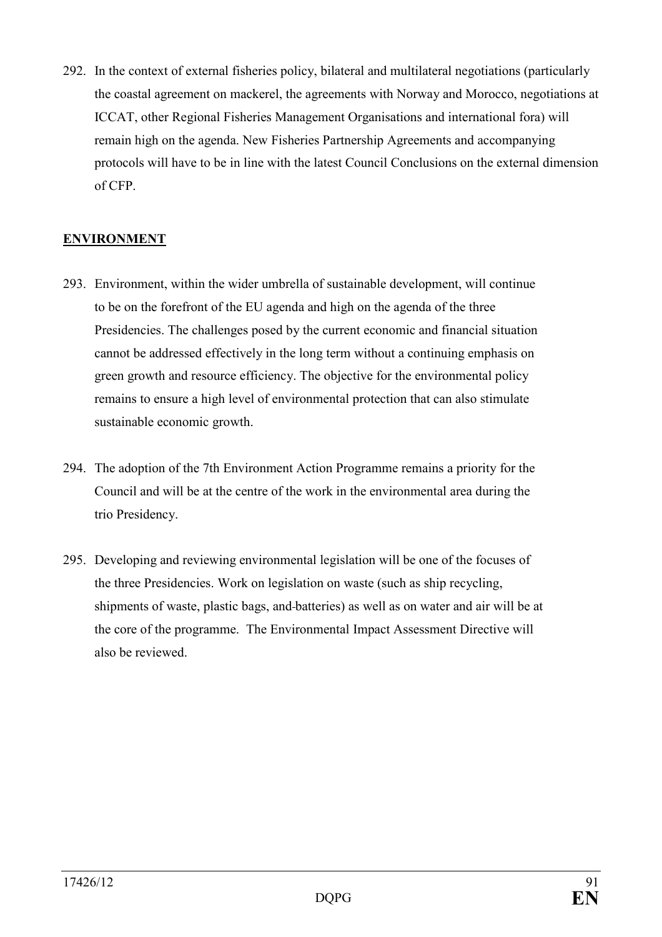292. In the context of external fisheries policy, bilateral and multilateral negotiations (particularly the coastal agreement on mackerel, the agreements with Norway and Morocco, negotiations at ICCAT, other Regional Fisheries Management Organisations and international fora) will remain high on the agenda. New Fisheries Partnership Agreements and accompanying protocols will have to be in line with the latest Council Conclusions on the external dimension of CFP.

# **ENVIRONMENT**

- 293. Environment, within the wider umbrella of sustainable development, will continue to be on the forefront of the EU agenda and high on the agenda of the three Presidencies. The challenges posed by the current economic and financial situation cannot be addressed effectively in the long term without a continuing emphasis on green growth and resource efficiency. The objective for the environmental policy remains to ensure a high level of environmental protection that can also stimulate sustainable economic growth.
- 294. The adoption of the 7th Environment Action Programme remains a priority for the Council and will be at the centre of the work in the environmental area during the trio Presidency.
- 295. Developing and reviewing environmental legislation will be one of the focuses of the three Presidencies. Work on legislation on waste (such as ship recycling, shipments of waste, plastic bags, and batteries) as well as on water and air will be at the core of the programme. The Environmental Impact Assessment Directive will also be reviewed.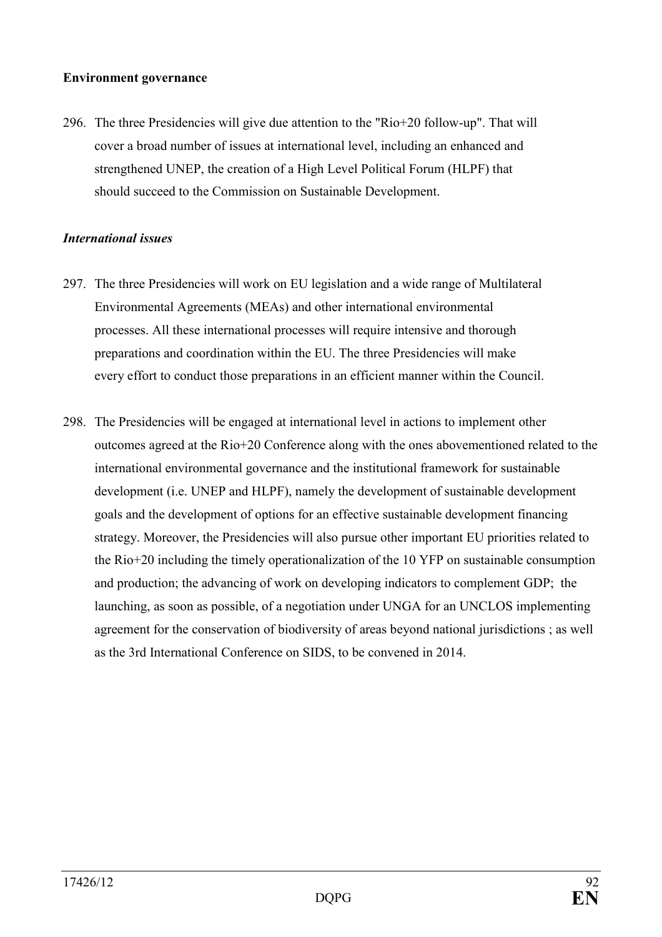### **Environment governance**

296. The three Presidencies will give due attention to the "Rio+20 follow-up". That will cover a broad number of issues at international level, including an enhanced and strengthened UNEP, the creation of a High Level Political Forum (HLPF) that should succeed to the Commission on Sustainable Development.

### *International issues*

- 297. The three Presidencies will work on EU legislation and a wide range of Multilateral Environmental Agreements (MEAs) and other international environmental processes. All these international processes will require intensive and thorough preparations and coordination within the EU. The three Presidencies will make every effort to conduct those preparations in an efficient manner within the Council.
- 298. The Presidencies will be engaged at international level in actions to implement other outcomes agreed at the Rio+20 Conference along with the ones abovementioned related to the international environmental governance and the institutional framework for sustainable development (i.e. UNEP and HLPF), namely the development of sustainable development goals and the development of options for an effective sustainable development financing strategy. Moreover, the Presidencies will also pursue other important EU priorities related to the Rio+20 including the timely operationalization of the 10 YFP on sustainable consumption and production; the advancing of work on developing indicators to complement GDP; the launching, as soon as possible, of a negotiation under UNGA for an UNCLOS implementing agreement for the conservation of biodiversity of areas beyond national jurisdictions ; as well as the 3rd International Conference on SIDS, to be convened in 2014.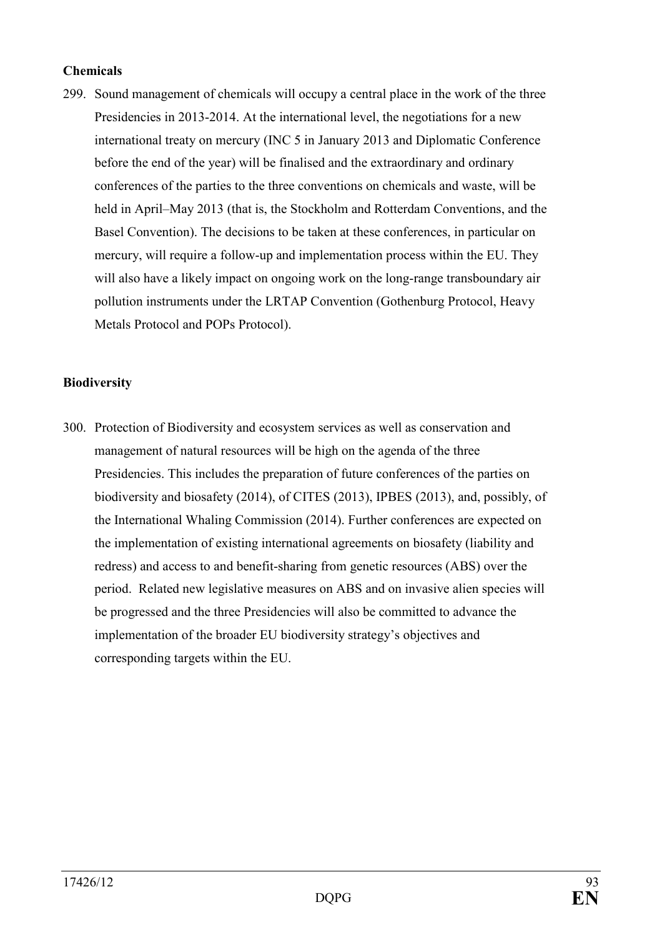### **Chemicals**

299. Sound management of chemicals will occupy a central place in the work of the three Presidencies in 2013-2014. At the international level, the negotiations for a new international treaty on mercury (INC 5 in January 2013 and Diplomatic Conference before the end of the year) will be finalised and the extraordinary and ordinary conferences of the parties to the three conventions on chemicals and waste, will be held in April–May 2013 (that is, the Stockholm and Rotterdam Conventions, and the Basel Convention). The decisions to be taken at these conferences, in particular on mercury, will require a follow-up and implementation process within the EU. They will also have a likely impact on ongoing work on the long-range transboundary air pollution instruments under the LRTAP Convention (Gothenburg Protocol, Heavy Metals Protocol and POPs Protocol).

#### **Biodiversity**

300. Protection of Biodiversity and ecosystem services as well as conservation and management of natural resources will be high on the agenda of the three Presidencies. This includes the preparation of future conferences of the parties on biodiversity and biosafety (2014), of CITES (2013), IPBES (2013), and, possibly, of the International Whaling Commission (2014). Further conferences are expected on the implementation of existing international agreements on biosafety (liability and redress) and access to and benefit-sharing from genetic resources (ABS) over the period. Related new legislative measures on ABS and on invasive alien species will be progressed and the three Presidencies will also be committed to advance the implementation of the broader EU biodiversity strategy's objectives and corresponding targets within the EU.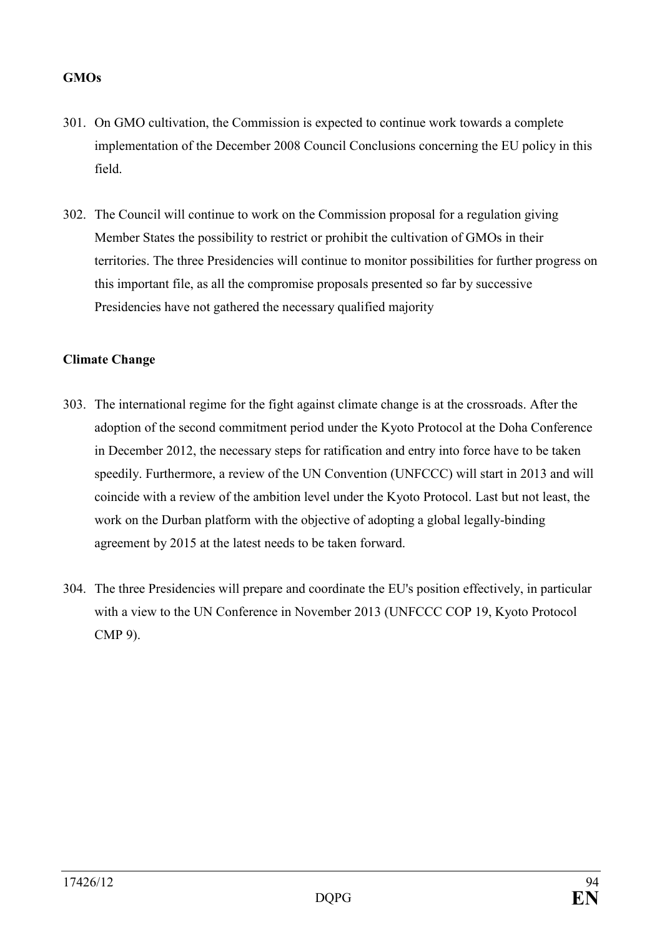## **GMOs**

- 301. On GMO cultivation, the Commission is expected to continue work towards a complete implementation of the December 2008 Council Conclusions concerning the EU policy in this field.
- 302. The Council will continue to work on the Commission proposal for a regulation giving Member States the possibility to restrict or prohibit the cultivation of GMOs in their territories. The three Presidencies will continue to monitor possibilities for further progress on this important file, as all the compromise proposals presented so far by successive Presidencies have not gathered the necessary qualified majority

## **Climate Change**

- 303. The international regime for the fight against climate change is at the crossroads. After the adoption of the second commitment period under the Kyoto Protocol at the Doha Conference in December 2012, the necessary steps for ratification and entry into force have to be taken speedily. Furthermore, a review of the UN Convention (UNFCCC) will start in 2013 and will coincide with a review of the ambition level under the Kyoto Protocol. Last but not least, the work on the Durban platform with the objective of adopting a global legally-binding agreement by 2015 at the latest needs to be taken forward.
- 304. The three Presidencies will prepare and coordinate the EU's position effectively, in particular with a view to the UN Conference in November 2013 (UNFCCC COP 19, Kyoto Protocol CMP 9).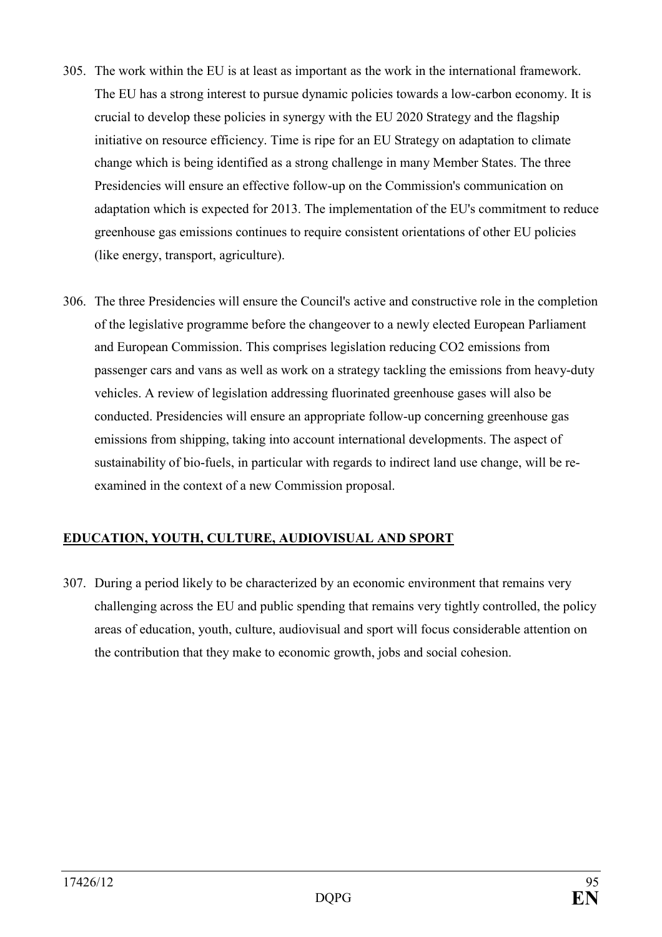- 305. The work within the EU is at least as important as the work in the international framework. The EU has a strong interest to pursue dynamic policies towards a low-carbon economy. It is crucial to develop these policies in synergy with the EU 2020 Strategy and the flagship initiative on resource efficiency. Time is ripe for an EU Strategy on adaptation to climate change which is being identified as a strong challenge in many Member States. The three Presidencies will ensure an effective follow-up on the Commission's communication on adaptation which is expected for 2013. The implementation of the EU's commitment to reduce greenhouse gas emissions continues to require consistent orientations of other EU policies (like energy, transport, agriculture).
- 306. The three Presidencies will ensure the Council's active and constructive role in the completion of the legislative programme before the changeover to a newly elected European Parliament and European Commission. This comprises legislation reducing CO2 emissions from passenger cars and vans as well as work on a strategy tackling the emissions from heavy-duty vehicles. A review of legislation addressing fluorinated greenhouse gases will also be conducted. Presidencies will ensure an appropriate follow-up concerning greenhouse gas emissions from shipping, taking into account international developments. The aspect of sustainability of bio-fuels, in particular with regards to indirect land use change, will be reexamined in the context of a new Commission proposal.

# EDUCATION, YOUTH, CULTURE, AUDIOVISUAL AND SPORT

307. During a period likely to be characterized by an economic environment that remains very challenging across the EU and public spending that remains very tightly controlled, the policy areas of education, youth, culture, audiovisual and sport will focus considerable attention on the contribution that they make to economic growth, jobs and social cohesion.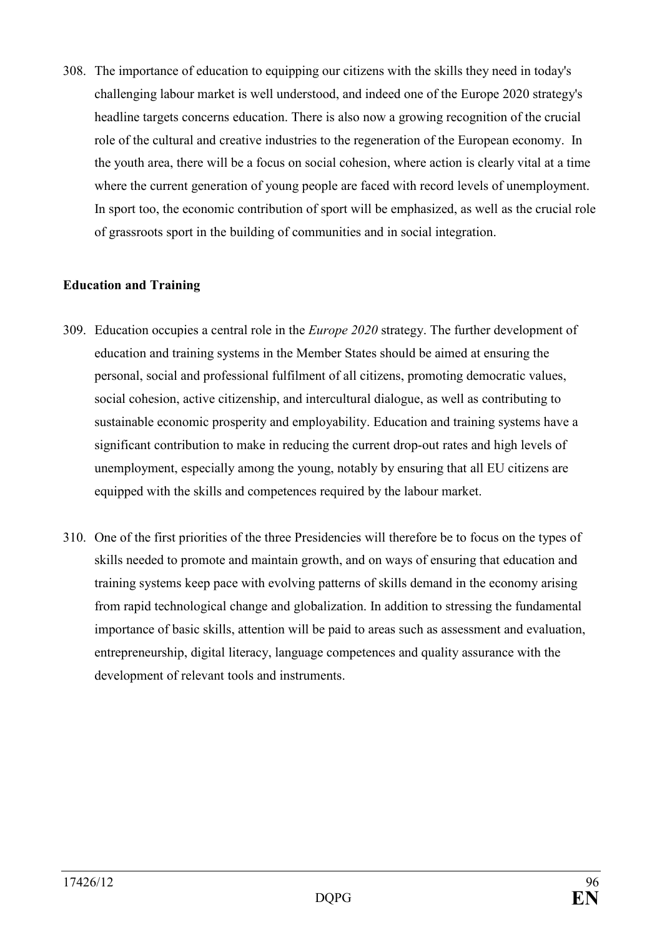308. The importance of education to equipping our citizens with the skills they need in today's challenging labour market is well understood, and indeed one of the Europe 2020 strategy's headline targets concerns education. There is also now a growing recognition of the crucial role of the cultural and creative industries to the regeneration of the European economy. In the youth area, there will be a focus on social cohesion, where action is clearly vital at a time where the current generation of young people are faced with record levels of unemployment. In sport too, the economic contribution of sport will be emphasized, as well as the crucial role of grassroots sport in the building of communities and in social integration.

### **Education and Training**

- 309. Education occupies a central role in the *Europe 2020* strategy. The further development of education and training systems in the Member States should be aimed at ensuring the personal, social and professional fulfilment of all citizens, promoting democratic values, social cohesion, active citizenship, and intercultural dialogue, as well as contributing to sustainable economic prosperity and employability. Education and training systems have a significant contribution to make in reducing the current drop-out rates and high levels of unemployment, especially among the young, notably by ensuring that all EU citizens are equipped with the skills and competences required by the labour market.
- 310. One of the first priorities of the three Presidencies will therefore be to focus on the types of skills needed to promote and maintain growth, and on ways of ensuring that education and training systems keep pace with evolving patterns of skills demand in the economy arising from rapid technological change and globalization. In addition to stressing the fundamental importance of basic skills, attention will be paid to areas such as assessment and evaluation, entrepreneurship, digital literacy, language competences and quality assurance with the development of relevant tools and instruments.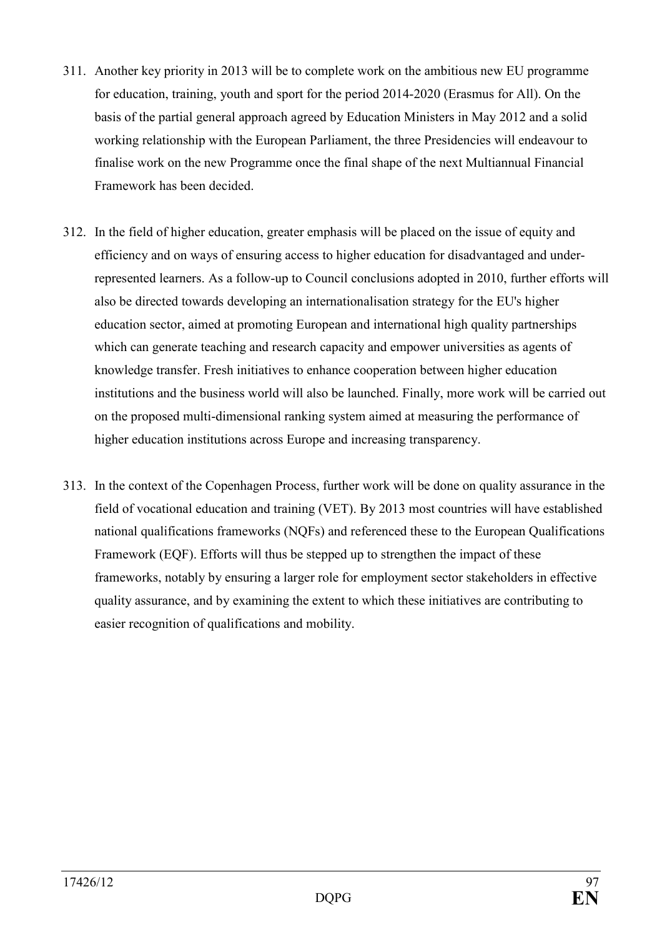- 311. Another key priority in 2013 will be to complete work on the ambitious new EU programme for education, training, youth and sport for the period 2014-2020 (Erasmus for All). On the basis of the partial general approach agreed by Education Ministers in May 2012 and a solid working relationship with the European Parliament, the three Presidencies will endeavour to finalise work on the new Programme once the final shape of the next Multiannual Financial Framework has been decided.
- 312. In the field of higher education, greater emphasis will be placed on the issue of equity and efficiency and on ways of ensuring access to higher education for disadvantaged and underrepresented learners. As a follow-up to Council conclusions adopted in 2010, further efforts will also be directed towards developing an internationalisation strategy for the EU's higher education sector, aimed at promoting European and international high quality partnerships which can generate teaching and research capacity and empower universities as agents of knowledge transfer. Fresh initiatives to enhance cooperation between higher education institutions and the business world will also be launched. Finally, more work will be carried out on the proposed multi-dimensional ranking system aimed at measuring the performance of higher education institutions across Europe and increasing transparency.
- 313. In the context of the Copenhagen Process, further work will be done on quality assurance in the field of vocational education and training (VET). By 2013 most countries will have established national qualifications frameworks (NQFs) and referenced these to the European Qualifications Framework (EQF). Efforts will thus be stepped up to strengthen the impact of these frameworks, notably by ensuring a larger role for employment sector stakeholders in effective quality assurance, and by examining the extent to which these initiatives are contributing to easier recognition of qualifications and mobility.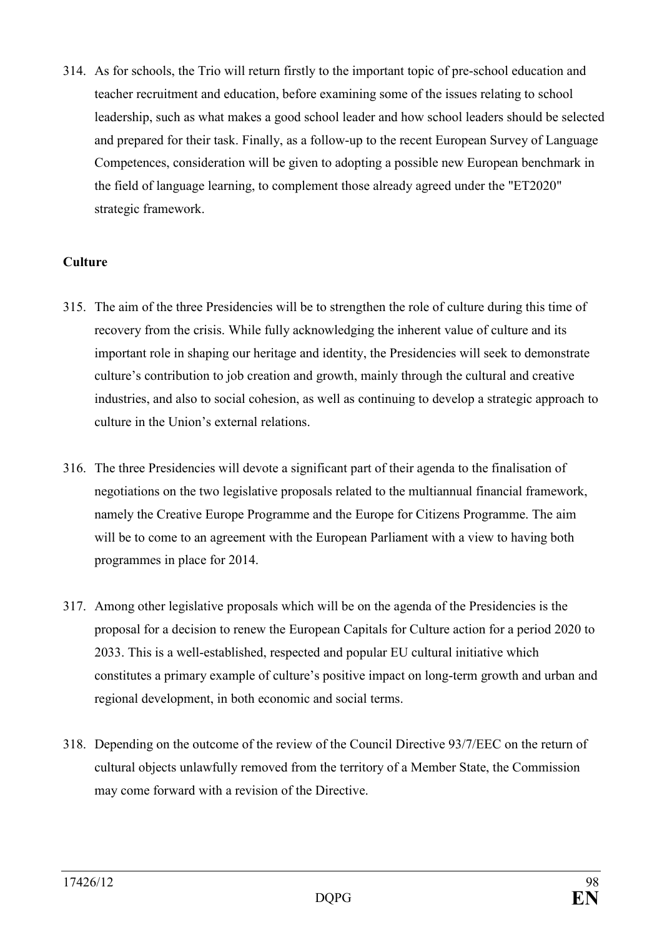314. As for schools, the Trio will return firstly to the important topic of pre-school education and teacher recruitment and education, before examining some of the issues relating to school leadership, such as what makes a good school leader and how school leaders should be selected and prepared for their task. Finally, as a follow-up to the recent European Survey of Language Competences, consideration will be given to adopting a possible new European benchmark in the field of language learning, to complement those already agreed under the "ET2020" strategic framework.

### **Culture**

- 315. The aim of the three Presidencies will be to strengthen the role of culture during this time of recovery from the crisis. While fully acknowledging the inherent value of culture and its important role in shaping our heritage and identity, the Presidencies will seek to demonstrate culture's contribution to job creation and growth, mainly through the cultural and creative industries, and also to social cohesion, as well as continuing to develop a strategic approach to culture in the Union's external relations.
- 316. The three Presidencies will devote a significant part of their agenda to the finalisation of negotiations on the two legislative proposals related to the multiannual financial framework, namely the Creative Europe Programme and the Europe for Citizens Programme. The aim will be to come to an agreement with the European Parliament with a view to having both programmes in place for 2014.
- 317. Among other legislative proposals which will be on the agenda of the Presidencies is the proposal for a decision to renew the European Capitals for Culture action for a period 2020 to 2033. This is a well-established, respected and popular EU cultural initiative which constitutes a primary example of culture's positive impact on long-term growth and urban and regional development, in both economic and social terms.
- 318. Depending on the outcome of the review of the Council Directive 93/7/EEC on the return of cultural objects unlawfully removed from the territory of a Member State, the Commission may come forward with a revision of the Directive.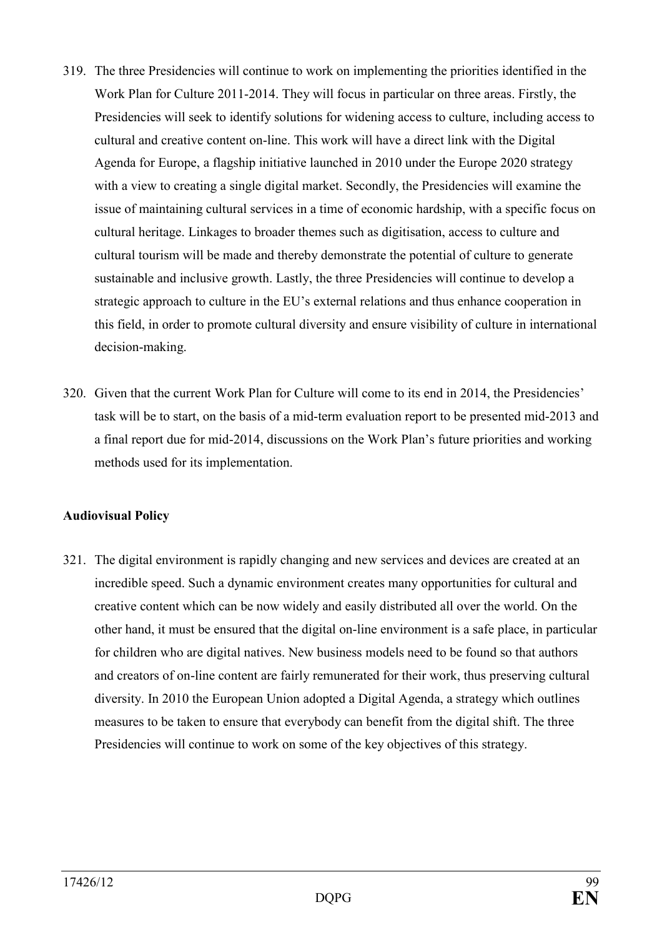- 319. The three Presidencies will continue to work on implementing the priorities identified in the Work Plan for Culture 2011-2014. They will focus in particular on three areas. Firstly, the Presidencies will seek to identify solutions for widening access to culture, including access to cultural and creative content on-line. This work will have a direct link with the Digital Agenda for Europe, a flagship initiative launched in 2010 under the Europe 2020 strategy with a view to creating a single digital market. Secondly, the Presidencies will examine the issue of maintaining cultural services in a time of economic hardship, with a specific focus on cultural heritage. Linkages to broader themes such as digitisation, access to culture and cultural tourism will be made and thereby demonstrate the potential of culture to generate sustainable and inclusive growth. Lastly, the three Presidencies will continue to develop a strategic approach to culture in the EU's external relations and thus enhance cooperation in this field, in order to promote cultural diversity and ensure visibility of culture in international decision-making.
- 320. Given that the current Work Plan for Culture will come to its end in 2014, the Presidencies' task will be to start, on the basis of a mid-term evaluation report to be presented mid-2013 and a final report due for mid-2014, discussions on the Work Plan's future priorities and working methods used for its implementation.

#### **Audiovisual Policy**

321. The digital environment is rapidly changing and new services and devices are created at an incredible speed. Such a dynamic environment creates many opportunities for cultural and creative content which can be now widely and easily distributed all over the world. On the other hand, it must be ensured that the digital on-line environment is a safe place, in particular for children who are digital natives. New business models need to be found so that authors and creators of on-line content are fairly remunerated for their work, thus preserving cultural diversity. In 2010 the European Union adopted a Digital Agenda, a strategy which outlines measures to be taken to ensure that everybody can benefit from the digital shift. The three Presidencies will continue to work on some of the key objectives of this strategy.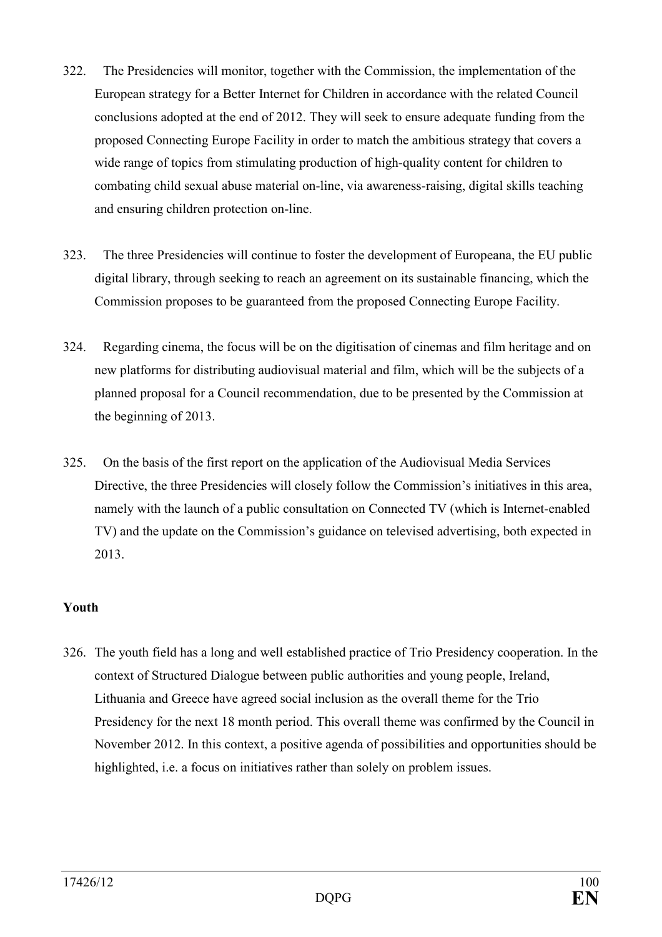- 322. The Presidencies will monitor, together with the Commission, the implementation of the European strategy for a Better Internet for Children in accordance with the related Council conclusions adopted at the end of 2012. They will seek to ensure adequate funding from the proposed Connecting Europe Facility in order to match the ambitious strategy that covers a wide range of topics from stimulating production of high-quality content for children to combating child sexual abuse material on-line, via awareness-raising, digital skills teaching and ensuring children protection on-line.
- 323. The three Presidencies will continue to foster the development of Europeana, the EU public digital library, through seeking to reach an agreement on its sustainable financing, which the Commission proposes to be guaranteed from the proposed Connecting Europe Facility.
- 324. Regarding cinema, the focus will be on the digitisation of cinemas and film heritage and on new platforms for distributing audiovisual material and film, which will be the subjects of a planned proposal for a Council recommendation, due to be presented by the Commission at the beginning of 2013.
- 325. On the basis of the first report on the application of the Audiovisual Media Services Directive, the three Presidencies will closely follow the Commission's initiatives in this area, namely with the launch of a public consultation on Connected TV (which is Internet-enabled TV) and the update on the Commission's guidance on televised advertising, both expected in 2013.

## **Youth**

326. The youth field has a long and well established practice of Trio Presidency cooperation. In the context of Structured Dialogue between public authorities and young people, Ireland, Lithuania and Greece have agreed social inclusion as the overall theme for the Trio Presidency for the next 18 month period. This overall theme was confirmed by the Council in November 2012. In this context, a positive agenda of possibilities and opportunities should be highlighted, i.e. a focus on initiatives rather than solely on problem issues.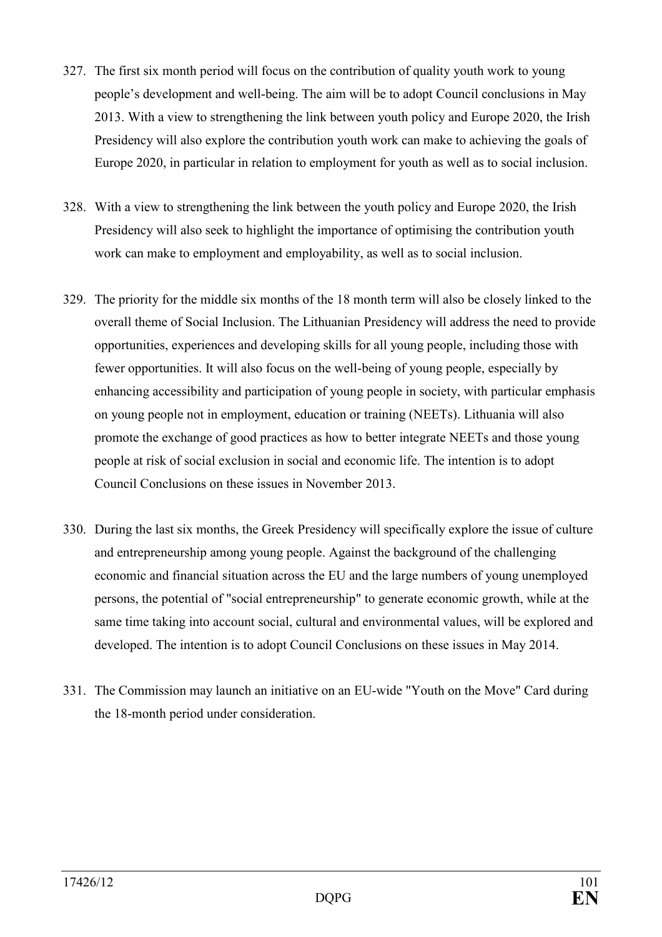- 327. The first six month period will focus on the contribution of quality youth work to young people's development and well-being. The aim will be to adopt Council conclusions in May 2013. With a view to strengthening the link between youth policy and Europe 2020, the Irish Presidency will also explore the contribution youth work can make to achieving the goals of Europe 2020, in particular in relation to employment for youth as well as to social inclusion.
- 328. With a view to strengthening the link between the youth policy and Europe 2020, the Irish Presidency will also seek to highlight the importance of optimising the contribution youth work can make to employment and employability, as well as to social inclusion.
- 329. The priority for the middle six months of the 18 month term will also be closely linked to the overall theme of Social Inclusion. The Lithuanian Presidency will address the need to provide opportunities, experiences and developing skills for all young people, including those with fewer opportunities. It will also focus on the well-being of young people, especially by enhancing accessibility and participation of young people in society, with particular emphasis on young people not in employment, education or training (NEETs). Lithuania will also promote the exchange of good practices as how to better integrate NEETs and those young people at risk of social exclusion in social and economic life. The intention is to adopt Council Conclusions on these issues in November 2013.
- 330. During the last six months, the Greek Presidency will specifically explore the issue of culture and entrepreneurship among young people. Against the background of the challenging economic and financial situation across the EU and the large numbers of young unemployed persons, the potential of "social entrepreneurship" to generate economic growth, while at the same time taking into account social, cultural and environmental values, will be explored and developed. The intention is to adopt Council Conclusions on these issues in May 2014.
- 331. The Commission may launch an initiative on an EU-wide "Youth on the Move" Card during the 18-month period under consideration.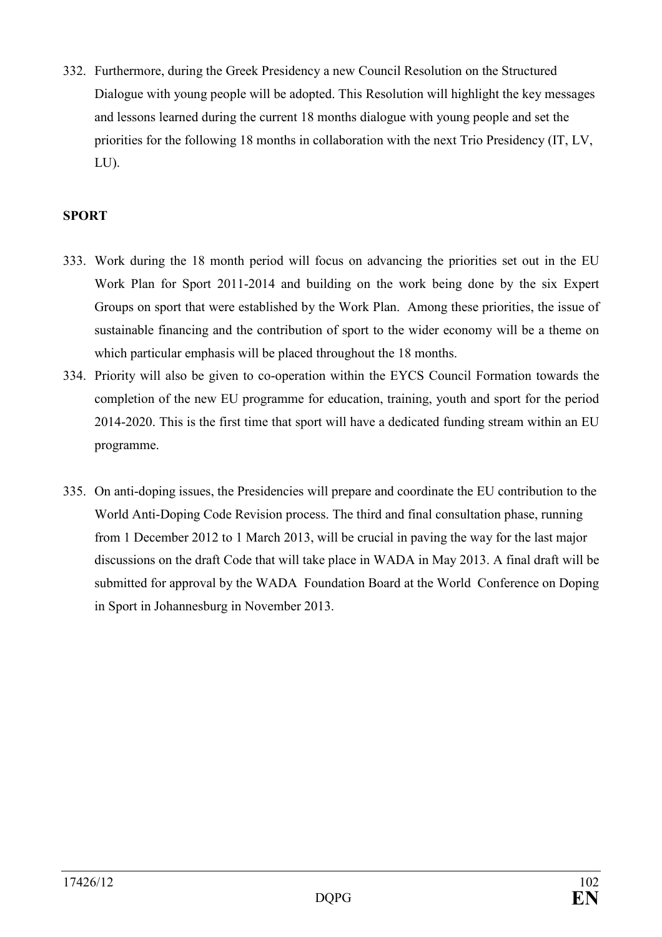332. Furthermore, during the Greek Presidency a new Council Resolution on the Structured Dialogue with young people will be adopted. This Resolution will highlight the key messages and lessons learned during the current 18 months dialogue with young people and set the priorities for the following 18 months in collaboration with the next Trio Presidency (IT, LV, LU).

## **SPORT**

- 333. Work during the 18 month period will focus on advancing the priorities set out in the EU Work Plan for Sport 2011-2014 and building on the work being done by the six Expert Groups on sport that were established by the Work Plan. Among these priorities, the issue of sustainable financing and the contribution of sport to the wider economy will be a theme on which particular emphasis will be placed throughout the 18 months.
- 334. Priority will also be given to co-operation within the EYCS Council Formation towards the completion of the new EU programme for education, training, youth and sport for the period 2014-2020. This is the first time that sport will have a dedicated funding stream within an EU programme.
- 335. On anti-doping issues, the Presidencies will prepare and coordinate the EU contribution to the World Anti-Doping Code Revision process. The third and final consultation phase, running from 1 December 2012 to 1 March 2013, will be crucial in paving the way for the last major discussions on the draft Code that will take place in WADA in May 2013. A final draft will be submitted for approval by the WADA Foundation Board at the World Conference on Doping in Sport in Johannesburg in November 2013.